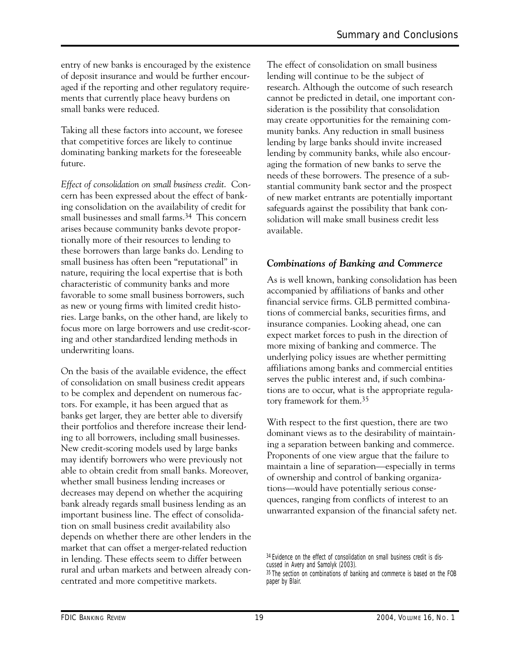entry of new banks is encouraged by the existence of deposit insurance and would be further encouraged if the reporting and other regulatory requirements that currently place heavy burdens on small banks were reduced.

Taking all these factors into account, we foresee that competitive forces are likely to continue dominating banking markets for the foreseeable future.

*Effect of consolidation on small business credit*. Concern has been expressed about the effect of banking consolidation on the availability of credit for small businesses and small farms.34 This concern arises because community banks devote proportionally more of their resources to lending to these borrowers than large banks do. Lending to small business has often been "reputational" in nature, requiring the local expertise that is both characteristic of community banks and more favorable to some small business borrowers, such as new or young firms with limited credit histories. Large banks, on the other hand, are likely to focus more on large borrowers and use credit-scoring and other standardized lending methods in underwriting loans.

On the basis of the available evidence, the effect of consolidation on small business credit appears to be complex and dependent on numerous factors. For example, it has been argued that as banks get larger, they are better able to diversify their portfolios and therefore increase their lending to all borrowers, including small businesses. New credit-scoring models used by large banks may identify borrowers who were previously not able to obtain credit from small banks. Moreover, whether small business lending increases or decreases may depend on whether the acquiring bank already regards small business lending as an important business line. The effect of consolidation on small business credit availability also depends on whether there are other lenders in the market that can offset a merger-related reduction in lending. These effects seem to differ between rural and urban markets and between already concentrated and more competitive markets.

The effect of consolidation on small business lending will continue to be the subject of research. Although the outcome of such research cannot be predicted in detail, one important consideration is the possibility that consolidation may create opportunities for the remaining community banks. Any reduction in small business lending by large banks should invite increased lending by community banks, while also encouraging the formation of new banks to serve the needs of these borrowers. The presence of a substantial community bank sector and the prospect of new market entrants are potentially important safeguards against the possibility that bank consolidation will make small business credit less available.

#### *Combinations of Banking and Commerce*

As is well known, banking consolidation has been accompanied by affiliations of banks and other financial service firms. GLB permitted combinations of commercial banks, securities firms, and insurance companies. Looking ahead, one can expect market forces to push in the direction of more mixing of banking and commerce. The underlying policy issues are whether permitting affiliations among banks and commercial entities serves the public interest and, if such combinations are to occur, what is the appropriate regulatory framework for them.35

With respect to the first question, there are two dominant views as to the desirability of maintaining a separation between banking and commerce. Proponents of one view argue that the failure to maintain a line of separation—especially in terms of ownership and control of banking organizations—would have potentially serious consequences, ranging from conflicts of interest to an unwarranted expansion of the financial safety net.

<sup>&</sup>lt;sup>34</sup> Evidence on the effect of consolidation on small business credit is discussed in Avery and Samolyk (2003).

<sup>35</sup> The section on combinations of banking and commerce is based on the FOB paper by Blair.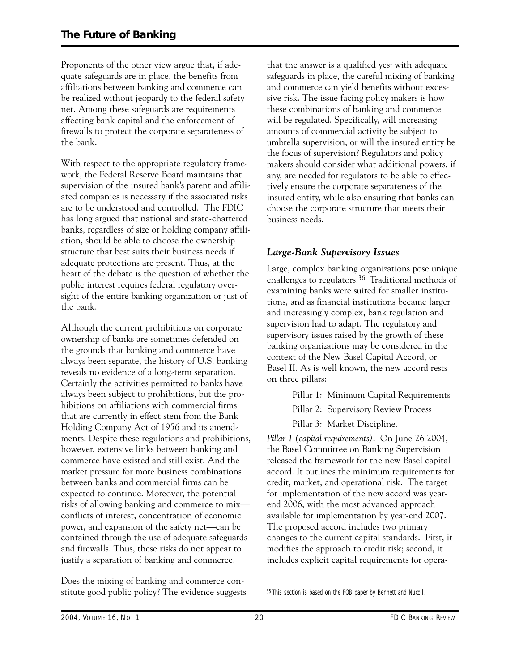Proponents of the other view argue that, if adequate safeguards are in place, the benefits from affiliations between banking and commerce can be realized without jeopardy to the federal safety net. Among these safeguards are requirements affecting bank capital and the enforcement of firewalls to protect the corporate separateness of the bank.

With respect to the appropriate regulatory framework, the Federal Reserve Board maintains that supervision of the insured bank's parent and affiliated companies is necessary if the associated risks are to be understood and controlled. The FDIC has long argued that national and state-chartered banks, regardless of size or holding company affiliation, should be able to choose the ownership structure that best suits their business needs if adequate protections are present. Thus, at the heart of the debate is the question of whether the public interest requires federal regulatory oversight of the entire banking organization or just of the bank.

Although the current prohibitions on corporate ownership of banks are sometimes defended on the grounds that banking and commerce have always been separate, the history of U.S. banking reveals no evidence of a long-term separation. Certainly the activities permitted to banks have always been subject to prohibitions, but the prohibitions on affiliations with commercial firms that are currently in effect stem from the Bank Holding Company Act of 1956 and its amendments. Despite these regulations and prohibitions, however, extensive links between banking and commerce have existed and still exist. And the market pressure for more business combinations between banks and commercial firms can be expected to continue. Moreover, the potential risks of allowing banking and commerce to mix conflicts of interest, concentration of economic power, and expansion of the safety net—can be contained through the use of adequate safeguards and firewalls. Thus, these risks do not appear to justify a separation of banking and commerce.

Does the mixing of banking and commerce constitute good public policy? The evidence suggests that the answer is a qualified yes: with adequate safeguards in place, the careful mixing of banking and commerce can yield benefits without excessive risk. The issue facing policy makers is how these combinations of banking and commerce will be regulated. Specifically, will increasing amounts of commercial activity be subject to umbrella supervision, or will the insured entity be the focus of supervision? Regulators and policy makers should consider what additional powers, if any, are needed for regulators to be able to effectively ensure the corporate separateness of the insured entity, while also ensuring that banks can choose the corporate structure that meets their business needs.

#### *Large-Bank Supervisory Issues*

Large, complex banking organizations pose unique challenges to regulators.36 Traditional methods of examining banks were suited for smaller institutions, and as financial institutions became larger and increasingly complex, bank regulation and supervision had to adapt. The regulatory and supervisory issues raised by the growth of these banking organizations may be considered in the context of the New Basel Capital Accord, or Basel II. As is well known, the new accord rests on three pillars:

- Pillar 1: Minimum Capital Requirements
- Pillar 2: Supervisory Review Process
- Pillar 3: Market Discipline.

*Pillar 1 (capital requirements)*. On June 26 2004, the Basel Committee on Banking Supervision released the framework for the new Basel capital accord. It outlines the minimum requirements for credit, market, and operational risk. The target for implementation of the new accord was yearend 2006, with the most advanced approach available for implementation by year-end 2007. The proposed accord includes two primary changes to the current capital standards. First, it modifies the approach to credit risk; second, it includes explicit capital requirements for opera-

36 This section is based on the FOB paper by Bennett and Nuxoll.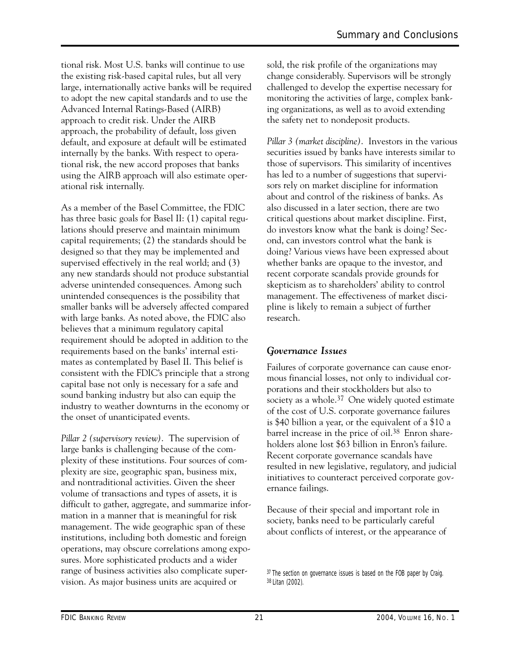tional risk. Most U.S. banks will continue to use the existing risk-based capital rules, but all very large, internationally active banks will be required to adopt the new capital standards and to use the Advanced Internal Ratings-Based (AIRB) approach to credit risk. Under the AIRB approach, the probability of default, loss given default, and exposure at default will be estimated internally by the banks. With respect to operational risk, the new accord proposes that banks using the AIRB approach will also estimate operational risk internally.

As a member of the Basel Committee, the FDIC has three basic goals for Basel II: (1) capital regulations should preserve and maintain minimum capital requirements; (2) the standards should be designed so that they may be implemented and supervised effectively in the real world; and (3) any new standards should not produce substantial adverse unintended consequences. Among such unintended consequences is the possibility that smaller banks will be adversely affected compared with large banks. As noted above, the FDIC also believes that a minimum regulatory capital requirement should be adopted in addition to the requirements based on the banks' internal estimates as contemplated by Basel II. This belief is consistent with the FDIC's principle that a strong capital base not only is necessary for a safe and sound banking industry but also can equip the industry to weather downturns in the economy or the onset of unanticipated events.

*Pillar 2 (supervisory review)*. The supervision of large banks is challenging because of the complexity of these institutions. Four sources of complexity are size, geographic span, business mix, and nontraditional activities. Given the sheer volume of transactions and types of assets, it is difficult to gather, aggregate, and summarize information in a manner that is meaningful for risk management. The wide geographic span of these institutions, including both domestic and foreign operations, may obscure correlations among exposures. More sophisticated products and a wider range of business activities also complicate supervision. As major business units are acquired or

sold, the risk profile of the organizations may change considerably. Supervisors will be strongly challenged to develop the expertise necessary for monitoring the activities of large, complex banking organizations, as well as to avoid extending the safety net to nondeposit products.

*Pillar 3 (market discipline)*. Investors in the various securities issued by banks have interests similar to those of supervisors. This similarity of incentives has led to a number of suggestions that supervisors rely on market discipline for information about and control of the riskiness of banks. As also discussed in a later section, there are two critical questions about market discipline. First, do investors know what the bank is doing? Second, can investors control what the bank is doing? Various views have been expressed about whether banks are opaque to the investor, and recent corporate scandals provide grounds for skepticism as to shareholders' ability to control management. The effectiveness of market discipline is likely to remain a subject of further research.

#### *Governance Issues*

Failures of corporate governance can cause enormous financial losses, not only to individual corporations and their stockholders but also to society as a whole.<sup>37</sup> One widely quoted estimate of the cost of U.S. corporate governance failures is \$40 billion a year, or the equivalent of a \$10 a barrel increase in the price of oil.38 Enron shareholders alone lost \$63 billion in Enron's failure. Recent corporate governance scandals have resulted in new legislative, regulatory, and judicial initiatives to counteract perceived corporate governance failings.

Because of their special and important role in society, banks need to be particularly careful about conflicts of interest, or the appearance of

<sup>&</sup>lt;sup>37</sup> The section on governance issues is based on the FOB paper by Craig. 38 Litan (2002).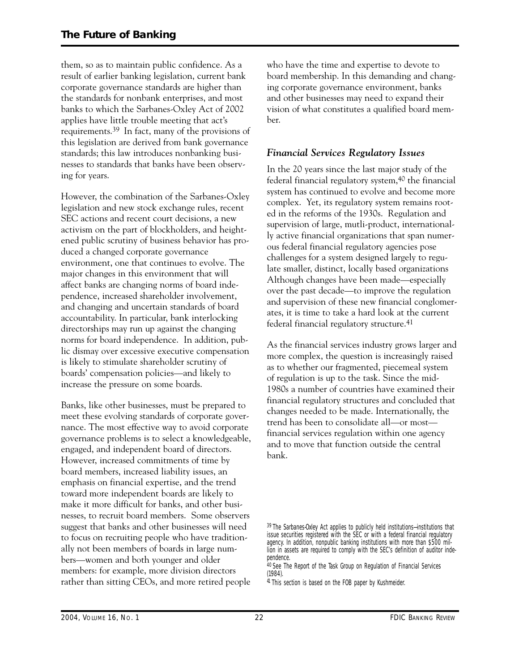them, so as to maintain public confidence. As a result of earlier banking legislation, current bank corporate governance standards are higher than the standards for nonbank enterprises, and most banks to which the Sarbanes-Oxley Act of 2002 applies have little trouble meeting that act's requirements.39 In fact, many of the provisions of this legislation are derived from bank governance standards; this law introduces nonbanking businesses to standards that banks have been observing for years.

However, the combination of the Sarbanes-Oxley legislation and new stock exchange rules, recent SEC actions and recent court decisions, a new activism on the part of blockholders, and heightened public scrutiny of business behavior has produced a changed corporate governance environment, one that continues to evolve. The major changes in this environment that will affect banks are changing norms of board independence, increased shareholder involvement, and changing and uncertain standards of board accountability. In particular, bank interlocking directorships may run up against the changing norms for board independence. In addition, public dismay over excessive executive compensation is likely to stimulate shareholder scrutiny of boards' compensation policies—and likely to increase the pressure on some boards.

Banks, like other businesses, must be prepared to meet these evolving standards of corporate governance. The most effective way to avoid corporate governance problems is to select a knowledgeable, engaged, and independent board of directors. However, increased commitments of time by board members, increased liability issues, an emphasis on financial expertise, and the trend toward more independent boards are likely to make it more difficult for banks, and other businesses, to recruit board members. Some observers suggest that banks and other businesses will need to focus on recruiting people who have traditionally not been members of boards in large numbers—women and both younger and older members: for example, more division directors rather than sitting CEOs, and more retired people who have the time and expertise to devote to board membership. In this demanding and changing corporate governance environment, banks and other businesses may need to expand their vision of what constitutes a qualified board member.

#### *Financial Services Regulatory Issues*

In the 20 years since the last major study of the federal financial regulatory system, $40$  the financial system has continued to evolve and become more complex. Yet, its regulatory system remains rooted in the reforms of the 1930s. Regulation and supervision of large, mutli-product, internationally active financial organizations that span numerous federal financial regulatory agencies pose challenges for a system designed largely to regulate smaller, distinct, locally based organizations Although changes have been made—especially over the past decade—to improve the regulation and supervision of these new financial conglomerates, it is time to take a hard look at the current federal financial regulatory structure.41

As the financial services industry grows larger and more complex, the question is increasingly raised as to whether our fragmented, piecemeal system of regulation is up to the task. Since the mid-1980s a number of countries have examined their financial regulatory structures and concluded that changes needed to be made. Internationally, the trend has been to consolidate all—or most financial services regulation within one agency and to move that function outside the central bank.

41 This section is based on the FOB paper by Kushmeider.

<sup>39</sup> The Sarbanes-Oxley Act applies to publicly held institutions—institutions that issue securities registered with the SEC or with a federal financial regulatory agency. In addition, nonpublic banking institutions with more than \$500 million in assets are required to comply with the SEC's definition of auditor independence.

<sup>40</sup> See *The Report of the Task Group on Regulation of Financial Services* (1984).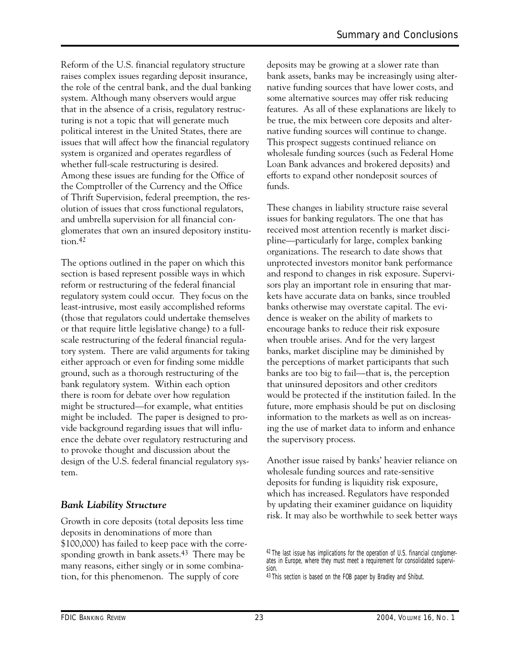Reform of the U.S. financial regulatory structure raises complex issues regarding deposit insurance, the role of the central bank, and the dual banking system. Although many observers would argue that in the absence of a crisis, regulatory restructuring is not a topic that will generate much political interest in the United States, there are issues that will affect how the financial regulatory system is organized and operates regardless of whether full-scale restructuring is desired. Among these issues are funding for the Office of the Comptroller of the Currency and the Office of Thrift Supervision, federal preemption, the resolution of issues that cross functional regulators, and umbrella supervision for all financial conglomerates that own an insured depository institu $t$ ion.  $42$ 

The options outlined in the paper on which this section is based represent possible ways in which reform or restructuring of the federal financial regulatory system could occur. They focus on the least-intrusive, most easily accomplished reforms (those that regulators could undertake themselves or that require little legislative change) to a fullscale restructuring of the federal financial regulatory system. There are valid arguments for taking either approach or even for finding some middle ground, such as a thorough restructuring of the bank regulatory system. Within each option there is room for debate over how regulation might be structured—for example, what entities might be included. The paper is designed to provide background regarding issues that will influence the debate over regulatory restructuring and to provoke thought and discussion about the design of the U.S. federal financial regulatory system.

#### *Bank Liability Structure*

Growth in core deposits (total deposits less time deposits in denominations of more than \$100,000) has failed to keep pace with the corresponding growth in bank assets.<sup>43</sup> There may be many reasons, either singly or in some combination, for this phenomenon. The supply of core

deposits may be growing at a slower rate than bank assets, banks may be increasingly using alternative funding sources that have lower costs, and some alternative sources may offer risk reducing features. As all of these explanations are likely to be true, the mix between core deposits and alternative funding sources will continue to change. This prospect suggests continued reliance on wholesale funding sources (such as Federal Home Loan Bank advances and brokered deposits) and efforts to expand other nondeposit sources of funds.

These changes in liability structure raise several issues for banking regulators. The one that has received most attention recently is market discipline—particularly for large, complex banking organizations. The research to date shows that unprotected investors monitor bank performance and respond to changes in risk exposure. Supervisors play an important role in ensuring that markets have accurate data on banks, since troubled banks otherwise may overstate capital. The evidence is weaker on the ability of markets to encourage banks to reduce their risk exposure when trouble arises. And for the very largest banks, market discipline may be diminished by the perceptions of market participants that such banks are too big to fail—that is, the perception that uninsured depositors and other creditors would be protected if the institution failed. In the future, more emphasis should be put on disclosing information to the markets as well as on increasing the use of market data to inform and enhance the supervisory process.

Another issue raised by banks' heavier reliance on wholesale funding sources and rate-sensitive deposits for funding is liquidity risk exposure, which has increased. Regulators have responded by updating their examiner guidance on liquidity risk. It may also be worthwhile to seek better ways

<sup>&</sup>lt;sup>42</sup> The last issue has implications for the operation of U.S. financial conglomerates in Europe, where they must meet a requirement for consolidated supervision.

<sup>43</sup> This section is based on the FOB paper by Bradley and Shibut.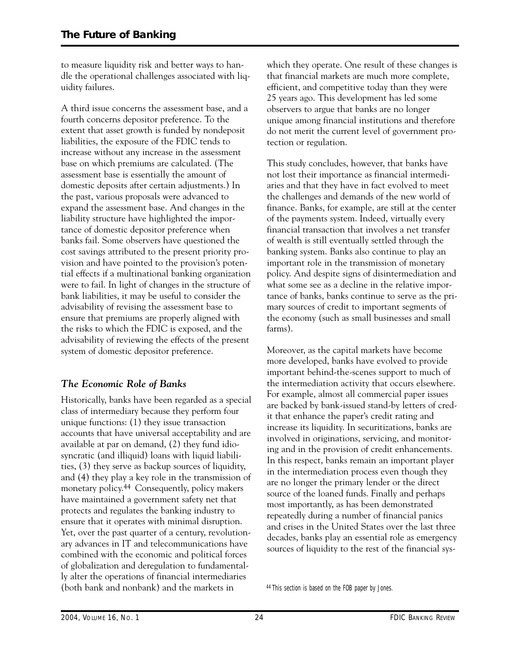to measure liquidity risk and better ways to handle the operational challenges associated with liquidity failures.

A third issue concerns the assessment base, and a fourth concerns depositor preference. To the extent that asset growth is funded by nondeposit liabilities, the exposure of the FDIC tends to increase without any increase in the assessment base on which premiums are calculated. (The assessment base is essentially the amount of domestic deposits after certain adjustments.) In the past, various proposals were advanced to expand the assessment base. And changes in the liability structure have highlighted the importance of domestic depositor preference when banks fail. Some observers have questioned the cost savings attributed to the present priority provision and have pointed to the provision's potential effects if a multinational banking organization were to fail. In light of changes in the structure of bank liabilities, it may be useful to consider the advisability of revising the assessment base to ensure that premiums are properly aligned with the risks to which the FDIC is exposed, and the advisability of reviewing the effects of the present system of domestic depositor preference.

### *The Economic Role of Banks*

Historically, banks have been regarded as a special class of intermediary because they perform four unique functions: (1) they issue transaction accounts that have universal acceptability and are available at par on demand, (2) they fund idiosyncratic (and illiquid) loans with liquid liabilities, (3) they serve as backup sources of liquidity, and (4) they play a key role in the transmission of monetary policy.<sup>44</sup> Consequently, policy makers have maintained a government safety net that protects and regulates the banking industry to ensure that it operates with minimal disruption. Yet, over the past quarter of a century, revolutionary advances in IT and telecommunications have combined with the economic and political forces of globalization and deregulation to fundamentally alter the operations of financial intermediaries (both bank and nonbank) and the markets in

which they operate. One result of these changes is that financial markets are much more complete, efficient, and competitive today than they were 25 years ago. This development has led some observers to argue that banks are no longer unique among financial institutions and therefore do not merit the current level of government protection or regulation.

This study concludes, however, that banks have not lost their importance as financial intermediaries and that they have in fact evolved to meet the challenges and demands of the new world of finance. Banks, for example, are still at the center of the payments system. Indeed, virtually every financial transaction that involves a net transfer of wealth is still eventually settled through the banking system. Banks also continue to play an important role in the transmission of monetary policy. And despite signs of disintermediation and what some see as a decline in the relative importance of banks, banks continue to serve as the primary sources of credit to important segments of the economy (such as small businesses and small farms).

Moreover, as the capital markets have become more developed, banks have evolved to provide important behind-the-scenes support to much of the intermediation activity that occurs elsewhere. For example, almost all commercial paper issues are backed by bank-issued stand-by letters of credit that enhance the paper's credit rating and increase its liquidity. In securitizations, banks are involved in originations, servicing, and monitoring and in the provision of credit enhancements. In this respect, banks remain an important player in the intermediation process even though they are no longer the primary lender or the direct source of the loaned funds. Finally and perhaps most importantly, as has been demonstrated repeatedly during a number of financial panics and crises in the United States over the last three decades, banks play an essential role as emergency sources of liquidity to the rest of the financial sys-

44 This section is based on the FOB paper by Jones.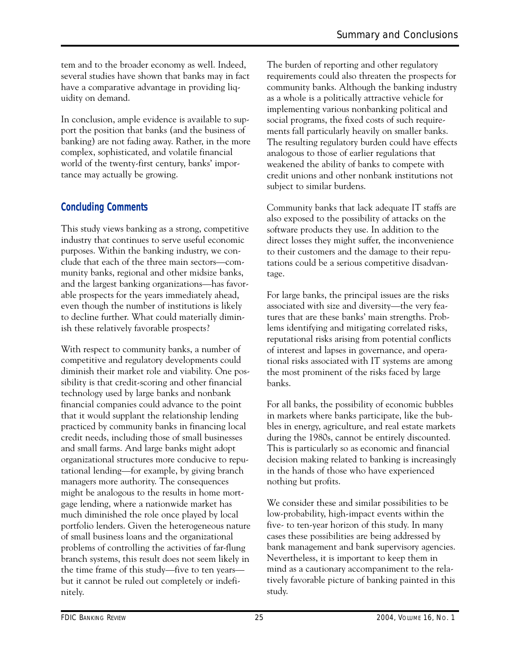tem and to the broader economy as well. Indeed, several studies have shown that banks may in fact have a comparative advantage in providing liquidity on demand.

In conclusion, ample evidence is available to support the position that banks (and the business of banking) are not fading away. Rather, in the more complex, sophisticated, and volatile financial world of the twenty-first century, banks' importance may actually be growing.

## **Concluding Comments**

This study views banking as a strong, competitive industry that continues to serve useful economic purposes. Within the banking industry, we conclude that each of the three main sectors—community banks, regional and other midsize banks, and the largest banking organizations—has favorable prospects for the years immediately ahead, even though the number of institutions is likely to decline further. What could materially diminish these relatively favorable prospects?

With respect to community banks, a number of competitive and regulatory developments could diminish their market role and viability. One possibility is that credit-scoring and other financial technology used by large banks and nonbank financial companies could advance to the point that it would supplant the relationship lending practiced by community banks in financing local credit needs, including those of small businesses and small farms. And large banks might adopt organizational structures more conducive to reputational lending—for example, by giving branch managers more authority. The consequences might be analogous to the results in home mortgage lending, where a nationwide market has much diminished the role once played by local portfolio lenders. Given the heterogeneous nature of small business loans and the organizational problems of controlling the activities of far-flung branch systems, this result does not seem likely in the time frame of this study—five to ten years but it cannot be ruled out completely or indefinitely.

The burden of reporting and other regulatory requirements could also threaten the prospects for community banks. Although the banking industry as a whole is a politically attractive vehicle for implementing various nonbanking political and social programs, the fixed costs of such requirements fall particularly heavily on smaller banks. The resulting regulatory burden could have effects analogous to those of earlier regulations that weakened the ability of banks to compete with credit unions and other nonbank institutions not subject to similar burdens.

Community banks that lack adequate IT staffs are also exposed to the possibility of attacks on the software products they use. In addition to the direct losses they might suffer, the inconvenience to their customers and the damage to their reputations could be a serious competitive disadvantage.

For large banks, the principal issues are the risks associated with size and diversity—the very features that are these banks' main strengths. Problems identifying and mitigating correlated risks, reputational risks arising from potential conflicts of interest and lapses in governance, and operational risks associated with IT systems are among the most prominent of the risks faced by large banks.

For all banks, the possibility of economic bubbles in markets where banks participate, like the bubbles in energy, agriculture, and real estate markets during the 1980s, cannot be entirely discounted. This is particularly so as economic and financial decision making related to banking is increasingly in the hands of those who have experienced nothing but profits.

We consider these and similar possibilities to be low-probability, high-impact events within the five- to ten-year horizon of this study. In many cases these possibilities are being addressed by bank management and bank supervisory agencies. Nevertheless, it is important to keep them in mind as a cautionary accompaniment to the relatively favorable picture of banking painted in this study.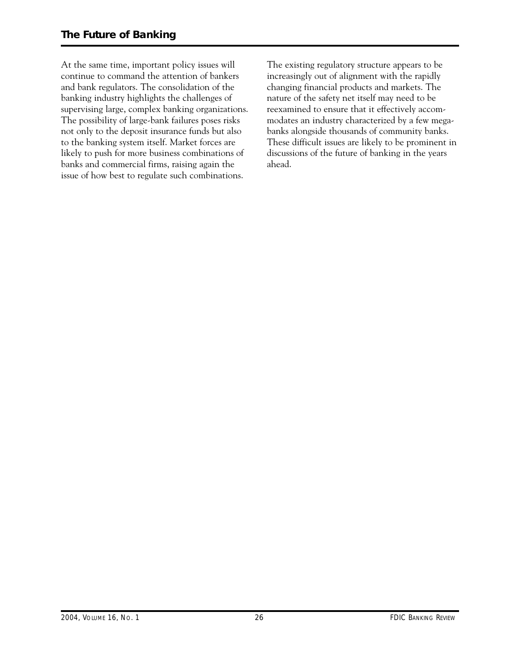At the same time, important policy issues will continue to command the attention of bankers and bank regulators. The consolidation of the banking industry highlights the challenges of supervising large, complex banking organizations. The possibility of large-bank failures poses risks not only to the deposit insurance funds but also to the banking system itself. Market forces are likely to push for more business combinations of banks and commercial firms, raising again the issue of how best to regulate such combinations.

The existing regulatory structure appears to be increasingly out of alignment with the rapidly changing financial products and markets. The nature of the safety net itself may need to be reexamined to ensure that it effectively accommodates an industry characterized by a few megabanks alongside thousands of community banks. These difficult issues are likely to be prominent in discussions of the future of banking in the years ahead.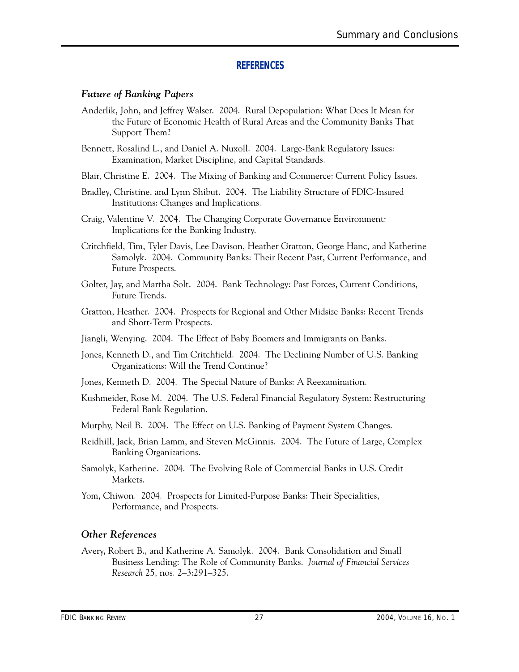#### **REFERENCES**

#### *Future of Banking Papers*

- Anderlik, John, and Jeffrey Walser. 2004. Rural Depopulation: What Does It Mean for the Future of Economic Health of Rural Areas and the Community Banks That Support Them?
- Bennett, Rosalind L., and Daniel A. Nuxoll. 2004. Large-Bank Regulatory Issues: Examination, Market Discipline, and Capital Standards.
- Blair, Christine E. 2004. The Mixing of Banking and Commerce: Current Policy Issues.
- Bradley, Christine, and Lynn Shibut. 2004. The Liability Structure of FDIC-Insured Institutions: Changes and Implications.
- Craig, Valentine V. 2004. The Changing Corporate Governance Environment: Implications for the Banking Industry.
- Samolyk. 2004. Community Banks: Their Recent Past, Current Performance, and Critchfield, Tim, Tyler Davis, Lee Davison, Heather Gratton, George Hanc, and Katherine Future Prospects.
- Golter, Jay, and Martha Solt. 2004. Bank Technology: Past Forces, Current Conditions, Future Trends.
- Gratton, Heather. 2004. Prospects for Regional and Other Midsize Banks: Recent Trends and Short-Term Prospects.
- Jiangli, Wenying. 2004. The Effect of Baby Boomers and Immigrants on Banks.
- Jones, Kenneth D., and Tim Critchfield. 2004. The Declining Number of U.S. Banking Organizations: Will the Trend Continue?
- Jones, Kenneth D. 2004. The Special Nature of Banks: A Reexamination.
- Kushmeider, Rose M. 2004. The U.S. Federal Financial Regulatory System: Restructuring Federal Bank Regulation.
- Murphy, Neil B. 2004. The Effect on U.S. Banking of Payment System Changes.
- Reidhill, Jack, Brian Lamm, and Steven McGinnis. 2004. The Future of Large, Complex Banking Organizations.
- Samolyk, Katherine. 2004. The Evolving Role of Commercial Banks in U.S. Credit Markets.
- Yom, Chiwon. 2004. Prospects for Limited-Purpose Banks: Their Specialities, Performance, and Prospects.

#### *Other References*

 Avery, Robert B., and Katherine A. Samolyk. 2004. Bank Consolidation and Small Business Lending: The Role of Community Banks. *Journal of Financial Services Research* 25, nos. 2–3:291–325.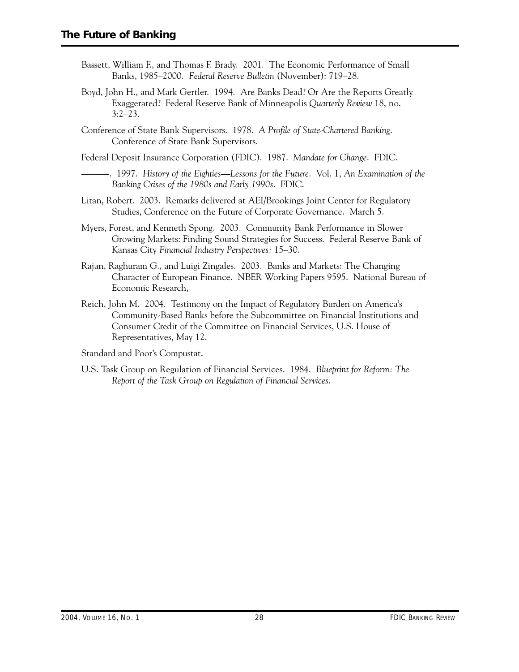- Bassett, William F., and Thomas F. Brady. 2001. The Economic Performance of Small Banks, 1985–2000. *Federal Reserve Bulletin* (November): 719–28.
- Boyd, John H., and Mark Gertler. 1994. Are Banks Dead? Or Are the Reports Greatly Exaggerated? Federal Reserve Bank of Minneapolis *Quarterly Review* 18, no. 3:2–23.
- Conference of State Bank Supervisors. 1978. *A Profile of State-Chartered Banking*. Conference of State Bank Supervisors.

Federal Deposit Insurance Corporation (FDIC). 1987. *Mandate for Change*. FDIC.

 ———. 1997. *History of the Eighties—Lessons for the Future*. Vol. 1, *An Examination of the Banking Crises of the 1980s and Early 1990s*. FDIC.

- Litan, Robert. 2003. Remarks delivered at AEI/Brookings Joint Center for Regulatory Studies, Conference on the Future of Corporate Governance. March 5.
- Myers, Forest, and Kenneth Spong. 2003. Community Bank Performance in Slower Growing Markets: Finding Sound Strategies for Success. Federal Reserve Bank of Kansas City *Financial Industry Perspectives:* 15–30.
- Rajan, Raghuram G., and Luigi Zingales. 2003. Banks and Markets: The Changing Character of European Finance. NBER Working Papers 9595. National Bureau of Economic Research,
- Reich, John M. 2004. Testimony on the Impact of Regulatory Burden on America's Community-Based Banks before the Subcommittee on Financial Institutions and Consumer Credit of the Committee on Financial Services, U.S. House of Representatives, May 12.

Standard and Poor's Compustat.

 U.S. Task Group on Regulation of Financial Services. 1984. *Blueprint for Reform: The Report of the Task Group on Regulation of Financial Services*.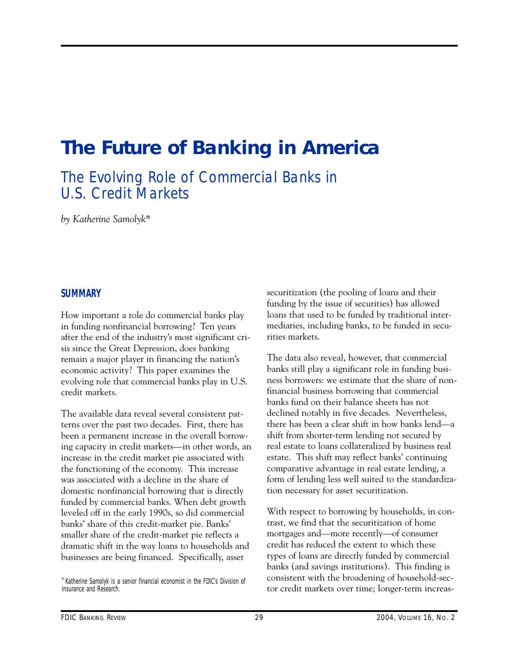# **The Future of Banking in America**

*The Evolving Role of Commercial Banks in U.S. Credit Markets* 

*by Katherine Samolyk\** 

#### **SUMMARY**

How important a role do commercial banks play in funding nonfinancial borrowing? Ten years after the end of the industry's most significant crisis since the Great Depression, does banking remain a major player in financing the nation's economic activity? This paper examines the evolving role that commercial banks play in U.S. credit markets.

The available data reveal several consistent patterns over the past two decades. First, there has been a permanent increase in the overall borrowing capacity in credit markets—in other words, an increase in the credit market pie associated with the functioning of the economy. This increase was associated with a decline in the share of domestic nonfinancial borrowing that is directly funded by commercial banks. When debt growth leveled off in the early 1990s, so did commercial banks' share of this credit-market pie. Banks' smaller share of the credit-market pie reflects a dramatic shift in the way loans to households and businesses are being financed. Specifically, asset

\* Katherine Samolyk is a senior financial economist in the FDIC's Division of Insurance and Research.

securitization (the pooling of loans and their funding by the issue of securities) has allowed loans that used to be funded by traditional intermediaries, including banks, to be funded in securities markets.

The data also reveal, however, that commercial banks still play a significant role in funding business borrowers: we estimate that the share of nonfinancial business borrowing that commercial banks fund on their balance sheets has not declined notably in five decades. Nevertheless, there has been a clear shift in how banks lend—a shift from shorter-term lending not secured by real estate to loans collateralized by business real estate. This shift may reflect banks' continuing comparative advantage in real estate lending, a form of lending less well suited to the standardization necessary for asset securitization.

With respect to borrowing by households, in contrast, we find that the securitization of home mortgages and—more recently—of consumer credit has reduced the extent to which these types of loans are directly funded by commercial banks (and savings institutions). This finding is consistent with the broadening of household-sector credit markets over time; longer-term increas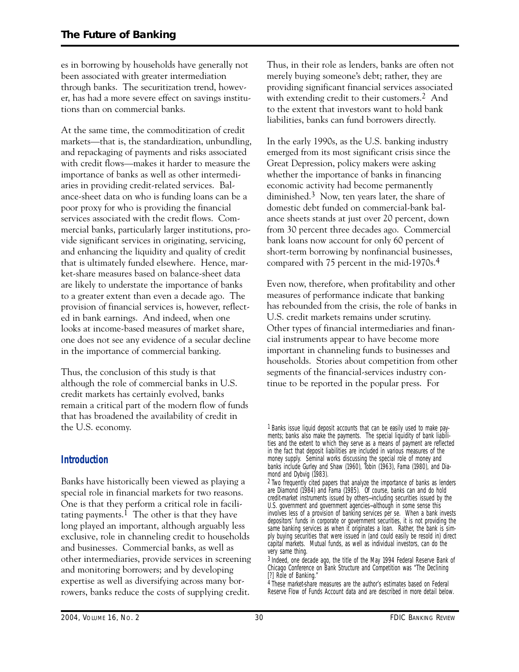es in borrowing by households have generally not been associated with greater intermediation through banks. The securitization trend, however, has had a more severe effect on savings institutions than on commercial banks.

At the same time, the commoditization of credit markets—that is, the standardization, unbundling, and repackaging of payments and risks associated with credit flows—makes it harder to measure the importance of banks as well as other intermediaries in providing credit-related services. Balance-sheet data on who is funding loans can be a poor proxy for who is providing the financial services associated with the credit flows. Commercial banks, particularly larger institutions, provide significant services in originating, servicing, and enhancing the liquidity and quality of credit that is ultimately funded elsewhere. Hence, market-share measures based on balance-sheet data are likely to understate the importance of banks to a greater extent than even a decade ago. The provision of financial services is, however, reflected in bank earnings. And indeed, when one looks at income-based measures of market share, one does not see any evidence of a secular decline in the importance of commercial banking.

Thus, the conclusion of this study is that although the role of commercial banks in U.S. credit markets has certainly evolved, banks remain a critical part of the modern flow of funds that has broadened the availability of credit in the U.S. economy.

#### **Introduction**

Banks have historically been viewed as playing a special role in financial markets for two reasons. One is that they perform a critical role in facilitating payments.<sup>1</sup> The other is that they have long played an important, although arguably less exclusive, role in channeling credit to households and businesses. Commercial banks, as well as other intermediaries, provide services in screening and monitoring borrowers; and by developing expertise as well as diversifying across many borrowers, banks reduce the costs of supplying credit.

Thus, in their role as lenders, banks are often not merely buying someone's debt; rather, they are providing significant financial services associated with extending credit to their customers.2 And to the extent that investors want to hold bank liabilities, banks can fund borrowers directly.

In the early 1990s, as the U.S. banking industry emerged from its most significant crisis since the Great Depression, policy makers were asking whether the importance of banks in financing economic activity had become permanently diminished.3 Now, ten years later, the share of domestic debt funded on commercial-bank balance sheets stands at just over 20 percent, down from 30 percent three decades ago. Commercial bank loans now account for only 60 percent of short-term borrowing by nonfinancial businesses, compared with 75 percent in the mid-1970s.4

Even now, therefore, when profitability and other measures of performance indicate that banking has rebounded from the crisis, the role of banks in U.S. credit markets remains under scrutiny. Other types of financial intermediaries and financial instruments appear to have become more important in channeling funds to businesses and households. Stories about competition from other segments of the financial-services industry continue to be reported in the popular press. For

<sup>1</sup> Banks issue liquid deposit accounts that can be easily used to make payments; banks also make the payments. The special liquidity of bank liabilities and the extent to which they serve as a means of payment are reflected in the fact that deposit liabilities are included in various measures of the money supply. Seminal works discussing the special role of money and banks include Gurley and Shaw (1960), Tobin (1963), Fama (1980), and Diamond and Dybvig (1983).

<sup>2</sup> Two frequently cited papers that analyze the importance of banks as lenders are Diamond (1984) and Fama (1985). Of course, banks can and do hold credit-market instruments issued by others—including securities issued by the U.S. government and government agencies—although in some sense this involves less of a provision of banking services per se. When a bank invests depositors' funds in corporate or government securities, it is not providing the same banking services as when it originates a loan. Rather, the bank is simply buying securities that were issued in (and could easily be resold in) direct capital markets. Mutual funds, as well as individual investors, can do the very same thing.

<sup>3</sup> Indeed, one decade ago, the title of the May 1994 Federal Reserve Bank of Chicago Conference on Bank Structure and Competition was "The Declining [?] Role of Banking."

<sup>4</sup> These market-share measures are the author's estimates based on Federal Reserve Flow of Funds Account data and are described in more detail below.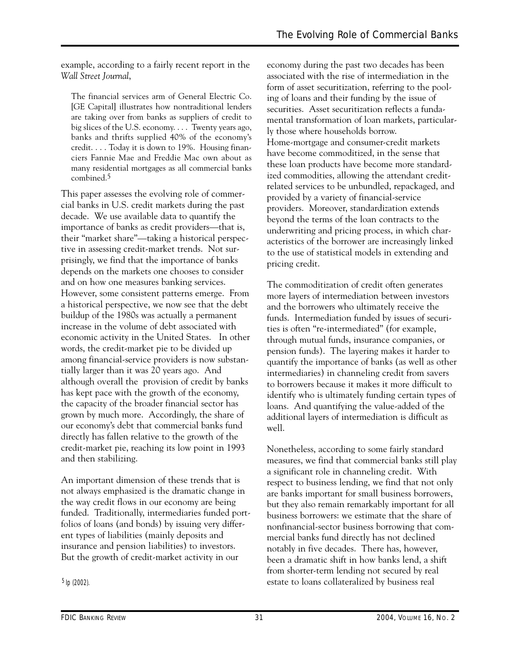example, according to a fairly recent report in the *Wall Street Journal*,

The financial services arm of General Electric Co. [GE Capital] illustrates how nontraditional lenders are taking over from banks as suppliers of credit to big slices of the U.S. economy. . . . Twenty years ago, banks and thrifts supplied 40% of the economy's credit. . . . Today it is down to 19%. Housing financiers Fannie Mae and Freddie Mac own about as many residential mortgages as all commercial banks combined.5

 economic activity in the United States. In other This paper assesses the evolving role of commercial banks in U.S. credit markets during the past decade. We use available data to quantify the importance of banks as credit providers—that is, their "market share"—taking a historical perspective in assessing credit-market trends. Not surprisingly, we find that the importance of banks depends on the markets one chooses to consider and on how one measures banking services. However, some consistent patterns emerge. From a historical perspective, we now see that the debt buildup of the 1980s was actually a permanent increase in the volume of debt associated with words, the credit-market pie to be divided up among financial-service providers is now substantially larger than it was 20 years ago. And although overall the provision of credit by banks has kept pace with the growth of the economy, the capacity of the broader financial sector has grown by much more. Accordingly, the share of our economy's debt that commercial banks fund directly has fallen relative to the growth of the credit-market pie, reaching its low point in 1993 and then stabilizing.

An important dimension of these trends that is not always emphasized is the dramatic change in the way credit flows in our economy are being funded. Traditionally, intermediaries funded portfolios of loans (and bonds) by issuing very different types of liabilities (mainly deposits and insurance and pension liabilities) to investors. But the growth of credit-market activity in our

5 Ip (2002).

economy during the past two decades has been associated with the rise of intermediation in the form of asset securitization, referring to the pooling of loans and their funding by the issue of securities. Asset securitization reflects a fundamental transformation of loan markets, particularly those where households borrow. Home-mortgage and consumer-credit markets have become commoditized, in the sense that these loan products have become more standardized commodities, allowing the attendant creditrelated services to be unbundled, repackaged, and provided by a variety of financial-service providers. Moreover, standardization extends beyond the terms of the loan contracts to the underwriting and pricing process, in which characteristics of the borrower are increasingly linked to the use of statistical models in extending and pricing credit.

The commoditization of credit often generates more layers of intermediation between investors and the borrowers who ultimately receive the funds. Intermediation funded by issues of securities is often "re-intermediated" (for example, through mutual funds, insurance companies, or pension funds). The layering makes it harder to quantify the importance of banks (as well as other intermediaries) in channeling credit from savers to borrowers because it makes it more difficult to identify who is ultimately funding certain types of loans. And quantifying the value-added of the additional layers of intermediation is difficult as well.

Nonetheless, according to some fairly standard measures, we find that commercial banks still play a significant role in channeling credit. With respect to business lending, we find that not only are banks important for small business borrowers, but they also remain remarkably important for all business borrowers: we estimate that the share of nonfinancial-sector business borrowing that commercial banks fund directly has not declined notably in five decades. There has, however, been a dramatic shift in how banks lend, a shift from shorter-term lending not secured by real estate to loans collateralized by business real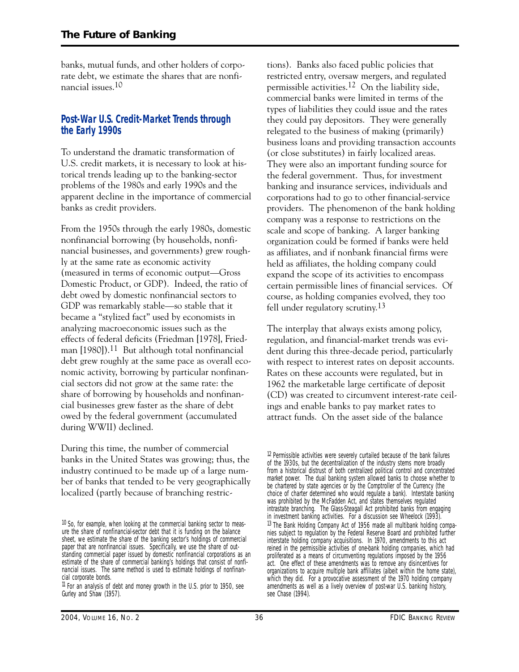banks, mutual funds, and other holders of corporate debt, we estimate the shares that are nonfinancial issues.10

#### **Post-War U.S. Credit-Market Trends through the Early 1990s**

To understand the dramatic transformation of U.S. credit markets, it is necessary to look at historical trends leading up to the banking-sector problems of the 1980s and early 1990s and the apparent decline in the importance of commercial banks as credit providers.

From the 1950s through the early 1980s, domestic nonfinancial borrowing (by households, nonfinancial businesses, and governments) grew roughly at the same rate as economic activity (measured in terms of economic output—Gross Domestic Product, or GDP). Indeed, the ratio of debt owed by domestic nonfinancial sectors to GDP was remarkably stable—so stable that it became a "stylized fact" used by economists in analyzing macroeconomic issues such as the effects of federal deficits (Friedman [1978], Friedman [1980]).<sup>11</sup> But although total nonfinancial debt grew roughly at the same pace as overall economic activity, borrowing by particular nonfinancial sectors did not grow at the same rate: the share of borrowing by households and nonfinancial businesses grew faster as the share of debt owed by the federal government (accumulated during WWII) declined.

During this time, the number of commercial banks in the United States was growing; thus, the industry continued to be made up of a large number of banks that tended to be very geographically localized (partly because of branching restric-

 scale and scope of banking. A larger banking tions). Banks also faced public policies that restricted entry, oversaw mergers, and regulated permissible activities.12 On the liability side, commercial banks were limited in terms of the types of liabilities they could issue and the rates they could pay depositors. They were generally relegated to the business of making (primarily) business loans and providing transaction accounts (or close substitutes) in fairly localized areas. They were also an important funding source for the federal government. Thus, for investment banking and insurance services, individuals and corporations had to go to other financial-service providers. The phenomenon of the bank holding company was a response to restrictions on the organization could be formed if banks were held as affiliates, and if nonbank financial firms were held as affiliates, the holding company could expand the scope of its activities to encompass certain permissible lines of financial services. Of course, as holding companies evolved, they too fell under regulatory scrutiny.13

The interplay that always exists among policy, regulation, and financial-market trends was evident during this three-decade period, particularly with respect to interest rates on deposit accounts. Rates on these accounts were regulated, but in 1962 the marketable large certificate of deposit (CD) was created to circumvent interest-rate ceilings and enable banks to pay market rates to attract funds. On the asset side of the balance

<sup>10</sup> So, for example, when looking at the commercial banking sector to measure the share of nonfinancial-sector debt that it is funding on the balance sheet, we estimate the share of the banking sector's holdings of commercial paper that are nonfinancial issues. Specifically, we use the share of outstanding commercial paper issued by domestic nonfinancial corporations as an estimate of the share of commercial banking's holdings that consist of nonfinancial issues. The same method is used to estimate holdings of nonfinancial corporate bonds.

<sup>11</sup> For an analysis of debt and money growth in the U.S. prior to 1950, see Gurley and Shaw (1957).

<sup>&</sup>lt;sup>12</sup> Permissible activities were severely curtailed because of the bank failures of the 1930s, but the decentralization of the industry stems more broadly from a historical distrust of both centralized political control and concentrated market power. The dual banking system allowed banks to choose whether to be chartered by state agencies or by the Comptroller of the Currency (the choice of charter determined who would regulate a bank). Interstate banking was prohibited by the McFadden Act, and states themselves regulated intrastate branching. The Glass-Steagall Act prohibited banks from engaging in investment banking activities. For a discussion see Wheelock (1993). 13 The Bank Holding Company Act of 1956 made all multibank holding companies subject to regulation by the Federal Reserve Board and prohibited further interstate holding company acquisitions. In 1970, amendments to this act reined in the permissible activities of one-bank holding companies, which had proliferated as a means of circumventing regulations imposed by the 1956 act. One effect of these amendments was to remove any disincentives for organizations to acquire multiple bank affiliates (albeit within the home state), which they did. For a provocative assessment of the 1970 holding company amendments as well as a lively overview of post-war U.S. banking history, see Chase (1994).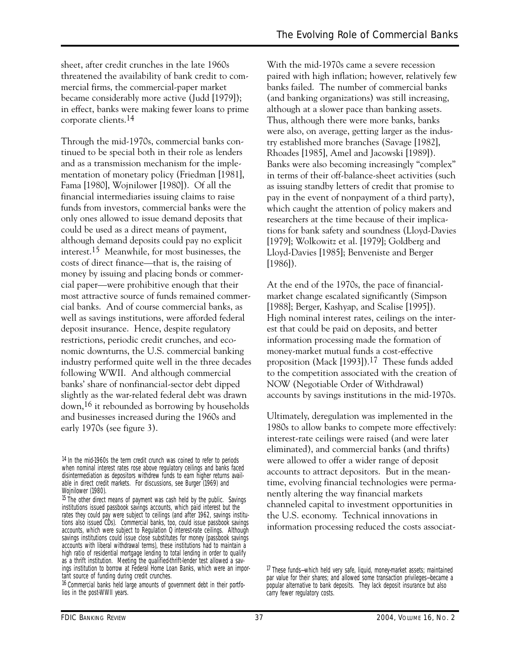sheet, after credit crunches in the late 1960s threatened the availability of bank credit to commercial firms, the commercial-paper market became considerably more active (Judd [1979]); in effect, banks were making fewer loans to prime corporate clients.14

Through the mid-1970s, commercial banks continued to be special both in their role as lenders and as a transmission mechanism for the implementation of monetary policy (Friedman [1981], Fama [1980], Wojnilower [1980]). Of all the financial intermediaries issuing claims to raise funds from investors, commercial banks were the only ones allowed to issue demand deposits that could be used as a direct means of payment, although demand deposits could pay no explicit interest.15 Meanwhile, for most businesses, the costs of direct finance—that is, the raising of money by issuing and placing bonds or commercial paper—were prohibitive enough that their most attractive source of funds remained commercial banks. And of course commercial banks, as well as savings institutions, were afforded federal deposit insurance. Hence, despite regulatory restrictions, periodic credit crunches, and economic downturns, the U.S. commercial banking industry performed quite well in the three decades following WWII. And although commercial banks' share of nonfinancial-sector debt dipped slightly as the war-related federal debt was drawn down,16 it rebounded as borrowing by households and businesses increased during the 1960s and early 1970s (see figure 3).

With the mid-1970s came a severe recession paired with high inflation; however, relatively few banks failed. The number of commercial banks (and banking organizations) was still increasing, although at a slower pace than banking assets. Thus, although there were more banks, banks were also, on average, getting larger as the industry established more branches (Savage [1982], Rhoades [1985], Amel and Jacowski [1989]). Banks were also becoming increasingly "complex" in terms of their off-balance-sheet activities (such as issuing standby letters of credit that promise to pay in the event of nonpayment of a third party), which caught the attention of policy makers and researchers at the time because of their implications for bank safety and soundness (Lloyd-Davies [1979]; Wolkowitz et al. [1979]; Goldberg and Lloyd-Davies [1985]; Benveniste and Berger [1986]).

At the end of the 1970s, the pace of financialmarket change escalated significantly (Simpson [1988]; Berger, Kashyap, and Scalise [1995]). High nominal interest rates, ceilings on the interest that could be paid on deposits, and better information processing made the formation of money-market mutual funds a cost-effective proposition (Mack [1993]).17 These funds added to the competition associated with the creation of NOW (Negotiable Order of Withdrawal) accounts by savings institutions in the mid-1970s.

Ultimately, deregulation was implemented in the 1980s to allow banks to compete more effectively: interest-rate ceilings were raised (and were later eliminated), and commercial banks (and thrifts) were allowed to offer a wider range of deposit accounts to attract depositors. But in the meantime, evolving financial technologies were permanently altering the way financial markets channeled capital to investment opportunities in the U.S. economy. Technical innovations in information processing reduced the costs associat-

<sup>14</sup> In the mid-1960s the term *credit crunch* was coined to refer to periods when nominal interest rates rose above regulatory ceilings and banks faced disintermediation as depositors withdrew funds to earn higher returns available in direct credit markets. For discussions, see Burger (1969) and Wojnilower (1980).

<sup>&</sup>lt;sup>15</sup> The other direct means of payment was cash held by the public. Savings institutions issued passbook savings accounts, which paid interest but the rates they could pay were subject to ceilings (and after 1962, savings institutions also issued CDs). Commercial banks, too, could issue passbook savings accounts, which were subject to Regulation Q interest-rate ceilings. Although savings institutions could issue close substitutes for money (passbook savings accounts with liberal withdrawal terms), these institutions had to maintain a high ratio of residential mortgage lending to total lending in order to qualify as a thrift institution. Meeting the qualified-thrift-lender test allowed a savings institution to borrow at Federal Home Loan Banks, which were an important source of funding during credit crunches.

<sup>16</sup> Commercial banks held large amounts of government debt in their portfolios in the post-WWII years.

<sup>17</sup> These funds—which held very safe, liquid, money-market assets; maintained par value for their shares; and allowed some transaction privileges—became a popular alternative to bank deposits. They lack deposit insurance but also carry fewer regulatory costs.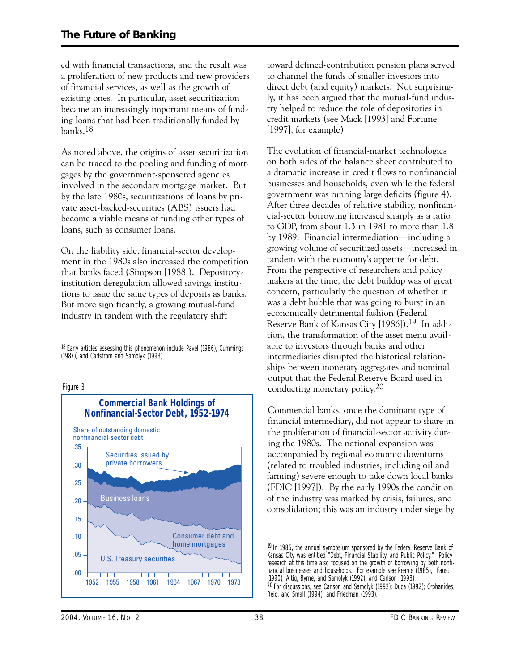ed with financial transactions, and the result was a proliferation of new products and new providers of financial services, as well as the growth of existing ones. In particular, asset securitization became an increasingly important means of funding loans that had been traditionally funded by banks.18

As noted above, the origins of asset securitization can be traced to the pooling and funding of mortgages by the government-sponsored agencies involved in the secondary mortgage market. But by the late 1980s, securitizations of loans by private asset-backed-securities (ABS) issuers had become a viable means of funding other types of loans, such as consumer loans.

On the liability side, financial-sector development in the 1980s also increased the competition that banks faced (Simpson [1988]). Depositoryinstitution deregulation allowed savings institutions to issue the same types of deposits as banks. But more significantly, a growing mutual-fund industry in tandem with the regulatory shift

18 Early articles assessing this phenomenon include Pavel (1986), Cummings (1987), and Carlstrom and Samolyk (1993).





toward defined-contribution pension plans served to channel the funds of smaller investors into direct debt (and equity) markets. Not surprisingly, it has been argued that the mutual-fund industry helped to reduce the role of depositories in credit markets (see Mack [1993] and Fortune [1997], for example).

The evolution of financial-market technologies on both sides of the balance sheet contributed to a dramatic increase in credit flows to nonfinancial businesses and households, even while the federal government was running large deficits (figure 4). After three decades of relative stability, nonfinancial-sector borrowing increased sharply as a ratio to GDP, from about 1.3 in 1981 to more than 1.8 by 1989. Financial intermediation—including a growing volume of securitized assets—increased in tandem with the economy's appetite for debt. From the perspective of researchers and policy makers at the time, the debt buildup was of great concern, particularly the question of whether it was a debt bubble that was going to burst in an economically detrimental fashion (Federal Reserve Bank of Kansas City [1986]).19 In addition, the transformation of the asset menu available to investors through banks and other intermediaries disrupted the historical relationships between monetary aggregates and nominal output that the Federal Reserve Board used in conducting monetary policy.20

Commercial banks, once the dominant type of financial intermediary, did not appear to share in the proliferation of financial-sector activity during the 1980s. The national expansion was accompanied by regional economic downturns (related to troubled industries, including oil and farming) severe enough to take down local banks (FDIC [1997]). By the early 1990s the condition of the industry was marked by crisis, failures, and consolidation; this was an industry under siege by

<sup>19</sup> In 1986, the annual symposium sponsored by the Federal Reserve Bank of Kansas City was entitled "Debt, Financial Stability, and Public Policy." Policy research at this time also focused on the growth of borrowing by both nonfinancial businesses and households. For example see Pearce (1985), Faust (1990), Altig, Byrne, and Samolyk (1992), and Carlson (1993). 20 For discussions, see Carlson and Samolyk (1992); Duca (1992); Orphanides, Reid, and Small (1994); and Friedman (1993).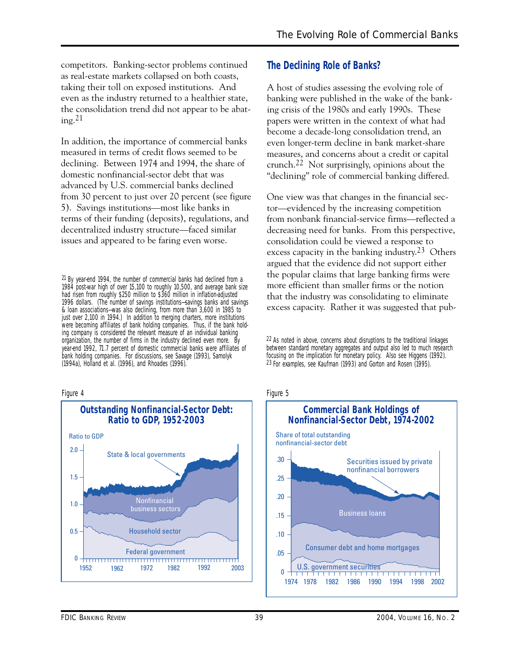competitors. Banking-sector problems continued as real-estate markets collapsed on both coasts, taking their toll on exposed institutions. And even as the industry returned to a healthier state, the consolidation trend did not appear to be abat $ine<sup>21</sup>$ 

In addition, the importance of commercial banks measured in terms of credit flows seemed to be declining. Between 1974 and 1994, the share of domestic nonfinancial-sector debt that was advanced by U.S. commercial banks declined from 30 percent to just over 20 percent (see figure 5). Savings institutions—most like banks in terms of their funding (deposits), regulations, and decentralized industry structure—faced similar issues and appeared to be faring even worse.

<sup>21</sup> By year-end 1994, the number of commercial banks had declined from a 1984 post-war high of over 15,100 to roughly 10,500, and average bank size had risen from roughly \$250 million to \$360 million in inflation-adjusted 1996 dollars. (The number of savings institutions—savings banks and savings & loan associations—was also declining, from more than 3,600 in 1985 to just over 2,100 in 1994.) In addition to merging charters, more institutions were becoming affiliates of bank holding companies. Thus, if the bank holding company is considered the relevant measure of an individual banking organization, the number of firms in the industry declined even more. By year-end 1992, 71.7 percent of domestic commercial banks were affiliates of bank holding companies. For discussions, see Savage (1993), Samolyk (1994a), Holland et al. (1996), and Rhoades (1996).





# **The Declining Role of Banks?**

A host of studies assessing the evolving role of banking were published in the wake of the banking crisis of the 1980s and early 1990s. These papers were written in the context of what had become a decade-long consolidation trend, an even longer-term decline in bank market-share measures, and concerns about a credit or capital crunch.22 Not surprisingly, opinions about the "declining" role of commercial banking differed.

One view was that changes in the financial sector—evidenced by the increasing competition from nonbank financial-service firms—reflected a decreasing need for banks. From this perspective, consolidation could be viewed a response to excess capacity in the banking industry.23 Others argued that the evidence did not support either the popular claims that large banking firms were more efficient than smaller firms or the notion that the industry was consolidating to eliminate excess capacity. Rather it was suggested that pub-

22 As noted in above, concerns about disruptions to the traditional linkages between standard monetary aggregates and output also led to much research focusing on the implication for monetary policy. Also see Higgens (1992). 23 For examples, see Kaufman (1993) and Gorton and Rosen (1995).

#### Figure 5

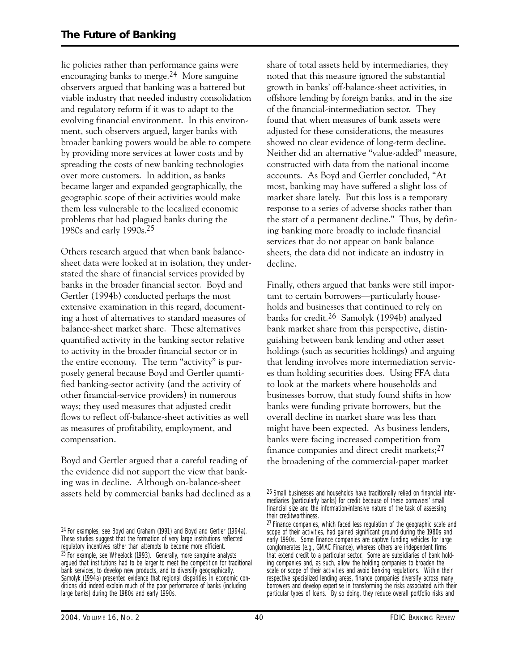lic policies rather than performance gains were encouraging banks to merge.24 More sanguine observers argued that banking was a battered but viable industry that needed industry consolidation and regulatory reform if it was to adapt to the evolving financial environment. In this environment, such observers argued, larger banks with broader banking powers would be able to compete by providing more services at lower costs and by spreading the costs of new banking technologies over more customers. In addition, as banks became larger and expanded geographically, the geographic scope of their activities would make them less vulnerable to the localized economic problems that had plagued banks during the 1980s and early 1990s.25

 the entire economy. The term "activity" is pur-Others research argued that when bank balancesheet data were looked at in isolation, they understated the share of financial services provided by banks in the broader financial sector. Boyd and Gertler (1994b) conducted perhaps the most extensive examination in this regard, documenting a host of alternatives to standard measures of balance-sheet market share. These alternatives quantified activity in the banking sector relative to activity in the broader financial sector or in posely general because Boyd and Gertler quantified banking-sector activity (and the activity of other financial-service providers) in numerous ways; they used measures that adjusted credit flows to reflect off-balance-sheet activities as well as measures of profitability, employment, and compensation.

Boyd and Gertler argued that a careful reading of the evidence did not support the view that banking was in decline. Although on-balance-sheet assets held by commercial banks had declined as a

 market share lately. But this loss is a temporary share of total assets held by intermediaries, they noted that this measure ignored the substantial growth in banks' off-balance-sheet activities, in offshore lending by foreign banks, and in the size of the financial-intermediation sector. They found that when measures of bank assets were adjusted for these considerations, the measures showed no clear evidence of long-term decline. Neither did an alternative "value-added" measure, constructed with data from the national income accounts. As Boyd and Gertler concluded, "At most, banking may have suffered a slight loss of response to a series of adverse shocks rather than the start of a permanent decline." Thus, by defining banking more broadly to include financial services that do not appear on bank balance sheets, the data did not indicate an industry in decline.

Finally, others argued that banks were still important to certain borrowers—particularly households and businesses that continued to rely on banks for credit.26 Samolyk (1994b) analyzed bank market share from this perspective, distinguishing between bank lending and other asset holdings (such as securities holdings) and arguing that lending involves more intermediation services than holding securities does. Using FFA data to look at the markets where households and businesses borrow, that study found shifts in how banks were funding private borrowers, but the overall decline in market share was less than might have been expected. As business lenders, banks were facing increased competition from finance companies and direct credit markets; $^{27}$ the broadening of the commercial-paper market

<sup>24</sup> For examples, see Boyd and Graham (1991) and Boyd and Gertler (1994a). These studies suggest that the formation of very large institutions reflected regulatory incentives rather than attempts to become more efficient.  $25$  For example, see Wheelock (1993). Generally, more sanguine analysts argued that institutions had to be larger to meet the competition for traditional bank services, to develop new products, and to diversify geographically. Samolyk (1994a) presented evidence that regional disparities in economic conditions did indeed explain much of the poor performance of banks (including large banks) during the 1980s and early 1990s.

<sup>26</sup> Small businesses and households have traditionally relied on financial intermediaries (particularly banks) for credit because of these borrowers' small financial size and the information-intensive nature of the task of assessing their creditworthiness.

 $27$  Finance companies, which faced less regulation of the geographic scale and scope of their activities, had gained significant ground during the 1980s and early 1990s. Some finance companies are captive funding vehicles for large conglomerates (e.g., GMAC Finance), whereas others are independent firms that extend credit to a particular sector. Some are subsidiaries of bank holding companies and, as such, allow the holding companies to broaden the scale or scope of their activities and avoid banking regulations. Within their respective specialized lending areas, finance companies diversify across many borrowers and develop expertise in transforming the risks associated with their particular types of loans. By so doing, they reduce overall portfolio risks and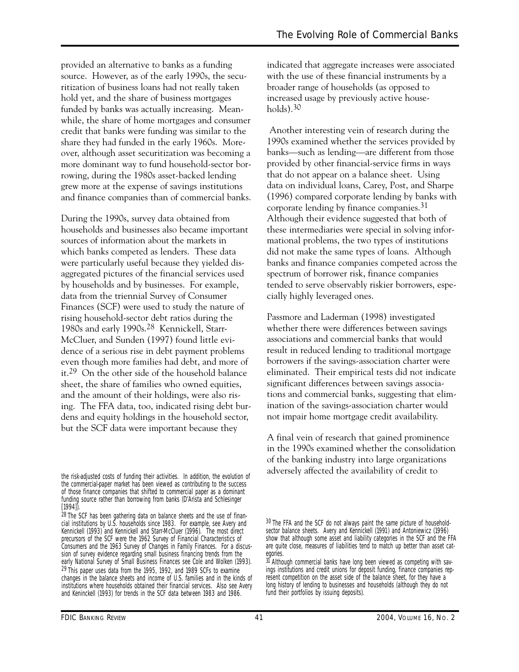provided an alternative to banks as a funding source. However, as of the early 1990s, the securitization of business loans had not really taken hold yet, and the share of business mortgages funded by banks was actually increasing. Meanwhile, the share of home mortgages and consumer credit that banks were funding was similar to the share they had funded in the early 1960s. Moreover, although asset securitization was becoming a more dominant way to fund household-sector borrowing, during the 1980s asset-backed lending grew more at the expense of savings institutions and finance companies than of commercial banks.

During the 1990s, survey data obtained from households and businesses also became important sources of information about the markets in which banks competed as lenders. These data were particularly useful because they yielded disaggregated pictures of the financial services used by households and by businesses. For example, data from the triennial Survey of Consumer Finances (SCF) were used to study the nature of rising household-sector debt ratios during the 1980s and early 1990s.28 Kennickell, Starr-McCluer, and Sunden (1997) found little evidence of a serious rise in debt payment problems even though more families had debt, and more of it.29 On the other side of the household balance sheet, the share of families who owned equities, and the amount of their holdings, were also rising. The FFA data, too, indicated rising debt burdens and equity holdings in the household sector, but the SCF data were important because they

indicated that aggregate increases were associated with the use of these financial instruments by a broader range of households (as opposed to increased usage by previously active house $holds$ ).<sup>30</sup>

Another interesting vein of research during the 1990s examined whether the services provided by banks—such as lending—are different from those provided by other financial-service firms in ways that do not appear on a balance sheet. Using data on individual loans, Carey, Post, and Sharpe (1996) compared corporate lending by banks with corporate lending by finance companies.31 Although their evidence suggested that both of these intermediaries were special in solving informational problems, the two types of institutions did not make the same types of loans. Although banks and finance companies competed across the spectrum of borrower risk, finance companies tended to serve observably riskier borrowers, especially highly leveraged ones.

Passmore and Laderman (1998) investigated whether there were differences between savings associations and commercial banks that would result in reduced lending to traditional mortgage borrowers if the savings-association charter were eliminated. Their empirical tests did not indicate significant differences between savings associations and commercial banks, suggesting that elimination of the savings-association charter would not impair home mortgage credit availability.

A final vein of research that gained prominence in the 1990s examined whether the consolidation of the banking industry into large organizations adversely affected the availability of credit to

the risk-adjusted costs of funding their activities. In addition, the evolution of the commercial-paper market has been viewed as contributing to the success of those finance companies that shifted to commercial paper as a dominant funding source rather than borrowing from banks (D'Arista and Schlesinger  $[1994]$ .

<sup>&</sup>lt;sup>28</sup> The SCF has been gathering data on balance sheets and the use of financial institutions by U.S. households since 1983. For example, see Avery and Kennickell (1993) and Kennickell and Starr-McCluer (1996). The most direct precursors of the SCF were the 1962 Survey of Financial Characteristics of Consumers and the 1963 Survey of Changes in Family Finances. For a discussion of survey evidence regarding small business financing trends from the early National Survey of Small Business Finances see Cole and Wolken (1993). 29 This paper uses data from the 1995, 1992, and 1989 SCFs to examine changes in the balance sheets and income of U.S. families and in the kinds of institutions where households obtained their financial services. Also see Avery and Keninckell (1993) for trends in the SCF data between 1983 and 1986.

<sup>30</sup> The FFA and the SCF do not always paint the same picture of householdsector balance sheets. Avery and Kennickell (1991) and Antoniewicz (1996) show that although some asset and liability categories in the SCF and the FFA are quite close, measures of liabilities tend to match up better than asset categories.

<sup>31</sup> Although commercial banks have long been viewed as competing with savings institutions and credit unions for deposit funding, finance companies represent competition on the asset side of the balance sheet, for they have a long history of lending to businesses and households (although they do not fund their portfolios by issuing deposits).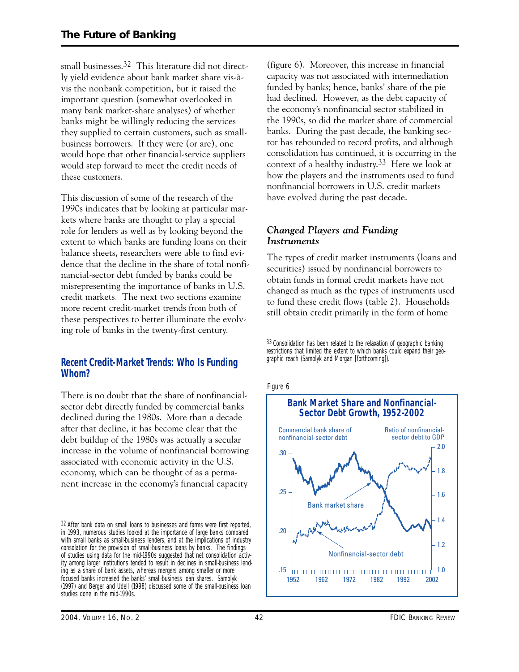small businesses.32 This literature did not directly yield evidence about bank market share vis-àvis the nonbank competition, but it raised the important question (somewhat overlooked in many bank market-share analyses) of whether banks might be willingly reducing the services they supplied to certain customers, such as smallbusiness borrowers. If they were (or are), one would hope that other financial-service suppliers would step forward to meet the credit needs of these customers.

This discussion of some of the research of the 1990s indicates that by looking at particular markets where banks are thought to play a special role for lenders as well as by looking beyond the extent to which banks are funding loans on their balance sheets, researchers were able to find evidence that the decline in the share of total nonfinancial-sector debt funded by banks could be misrepresenting the importance of banks in U.S. credit markets. The next two sections examine more recent credit-market trends from both of these perspectives to better illuminate the evolving role of banks in the twenty-first century.

#### **Recent Credit-Market Trends: Who Is Funding Whom?**

There is no doubt that the share of nonfinancialsector debt directly funded by commercial banks declined during the 1980s. More than a decade after that decline, it has become clear that the debt buildup of the 1980s was actually a secular increase in the volume of nonfinancial borrowing associated with economic activity in the U.S. economy, which can be thought of as a permanent increase in the economy's financial capacity

32 After bank data on small loans to businesses and farms were first reported, in 1993, numerous studies looked at the importance of large banks compared with small banks as small-business lenders, and at the implications of industry consolation for the provision of small-business loans by banks. The findings of studies using data for the mid-1990s suggested that net consolidation activity among larger institutions tended to result in declines in small-business lending as a share of bank assets, whereas mergers among smaller or more focused banks increased the banks' small-business loan shares. Samolyk (1997) and Berger and Udell (1998) discussed some of the small-business loan studies done in the mid-1990s.

(figure 6). Moreover, this increase in financial capacity was not associated with intermediation funded by banks; hence, banks' share of the pie had declined. However, as the debt capacity of the economy's nonfinancial sector stabilized in the 1990s, so did the market share of commercial banks. During the past decade, the banking sector has rebounded to record profits, and although consolidation has continued, it is occurring in the context of a healthy industry.33 Here we look at how the players and the instruments used to fund nonfinancial borrowers in U.S. credit markets have evolved during the past decade.

#### *Changed Players and Funding Instruments*

The types of credit market instruments (loans and securities) issued by nonfinancial borrowers to obtain funds in formal credit markets have not changed as much as the types of instruments used to fund these credit flows (table 2). Households still obtain credit primarily in the form of home

33 Consolidation has been related to the relaxation of geographic banking restrictions that limited the extent to which banks could expand their geographic reach (Samolyk and Morgan [forthcoming]).



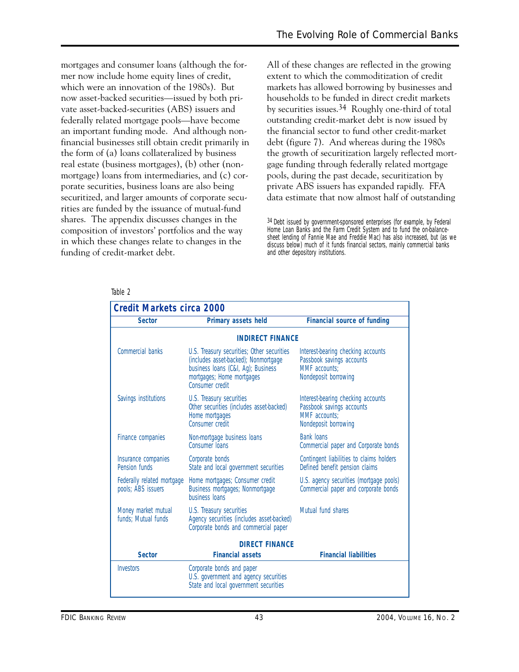mortgages and consumer loans (although the former now include home equity lines of credit, which were an innovation of the 1980s). But now asset-backed securities—issued by both private asset-backed-securities (ABS) issuers and federally related mortgage pools—have become an important funding mode. And although nonfinancial businesses still obtain credit primarily in the form of (a) loans collateralized by business real estate (business mortgages), (b) other (nonmortgage) loans from intermediaries, and (c) corporate securities, business loans are also being securitized, and larger amounts of corporate securities are funded by the issuance of mutual-fund shares. The appendix discusses changes in the composition of investors' portfolios and the way in which these changes relate to changes in the funding of credit-market debt.

All of these changes are reflected in the growing extent to which the commoditization of credit markets has allowed borrowing by businesses and households to be funded in direct credit markets by securities issues.34 Roughly one-third of total outstanding credit-market debt is now issued by the financial sector to fund other credit-market debt (figure 7). And whereas during the 1980s the growth of securitization largely reflected mortgage funding through federally related mortgage pools, during the past decade, securitization by private ABS issuers has expanded rapidly. FFA data estimate that now almost half of outstanding

<sup>34</sup> Debt issued by government-sponsored enterprises (for example, by Federal Home Loan Banks and the Farm Credit System and to fund the on-balancesheet lending of Fannie Mae and Freddie Mac) has also increased, but (as we discuss below) much of it funds financial sectors, mainly commercial banks and other depository institutions.

| <b>Sector</b>                                    | Primary assets held                                                                                                                                                      | <b>Financial source of funding</b>                                                                       |  |  |  |  |
|--------------------------------------------------|--------------------------------------------------------------------------------------------------------------------------------------------------------------------------|----------------------------------------------------------------------------------------------------------|--|--|--|--|
| <b>INDIRECT FINANCE</b>                          |                                                                                                                                                                          |                                                                                                          |  |  |  |  |
| Commercial banks                                 | U.S. Treasury securities; Other securities<br>(includes asset-backed); Nonmortgage<br>business loans (C&I, Ag); Business<br>mortgages; Home mortgages<br>Consumer credit | Interest-bearing checking accounts<br>Passbook savings accounts<br>MMF accounts:<br>Nondeposit borrowing |  |  |  |  |
| Savings institutions                             | U.S. Treasury securities<br>Other securities (includes asset-backed)<br>Home mortgages<br>Consumer credit                                                                | Interest-bearing checking accounts<br>Passbook savings accounts<br>MMF accounts:<br>Nondeposit borrowing |  |  |  |  |
| Finance companies                                | Non-mortgage business loans<br>Consumer Joans                                                                                                                            | <b>Bank loans</b><br>Commercial paper and Corporate bonds                                                |  |  |  |  |
| Insurance companies<br>Pension funds             | Corporate bonds<br>State and local government securities                                                                                                                 | Contingent liabilities to claims holders<br>Defined benefit pension claims                               |  |  |  |  |
| Federally related mortgage<br>pools; ABS issuers | Home mortgages; Consumer credit<br>Business mortgages; Nonmortgage<br>business loans                                                                                     | U.S. agency securities (mortgage pools)<br>Commercial paper and corporate bonds                          |  |  |  |  |
| Money market mutual<br>funds; Mutual funds       | U.S. Treasury securities<br>Agency securities (includes asset-backed)<br>Corporate bonds and commercial paper                                                            | Mutual fund shares                                                                                       |  |  |  |  |
|                                                  | <b>DIRECT FINANCE</b>                                                                                                                                                    |                                                                                                          |  |  |  |  |
| <b>Sector</b>                                    | <b>Financial assets</b>                                                                                                                                                  | <b>Financial liabilities</b>                                                                             |  |  |  |  |
| Investors                                        | Corporate bonds and paper<br>U.S. government and agency securities<br>State and local government securities                                                              |                                                                                                          |  |  |  |  |

#### Table 2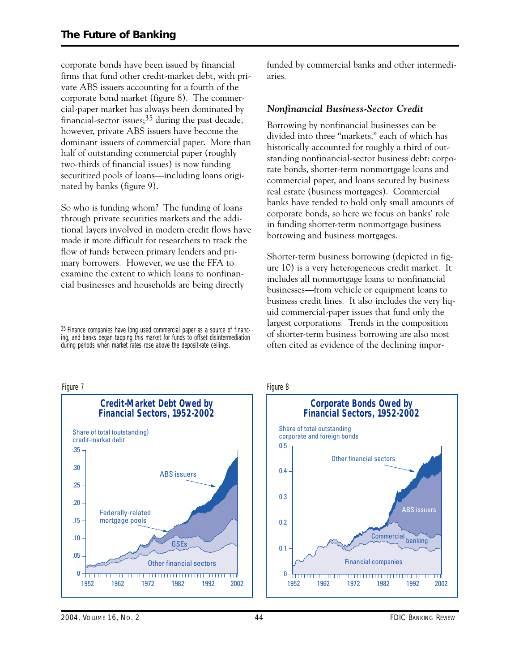corporate bonds have been issued by financial firms that fund other credit-market debt, with private ABS issuers accounting for a fourth of the corporate bond market (figure 8). The commercial-paper market has always been dominated by financial-sector issues;  $35$  during the past decade, however, private ABS issuers have become the dominant issuers of commercial paper. More than half of outstanding commercial paper (roughly two-thirds of financial issues) is now funding securitized pools of loans—including loans originated by banks (figure 9).

So who is funding whom? The funding of loans through private securities markets and the additional layers involved in modern credit flows have made it more difficult for researchers to track the flow of funds between primary lenders and primary borrowers. However, we use the FFA to examine the extent to which loans to nonfinancial businesses and households are being directly

<sup>35</sup> Finance companies have long used commercial paper as a source of financing, and banks began tapping this market for funds to offset disintermediation during periods when market rates rose above the deposit-rate ceilings.

funded by commercial banks and other intermediaries.

# *Nonfinancial Business-Sector Credit*

Borrowing by nonfinancial businesses can be divided into three "markets," each of which has historically accounted for roughly a third of outstanding nonfinancial-sector business debt: corporate bonds, shorter-term nonmortgage loans and commercial paper, and loans secured by business real estate (business mortgages). Commercial banks have tended to hold only small amounts of corporate bonds, so here we focus on banks' role in funding shorter-term nonmortgage business borrowing and business mortgages.

Shorter-term business borrowing (depicted in figure 10) is a very heterogeneous credit market. It includes all nonmortgage loans to nonfinancial businesses—from vehicle or equipment loans to business credit lines. It also includes the very liquid commercial-paper issues that fund only the largest corporations. Trends in the composition of shorter-term business borrowing are also most often cited as evidence of the declining impor-



Figure 8

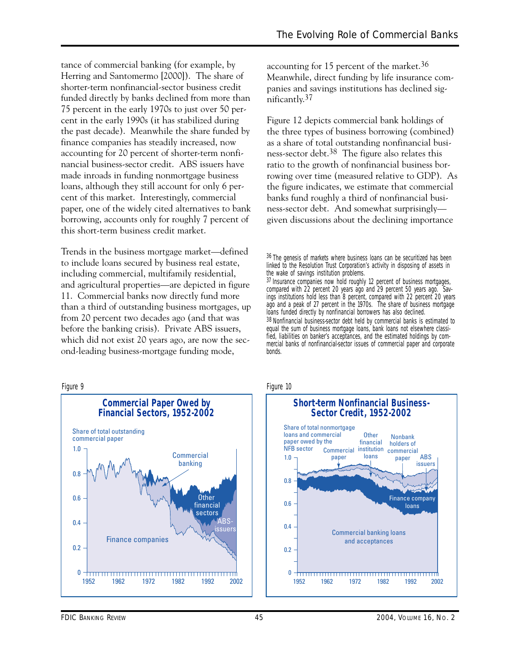tance of commercial banking (for example, by Herring and Santomermo [2000]). The share of shorter-term nonfinancial-sector business credit funded directly by banks declined from more than 75 percent in the early 1970s to just over 50 percent in the early 1990s (it has stabilized during the past decade). Meanwhile the share funded by finance companies has steadily increased, now accounting for 20 percent of shorter-term nonfinancial business-sector credit. ABS issuers have made inroads in funding nonmortgage business loans, although they still account for only 6 percent of this market. Interestingly, commercial paper, one of the widely cited alternatives to bank borrowing, accounts only for roughly 7 percent of this short-term business credit market.

Trends in the business mortgage market—defined to include loans secured by business real estate, including commercial, multifamily residential, and agricultural properties—are depicted in figure 11. Commercial banks now directly fund more than a third of outstanding business mortgages, up from 20 percent two decades ago (and that was before the banking crisis). Private ABS issuers, which did not exist 20 years ago, are now the second-leading business-mortgage funding mode,

accounting for 15 percent of the market.36 Meanwhile, direct funding by life insurance companies and savings institutions has declined significantly.37

Figure 12 depicts commercial bank holdings of the three types of business borrowing (combined) as a share of total outstanding nonfinancial business-sector debt.38 The figure also relates this ratio to the growth of nonfinancial business borrowing over time (measured relative to GDP). As the figure indicates, we estimate that commercial banks fund roughly a third of nonfinancial business-sector debt. And somewhat surprisingly given discussions about the declining importance

36 The genesis of markets where business loans can be securitized has been linked to the Resolution Trust Corporation's activity in disposing of assets in the wake of savings institution problems. 37 Insurance companies now hold roughly 12 percent of business mortgages, compared with 22 percent 20 years ago and 29 percent 50 years ago. Savings institutions hold less than 8 percent, compared with 22 percent 20 years ago and a peak of 27 percent in the 1970s. The share of business mortgage loans funded directly by nonfinancial borrowers has also declined. 38 Nonfinancial business-sector debt held by commercial banks is estimated to equal the sum of business mortgage loans, bank loans not elsewhere classified, liabilities on banker's acceptances, and the estimated holdings by commercial banks of nonfinancial-sector issues of commercial paper and corporate bonds.



Figure 10

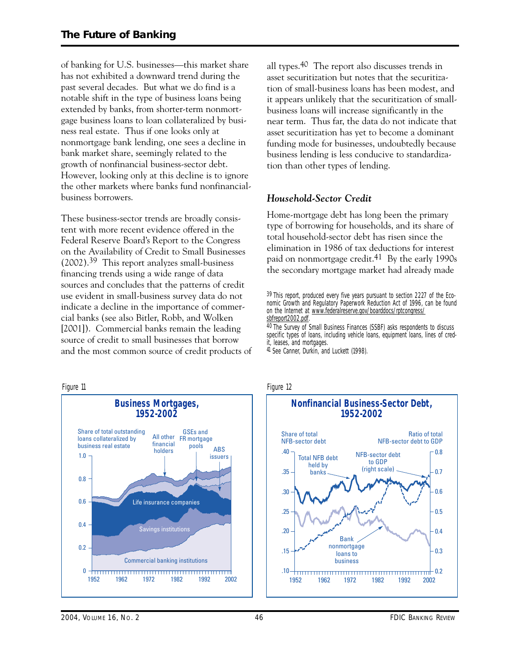of banking for U.S. businesses—this market share has not exhibited a downward trend during the past several decades. But what we do find is a notable shift in the type of business loans being extended by banks, from shorter-term nonmortgage business loans to loan collateralized by business real estate. Thus if one looks only at nonmortgage bank lending, one sees a decline in bank market share, seemingly related to the growth of nonfinancial business-sector debt. However, looking only at this decline is to ignore the other markets where banks fund nonfinancialbusiness borrowers.

These business-sector trends are broadly consistent with more recent evidence offered in the Federal Reserve Board's Report to the Congress on the Availability of Credit to Small Businesses (2002).39 This report analyzes small-business financing trends using a wide range of data sources and concludes that the patterns of credit use evident in small-business survey data do not indicate a decline in the importance of commercial banks (see also Bitler, Robb, and Wolken [2001]). Commercial banks remain the leading source of credit to small businesses that borrow and the most common source of credit products of

Figure 11



all types.40 The report also discusses trends in asset securitization but notes that the securitization of small-business loans has been modest, and it appears unlikely that the securitization of smallbusiness loans will increase significantly in the near term. Thus far, the data do not indicate that asset securitization has yet to become a dominant funding mode for businesses, undoubtedly because business lending is less conducive to standardization than other types of lending.

#### *Household-Sector Credit*

Home-mortgage debt has long been the primary type of borrowing for households, and its share of total household-sector debt has risen since the elimination in 1986 of tax deductions for interest paid on nonmortgage credit.41 By the early 1990s the secondary mortgage market had already made

<u>sbfreport2002.pdf</u>.<br><sup>40</sup> The Survey of Small Business Finances (SSBF) asks respondents to discuss specific types of loans, including vehicle loans, equipment loans, lines of credit, leases, and mortgages.

41 See Canner, Durkin, and Luckett (1998).



*2004, VOLUME 16, NO. 2 46 FDIC BANKING REVIEW* 

<sup>39</sup> This report, produced every five years pursuant to section 2227 of the Economic Growth and Regulatory Paperwork Reduction Act of 1996, can be found on the Internet at www.federalreserve.gov/boarddocs/rptcongress/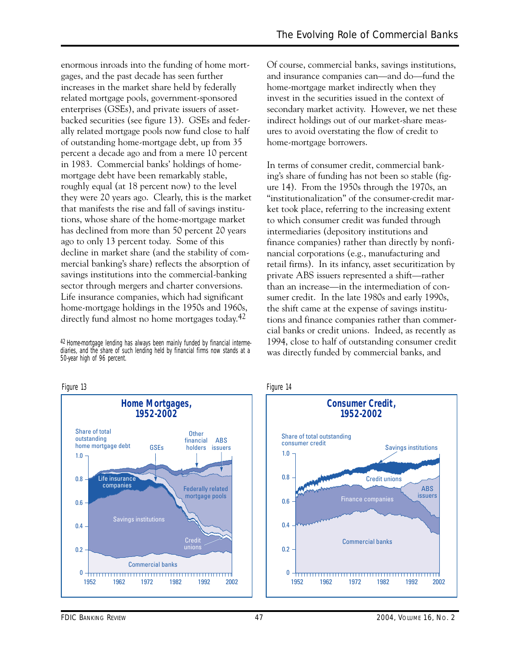enormous inroads into the funding of home mortgages, and the past decade has seen further increases in the market share held by federally related mortgage pools, government-sponsored enterprises (GSEs), and private issuers of assetbacked securities (see figure 13). GSEs and federally related mortgage pools now fund close to half of outstanding home-mortgage debt, up from 35 percent a decade ago and from a mere 10 percent in 1983. Commercial banks' holdings of homemortgage debt have been remarkably stable, roughly equal (at 18 percent now) to the level they were 20 years ago. Clearly, this is the market that manifests the rise and fall of savings institutions, whose share of the home-mortgage market has declined from more than 50 percent 20 years ago to only 13 percent today. Some of this decline in market share (and the stability of commercial banking's share) reflects the absorption of savings institutions into the commercial-banking sector through mergers and charter conversions. Life insurance companies, which had significant home-mortgage holdings in the 1950s and 1960s, directly fund almost no home mortgages today.42

<sup>42</sup> Home-mortgage lending has always been mainly funded by financial intermediaries, and the share of such lending held by financial firms now stands at a 50-year high of 96 percent.

Of course, commercial banks, savings institutions, and insurance companies can—and do—fund the home-mortgage market indirectly when they invest in the securities issued in the context of secondary market activity. However, we net these indirect holdings out of our market-share measures to avoid overstating the flow of credit to home-mortgage borrowers.

In terms of consumer credit, commercial banking's share of funding has not been so stable (figure 14). From the 1950s through the 1970s, an "institutionalization" of the consumer-credit market took place, referring to the increasing extent to which consumer credit was funded through intermediaries (depository institutions and finance companies) rather than directly by nonfinancial corporations (e.g., manufacturing and retail firms). In its infancy, asset securitization by private ABS issuers represented a shift—rather than an increase—in the intermediation of consumer credit. In the late 1980s and early 1990s, the shift came at the expense of savings institutions and finance companies rather than commercial banks or credit unions. Indeed, as recently as 1994, close to half of outstanding consumer credit was directly funded by commercial banks, and



Figure 14

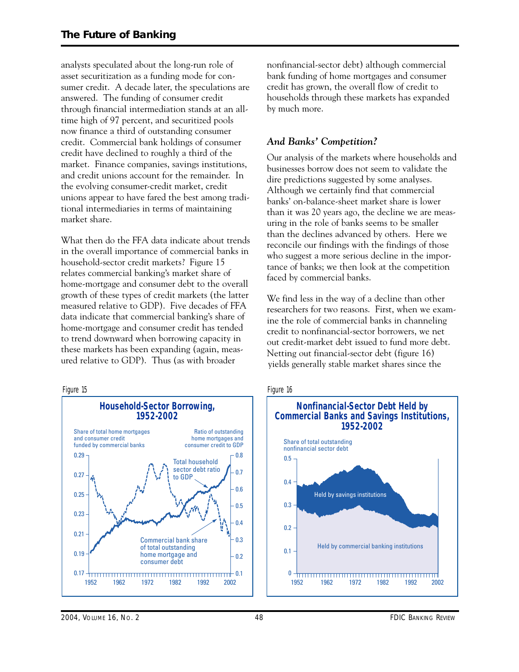sumer credit. A decade later, the speculations are analysts speculated about the long-run role of asset securitization as a funding mode for conanswered. The funding of consumer credit through financial intermediation stands at an alltime high of 97 percent, and securitized pools now finance a third of outstanding consumer credit. Commercial bank holdings of consumer credit have declined to roughly a third of the market. Finance companies, savings institutions, and credit unions account for the remainder. In the evolving consumer-credit market, credit unions appear to have fared the best among traditional intermediaries in terms of maintaining market share.

What then do the FFA data indicate about trends in the overall importance of commercial banks in household-sector credit markets? Figure 15 relates commercial banking's market share of home-mortgage and consumer debt to the overall growth of these types of credit markets (the latter measured relative to GDP). Five decades of FFA data indicate that commercial banking's share of home-mortgage and consumer credit has tended to trend downward when borrowing capacity in these markets has been expanding (again, measured relative to GDP). Thus (as with broader



nonfinancial-sector debt) although commercial bank funding of home mortgages and consumer credit has grown, the overall flow of credit to households through these markets has expanded by much more.

# *And Banks' Competition?*

Our analysis of the markets where households and businesses borrow does not seem to validate the dire predictions suggested by some analyses. Although we certainly find that commercial banks' on-balance-sheet market share is lower than it was 20 years ago, the decline we are measuring in the role of banks seems to be smaller than the declines advanced by others. Here we reconcile our findings with the findings of those who suggest a more serious decline in the importance of banks; we then look at the competition faced by commercial banks.

We find less in the way of a decline than other researchers for two reasons. First, when we examine the role of commercial banks in channeling credit to nonfinancial-sector borrowers, we net out credit-market debt issued to fund more debt. Netting out financial-sector debt (figure 16) yields generally stable market shares since the

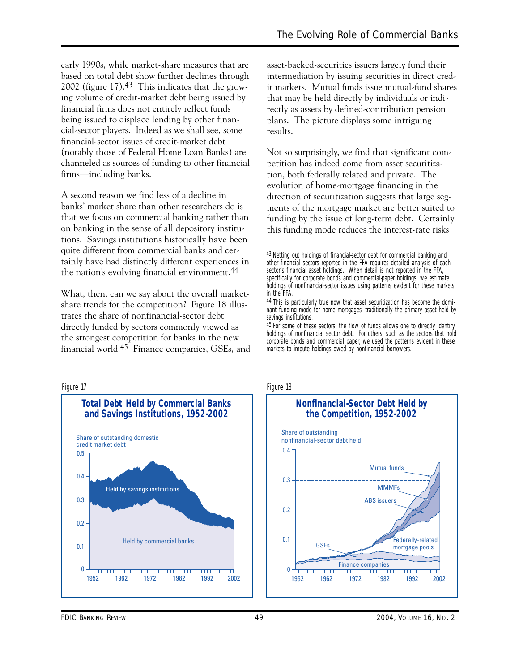early 1990s, while market-share measures that are based on total debt show further declines through 2002 (figure 17).43 This indicates that the growing volume of credit-market debt being issued by financial firms does not entirely reflect funds being issued to displace lending by other financial-sector players. Indeed as we shall see, some financial-sector issues of credit-market debt (notably those of Federal Home Loan Banks) are channeled as sources of funding to other financial firms—including banks.

A second reason we find less of a decline in banks' market share than other researchers do is that we focus on commercial banking rather than on banking in the sense of all depository institutions. Savings institutions historically have been quite different from commercial banks and certainly have had distinctly different experiences in the nation's evolving financial environment.44

What, then, can we say about the overall marketshare trends for the competition? Figure 18 illustrates the share of nonfinancial-sector debt directly funded by sectors commonly viewed as the strongest competition for banks in the new financial world.45 Finance companies, GSEs, and asset-backed-securities issuers largely fund their intermediation by issuing securities in direct credit markets. Mutual funds issue mutual-fund shares that may be held directly by individuals or indirectly as assets by defined-contribution pension plans. The picture displays some intriguing results.

Not so surprisingly, we find that significant competition has indeed come from asset securitization, both federally related and private. The evolution of home-mortgage financing in the direction of securitization suggests that large segments of the mortgage market are better suited to funding by the issue of long-term debt. Certainly this funding mode reduces the interest-rate risks

45 For some of these sectors, the flow of funds allows one to directly identify holdings of nonfinancial sector debt. For others, such as the sectors that hold corporate bonds and commercial paper, we used the patterns evident in these markets to impute holdings owed by nonfinancial borrowers.



Figure 18



<sup>43</sup> Netting out holdings of financial-sector debt for commercial banking and other financial sectors reported in the FFA requires detailed analysis of each sector's financial asset holdings. When detail is not reported in the FFA, specifically for corporate bonds and commercial-paper holdings, we estimate holdings of nonfinancial-sector issues using patterns evident for these markets in the FFA.

<sup>44</sup> This is particularly true now that asset securitization has become the dominant funding mode for home mortgages—traditionally the primary asset held by savings institutions.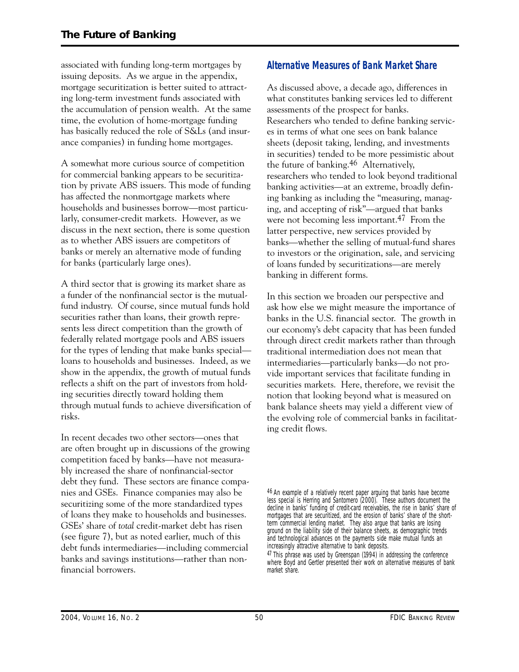associated with funding long-term mortgages by issuing deposits. As we argue in the appendix, mortgage securitization is better suited to attracting long-term investment funds associated with the accumulation of pension wealth. At the same time, the evolution of home-mortgage funding has basically reduced the role of S&Ls (and insurance companies) in funding home mortgages.

A somewhat more curious source of competition for commercial banking appears to be securitization by private ABS issuers. This mode of funding has affected the nonmortgage markets where households and businesses borrow—most particularly, consumer-credit markets. However, as we discuss in the next section, there is some question as to whether ABS issuers are competitors of banks or merely an alternative mode of funding for banks (particularly large ones).

A third sector that is growing its market share as a funder of the nonfinancial sector is the mutualfund industry. Of course, since mutual funds hold securities rather than loans, their growth represents less direct competition than the growth of federally related mortgage pools and ABS issuers for the types of lending that make banks special loans to households and businesses. Indeed, as we show in the appendix, the growth of mutual funds reflects a shift on the part of investors from holding securities directly toward holding them through mutual funds to achieve diversification of risks.

In recent decades two other sectors—ones that are often brought up in discussions of the growing competition faced by banks—have not measurably increased the share of nonfinancial-sector debt they fund. These sectors are finance companies and GSEs. Finance companies may also be securitizing some of the more standardized types of loans they make to households and businesses. GSEs' share of *total* credit-market debt has risen (see figure 7), but as noted earlier, much of this debt funds intermediaries—including commercial banks and savings institutions—rather than nonfinancial borrowers.

# **Alternative Measures of Bank Market Share**

As discussed above, a decade ago, differences in what constitutes banking services led to different assessments of the prospect for banks. Researchers who tended to define banking services in terms of what one sees on bank balance sheets (deposit taking, lending, and investments in securities) tended to be more pessimistic about the future of banking.46 Alternatively, researchers who tended to look beyond traditional banking activities—at an extreme, broadly defining banking as including the "measuring, managing, and accepting of risk"—argued that banks were not becoming less important.47 From the latter perspective, new services provided by banks—whether the selling of mutual-fund shares to investors or the origination, sale, and servicing of loans funded by securitizations—are merely banking in different forms.

In this section we broaden our perspective and ask how else we might measure the importance of banks in the U.S. financial sector. The growth in our economy's debt capacity that has been funded through direct credit markets rather than through traditional intermediation does not mean that intermediaries—particularly banks—do not provide important services that facilitate funding in securities markets. Here, therefore, we revisit the notion that looking beyond what is measured on bank balance sheets may yield a different view of the evolving role of commercial banks in facilitating credit flows.

<sup>46</sup> An example of a relatively recent paper arguing that banks have become less special is Herring and Santomero (2000). These authors document the decline in banks' funding of credit-card receivables, the rise in banks' share of mortgages that are securitized, and the erosion of banks' share of the shortterm commercial lending market. They also argue that banks are losing ground on the liability side of their balance sheets, as demographic trends and technological advances on the payments side make mutual funds an increasingly attractive alternative to bank deposits.

<sup>47</sup> This phrase was used by Greenspan (1994) in addressing the conference where Boyd and Gertler presented their work on alternative measures of bank market share.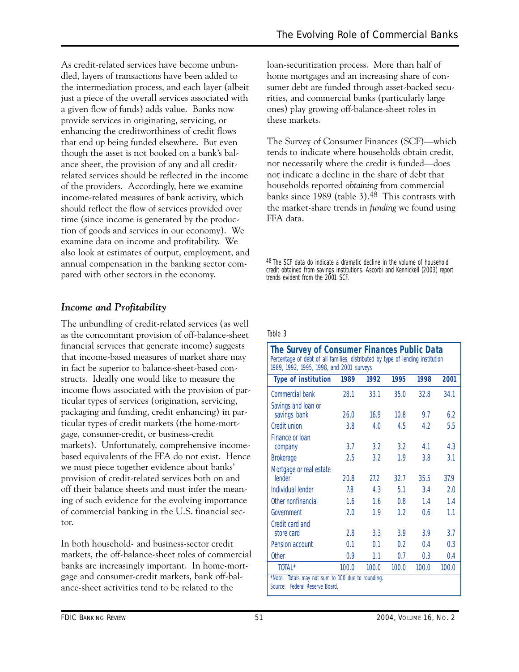As credit-related services have become unbundled, layers of transactions have been added to the intermediation process, and each layer (albeit just a piece of the overall services associated with a given flow of funds) adds value. Banks now provide services in originating, servicing, or enhancing the creditworthiness of credit flows that end up being funded elsewhere. But even though the asset is not booked on a bank's balance sheet, the provision of any and all creditrelated services should be reflected in the income of the providers. Accordingly, here we examine income-related measures of bank activity, which should reflect the flow of services provided over time (since income is generated by the production of goods and services in our economy). We

examine data on income and profitability. We also look at estimates of output, employment, and annual compensation in the banking sector compared with other sectors in the economy.

#### *Income and Profitability*

The unbundling of credit-related services (as well as the concomitant provision of off-balance-sheet financial services that generate income) suggests that income-based measures of market share may in fact be superior to balance-sheet-based constructs. Ideally one would like to measure the income flows associated with the provision of particular types of services (origination, servicing, packaging and funding, credit enhancing) in particular types of credit markets (the home-mortgage, consumer-credit, or business-credit markets). Unfortunately, comprehensive incomebased equivalents of the FFA do not exist. Hence we must piece together evidence about banks' provision of credit-related services both on and off their balance sheets and must infer the meaning of such evidence for the evolving importance of commercial banking in the U.S. financial sector.

In both household- and business-sector credit markets, the off-balance-sheet roles of commercial banks are increasingly important. In home-mortgage and consumer-credit markets, bank off-balance-sheet activities tend to be related to the

loan-securitization process. More than half of home mortgages and an increasing share of consumer debt are funded through asset-backed securities, and commercial banks (particularly large ones) play growing off-balance-sheet roles in these markets.

The Survey of Consumer Finances (SCF)—which tends to indicate where households obtain credit, not necessarily where the credit is funded—does not indicate a decline in the share of debt that households reported *obtaining* from commercial banks since 1989 (table 3).48 This contrasts with the market-share trends in *funding* we found using FFA data.

48 The SCF data do indicate a dramatic decline in the volume of household credit obtained from savings institutions. Ascorbi and Kennickell (2003) report trends evident from the 2001 SCF.

Table 3

| The Survey of Consumer Finances Public Data<br>Percentage of debt of all families, distributed by type of lending institution<br>1989, 1992, 1995, 1998, and 2001 surveys |       |       |       |       |       |  |  |  |  |
|---------------------------------------------------------------------------------------------------------------------------------------------------------------------------|-------|-------|-------|-------|-------|--|--|--|--|
| <b>Type of institution</b>                                                                                                                                                | 1989  | 1992  | 1995  | 1998  | 2001  |  |  |  |  |
| Commercial bank                                                                                                                                                           | 28.1  | 33.1  | 35.0  | 32.8  | 34.1  |  |  |  |  |
| Savings and loan or<br>savings bank                                                                                                                                       | 26.0  | 16.9  | 10.8  | 9.7   | 6.2   |  |  |  |  |
| Credit union                                                                                                                                                              | 3.8   | 4.0   | 4.5   | 4.2   | 5.5   |  |  |  |  |
| Finance or loan<br>company                                                                                                                                                | 3.7   | 3.2   | 3.2   | 4.1   | 4.3   |  |  |  |  |
| <b>Brokerage</b>                                                                                                                                                          | 2.5   | 3.2   | 1.9   | 3.8   | 3.1   |  |  |  |  |
| Mortgage or real estate<br>lender                                                                                                                                         | 20.8  | 77.2  | 32.7  | 35.5  | 37.9  |  |  |  |  |
| Individual lender                                                                                                                                                         | 7.8   | 4.3   | 5.1   | 3.4   | 2.0   |  |  |  |  |
| Other nonfinancial                                                                                                                                                        | 1.6   | 16    | 0.8   | 1.4   | 1.4   |  |  |  |  |
| Government                                                                                                                                                                | 2.0   | 1.9   | 1.2   | 0.6   | 1.1   |  |  |  |  |
| Credit card and<br>store card                                                                                                                                             | 28    | 3.3   | 3.9   | 3.9   | 3.7   |  |  |  |  |
| Pension account                                                                                                                                                           | 0.1   | 01    | 0.2   | 0.4   | 0.3   |  |  |  |  |
| <b>Other</b>                                                                                                                                                              | 0.9   | 1.1   | 0.7   | 0.3   | 0.4   |  |  |  |  |
| TOTAL*                                                                                                                                                                    | 100.0 | 100.0 | 100.0 | 100.0 | 100.0 |  |  |  |  |
| <i>* Note:</i> Totals may not sum to 100 due to rounding.<br>Source: Federal Reserve Board.                                                                               |       |       |       |       |       |  |  |  |  |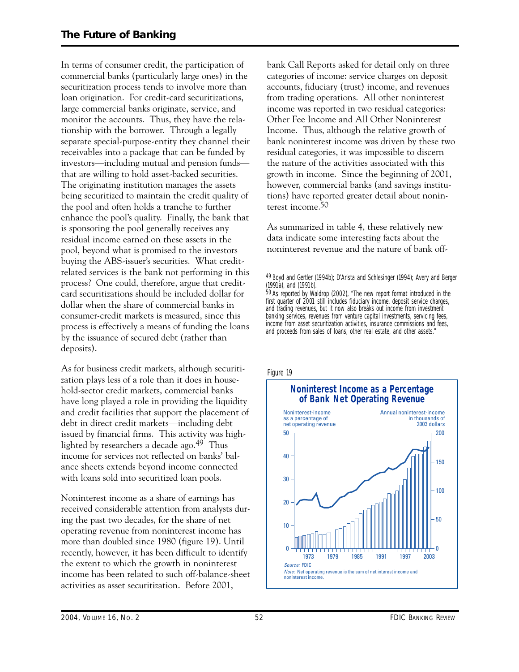In terms of consumer credit, the participation of commercial banks (particularly large ones) in the securitization process tends to involve more than loan origination. For credit-card securitizations, large commercial banks originate, service, and monitor the accounts. Thus, they have the relationship with the borrower. Through a legally separate special-purpose-entity they channel their receivables into a package that can be funded by investors—including mutual and pension funds that are willing to hold asset-backed securities. The originating institution manages the assets being securitized to maintain the credit quality of the pool and often holds a tranche to further enhance the pool's quality. Finally, the bank that is sponsoring the pool generally receives any residual income earned on these assets in the pool, beyond what is promised to the investors buying the ABS-issuer's securities. What creditrelated services is the bank not performing in this process? One could, therefore, argue that creditcard securitizations should be included dollar for dollar when the share of commercial banks in consumer-credit markets is measured, since this process is effectively a means of funding the loans by the issuance of secured debt (rather than deposits).

As for business credit markets, although securitization plays less of a role than it does in household-sector credit markets, commercial banks have long played a role in providing the liquidity and credit facilities that support the placement of debt in direct credit markets—including debt issued by financial firms. This activity was highlighted by researchers a decade ago.49 Thus income for services not reflected on banks' balance sheets extends beyond income connected with loans sold into securitized loan pools.

Noninterest income as a share of earnings has received considerable attention from analysts during the past two decades, for the share of net operating revenue from noninterest income has more than doubled since 1980 (figure 19). Until recently, however, it has been difficult to identify the extent to which the growth in noninterest income has been related to such off-balance-sheet activities as asset securitization. Before 2001,

bank Call Reports asked for detail only on three categories of income: service charges on deposit accounts, fiduciary (trust) income, and revenues from trading operations. All other noninterest income was reported in two residual categories: Other Fee Income and All Other Noninterest Income. Thus, although the relative growth of bank noninterest income was driven by these two residual categories, it was impossible to discern the nature of the activities associated with this growth in income. Since the beginning of 2001, however, commercial banks (and savings institutions) have reported greater detail about noninterest income.50

As summarized in table 4, these relatively new data indicate some interesting facts about the noninterest revenue and the nature of bank off-

50 As reported by Waldrop (2002), "The new report format introduced in the first quarter of 2001 still includes fiduciary income, deposit service charges, and trading revenues, but it now also breaks out income from investment banking services, revenues from venture capital investments, servicing fees, income from asset securitization activities, insurance commissions and fees, and proceeds from sales of loans, other real estate, and other assets."

#### Figure 19



<sup>49</sup> Boyd and Gertler (1994b); D'Arista and Schlesinger (1994); Avery and Berger (1991a), and (1991b).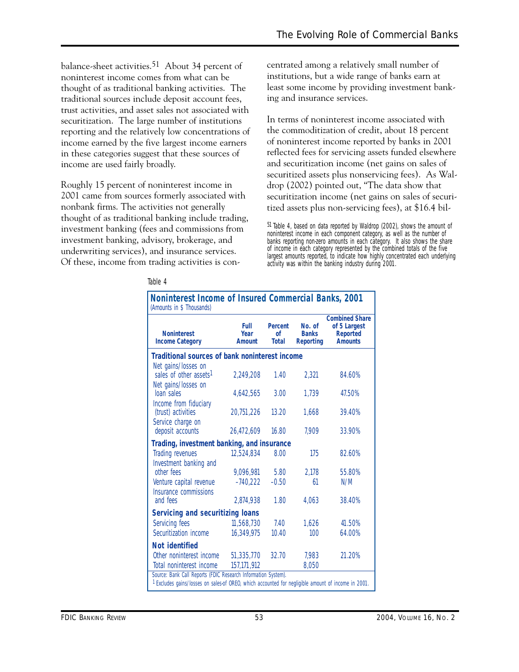balance-sheet activities.<sup>51</sup> About 34 percent of noninterest income comes from what can be thought of as traditional banking activities. The traditional sources include deposit account fees, trust activities, and asset sales not associated with securitization. The large number of institutions reporting and the relatively low concentrations of income earned by the five largest income earners in these categories suggest that these sources of income are used fairly broadly.

Roughly 15 percent of noninterest income in 2001 came from sources formerly associated with nonbank firms. The activities not generally thought of as traditional banking include trading, investment banking (fees and commissions from investment banking, advisory, brokerage, and underwriting services), and insurance services. Of these, income from trading activities is concentrated among a relatively small number of institutions, but a wide range of banks earn at least some income by providing investment banking and insurance services.

In terms of noninterest income associated with the commoditization of credit, about 18 percent of noninterest income reported by banks in 2001 reflected fees for servicing assets funded elsewhere and securitization income (net gains on sales of securitized assets plus nonservicing fees). As Waldrop (2002) pointed out, "The data show that securitization income (net gains on sales of securitized assets plus non-servicing fees), at \$16.4 bil-

 banks reporting non-zero amounts in each category. It also shows the share 51 Table 4, based on data reported by Waldrop (2002), shows the amount of noninterest income in each component category, as well as the number of of income in each category represented by the combined totals of the five largest amounts reported, to indicate how highly concentrated each underlying activity was within the banking industry during 2001.

| <b>Noninterest</b><br><b>Income Category</b>                                     | <b>Full</b><br>Year<br><b>Amount</b> | <b>Percent</b><br><sub>of</sub><br><b>Total</b> | No. of<br><b>Banks</b><br><b>Reporting</b> | <b>Combined Share</b><br>of 5 Largest<br><b>Reported</b><br><b>Amounts</b> |
|----------------------------------------------------------------------------------|--------------------------------------|-------------------------------------------------|--------------------------------------------|----------------------------------------------------------------------------|
| <b>Traditional sources of bank noninterest income</b>                            |                                      |                                                 |                                            |                                                                            |
| Net gains/losses on<br>sales of other assets <sup>1</sup><br>Net gains/losses on | 2,249,208                            | 1.40                                            | 2,321                                      | 84.60%                                                                     |
| loan sales                                                                       | 4,642,565                            | 3.00                                            | 1.739                                      | 47.50%                                                                     |
| Income from fiduciary<br>(trust) activities<br>Service charge on                 | 20,751,226                           | 13.20                                           | 1.668                                      | 39.40%                                                                     |
| deposit accounts                                                                 | 26,472,609                           | 16.80                                           | 7,909                                      | 33.90%                                                                     |
| Trading, investment banking, and insurance                                       |                                      |                                                 |                                            |                                                                            |
| Trading revenues<br>Investment banking and                                       | 12,524,834                           | 8.00                                            | 175                                        | 82.60%                                                                     |
| other fees                                                                       | 9,096,981                            | 5.80                                            | 2,178                                      | 55.80%                                                                     |
| Venture capital revenue<br>Insurance commissions                                 | $-740,222$                           | $-0.50$                                         | 61                                         | N/M                                                                        |
| and fees                                                                         | 2,874,938                            | 1.80                                            | 4,063                                      | 38.40%                                                                     |
| Servicing and securitizing loans                                                 |                                      |                                                 |                                            |                                                                            |
| Servicing fees                                                                   | 11,568,730                           | 7.40                                            | 1.626                                      | 41.50%                                                                     |
| Securitization income                                                            | 16,349,975                           | 10.40                                           | 100                                        | 64.00%                                                                     |
| <b>Not identified</b>                                                            |                                      |                                                 |                                            |                                                                            |
| Other noninterest income                                                         | 51,335,770                           | 32.70                                           | 7.983                                      | 21.20%                                                                     |
| Total noninterest income                                                         | 157, 171, 912                        |                                                 | 8,050                                      |                                                                            |

#### Table 4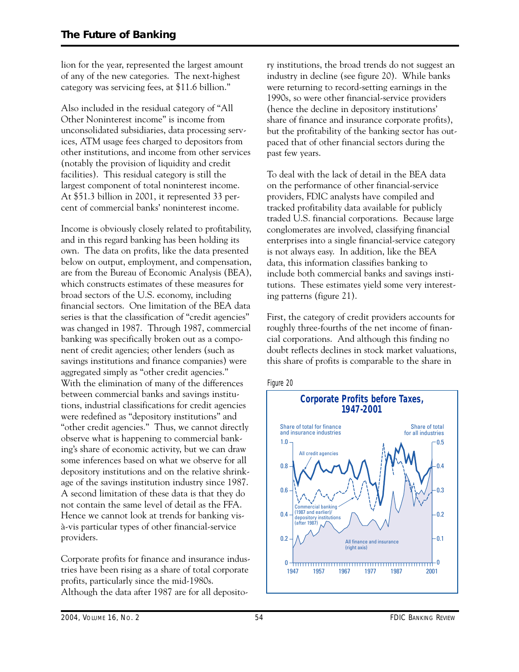lion for the year, represented the largest amount of any of the new categories. The next-highest category was servicing fees, at \$11.6 billion."

Also included in the residual category of "All Other Noninterest income" is income from unconsolidated subsidiaries, data processing services, ATM usage fees charged to depositors from other institutions, and income from other services (notably the provision of liquidity and credit facilities). This residual category is still the largest component of total noninterest income. At \$51.3 billion in 2001, it represented 33 percent of commercial banks' noninterest income.

Income is obviously closely related to profitability, and in this regard banking has been holding its own. The data on profits, like the data presented below on output, employment, and compensation, are from the Bureau of Economic Analysis (BEA), which constructs estimates of these measures for broad sectors of the U.S. economy, including financial sectors. One limitation of the BEA data series is that the classification of "credit agencies" was changed in 1987. Through 1987, commercial banking was specifically broken out as a component of credit agencies; other lenders (such as savings institutions and finance companies) were aggregated simply as "other credit agencies." With the elimination of many of the differences between commercial banks and savings institutions, industrial classifications for credit agencies were redefined as "depository institutions" and "other credit agencies." Thus, we cannot directly observe what is happening to commercial banking's share of economic activity, but we can draw some inferences based on what we observe for all depository institutions and on the relative shrinkage of the savings institution industry since 1987. A second limitation of these data is that they do not contain the same level of detail as the FFA. Hence we cannot look at trends for banking visà-vis particular types of other financial-service providers.

Corporate profits for finance and insurance industries have been rising as a share of total corporate profits, particularly since the mid-1980s. Although the data after 1987 are for all depository institutions, the broad trends do not suggest an industry in decline (see figure 20). While banks were returning to record-setting earnings in the 1990s, so were other financial-service providers (hence the decline in depository institutions' share of finance and insurance corporate profits), but the profitability of the banking sector has outpaced that of other financial sectors during the past few years.

To deal with the lack of detail in the BEA data on the performance of other financial-service providers, FDIC analysts have compiled and tracked profitability data available for publicly traded U.S. financial corporations. Because large conglomerates are involved, classifying financial enterprises into a single financial-service category is not always easy. In addition, like the BEA data, this information classifies banking to include both commercial banks and savings institutions. These estimates yield some very interesting patterns (figure 21).

First, the category of credit providers accounts for roughly three-fourths of the net income of financial corporations. And although this finding no doubt reflects declines in stock market valuations, this share of profits is comparable to the share in



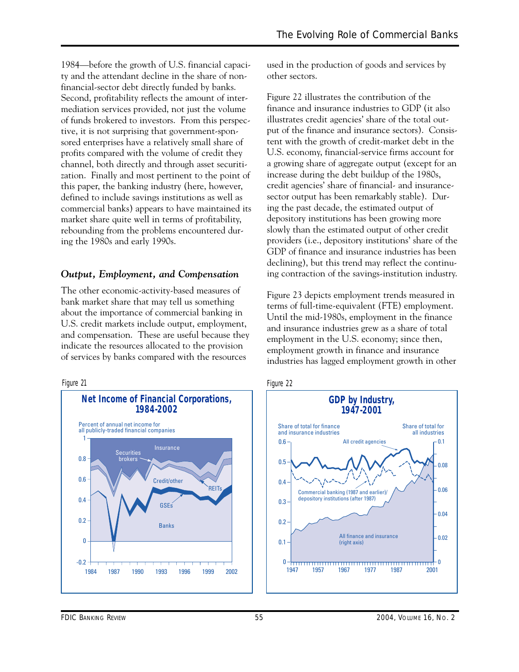1984—before the growth of U.S. financial capacity and the attendant decline in the share of nonfinancial-sector debt directly funded by banks. Second, profitability reflects the amount of intermediation services provided, not just the volume of funds brokered to investors. From this perspective, it is not surprising that government-sponsored enterprises have a relatively small share of profits compared with the volume of credit they channel, both directly and through asset securitization. Finally and most pertinent to the point of this paper, the banking industry (here, however, defined to include savings institutions as well as commercial banks) appears to have maintained its market share quite well in terms of profitability, rebounding from the problems encountered during the 1980s and early 1990s.

# *Output, Employment, and Compensation*

The other economic-activity-based measures of bank market share that may tell us something about the importance of commercial banking in U.S. credit markets include output, employment, and compensation. These are useful because they indicate the resources allocated to the provision of services by banks compared with the resources



used in the production of goods and services by other sectors.

Figure 22 illustrates the contribution of the finance and insurance industries to GDP (it also illustrates credit agencies' share of the total output of the finance and insurance sectors). Consistent with the growth of credit-market debt in the U.S. economy, financial-service firms account for a growing share of aggregate output (except for an increase during the debt buildup of the 1980s, credit agencies' share of financial- and insurancesector output has been remarkably stable). During the past decade, the estimated output of depository institutions has been growing more slowly than the estimated output of other credit providers (i.e., depository institutions' share of the GDP of finance and insurance industries has been declining), but this trend may reflect the continuing contraction of the savings-institution industry.

Figure 23 depicts employment trends measured in terms of full-time-equivalent (FTE) employment. Until the mid-1980s, employment in the finance and insurance industries grew as a share of total employment in the U.S. economy; since then, employment growth in finance and insurance industries has lagged employment growth in other



0.04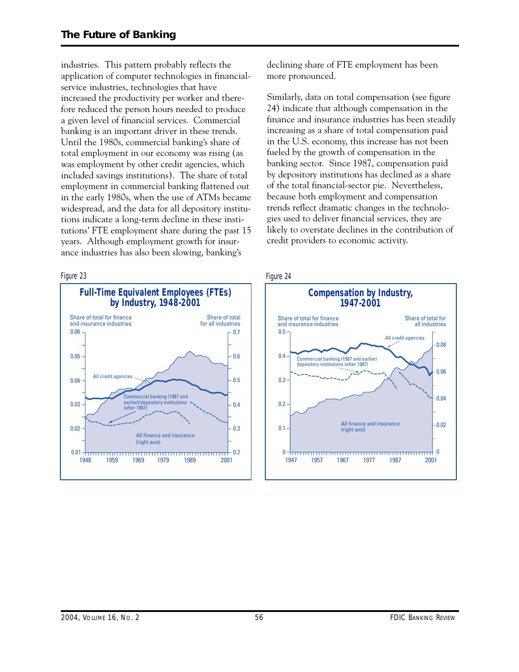industries. This pattern probably reflects the application of computer technologies in financialservice industries, technologies that have increased the productivity per worker and therefore reduced the person hours needed to produce a given level of financial services. Commercial banking is an important driver in these trends. Until the 1980s, commercial banking's share of total employment in our economy was rising (as was employment by other credit agencies, which included savings institutions). The share of total employment in commercial banking flattened out in the early 1980s, when the use of ATMs became widespread, and the data for all depository institutions indicate a long-term decline in these institutions' FTE employment share during the past 15 years. Although employment growth for insurance industries has also been slowing, banking's

Figure 23

**Full-Time Equivalent Employees (FTEs) by Industry, 1948-2001**  Share of total for finance<br>
and insurance industries<br>
for all industries and insurance industries  $0.06 \, \text{m}$  $0.05 - 0.6$  $\begin{array}{|c|c|c|c|}\n\hline\n0.04 & \text{All credit agencies} & & & \text{0.5} \end{array}$ Commercial banking (1987 and  $\begin{array}{|c|c|c|c|c|}\n\hline\n0.03 & \text{earlier}/\text{depository institutions} & \text{excess} & \text{0.4} \\
\hline\n\end{array}$  $0.02 - 0.3$ All finance and insurance (right axis) 0.01 0.2 1948 1959 1969 1979 1989 2001

declining share of FTE employment has been more pronounced.

Similarly, data on total compensation (see figure 24) indicate that although compensation in the finance and insurance industries has been steadily increasing as a share of total compensation paid in the U.S. economy, this increase has not been fueled by the growth of compensation in the banking sector. Since 1987, compensation paid by depository institutions has declined as a share of the total financial-sector pie. Nevertheless, because both employment and compensation trends reflect dramatic changes in the technologies used to deliver financial services, they are likely to overstate declines in the contribution of credit providers to economic activity.

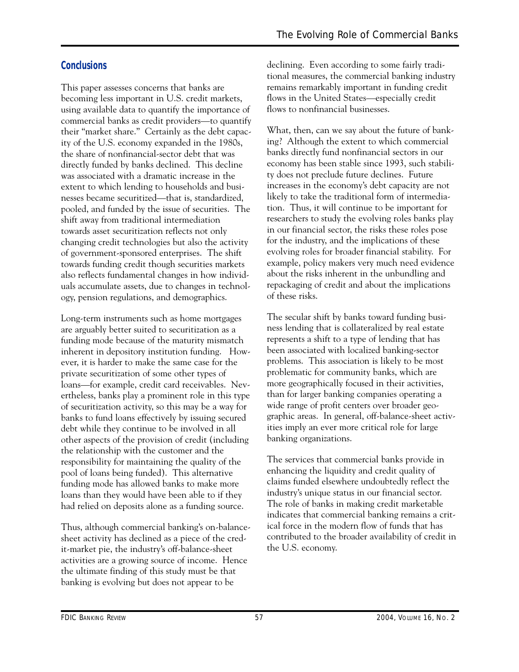#### **Conclusions**

This paper assesses concerns that banks are becoming less important in U.S. credit markets, using available data to quantify the importance of commercial banks as credit providers—to quantify their "market share." Certainly as the debt capacity of the U.S. economy expanded in the 1980s, the share of nonfinancial-sector debt that was directly funded by banks declined. This decline was associated with a dramatic increase in the extent to which lending to households and businesses became securitized—that is, standardized, pooled, and funded by the issue of securities. The shift away from traditional intermediation towards asset securitization reflects not only changing credit technologies but also the activity of government-sponsored enterprises. The shift towards funding credit though securities markets also reflects fundamental changes in how individuals accumulate assets, due to changes in technology, pension regulations, and demographics.

Long-term instruments such as home mortgages are arguably better suited to securitization as a funding mode because of the maturity mismatch inherent in depository institution funding. However, it is harder to make the same case for the private securitization of some other types of loans—for example, credit card receivables. Nevertheless, banks play a prominent role in this type of securitization activity, so this may be a way for banks to fund loans effectively by issuing secured debt while they continue to be involved in all other aspects of the provision of credit (including the relationship with the customer and the responsibility for maintaining the quality of the pool of loans being funded). This alternative funding mode has allowed banks to make more loans than they would have been able to if they had relied on deposits alone as a funding source.

Thus, although commercial banking's on-balancesheet activity has declined as a piece of the credit-market pie, the industry's off-balance-sheet activities are a growing source of income. Hence the ultimate finding of this study must be that banking is evolving but does not appear to be

declining. Even according to some fairly traditional measures, the commercial banking industry remains remarkably important in funding credit flows in the United States—especially credit flows to nonfinancial businesses.

What, then, can we say about the future of banking? Although the extent to which commercial banks directly fund nonfinancial sectors in our economy has been stable since 1993, such stability does not preclude future declines. Future increases in the economy's debt capacity are not likely to take the traditional form of intermediation. Thus, it will continue to be important for researchers to study the evolving roles banks play in our financial sector, the risks these roles pose for the industry, and the implications of these evolving roles for broader financial stability. For example, policy makers very much need evidence about the risks inherent in the unbundling and repackaging of credit and about the implications of these risks.

The secular shift by banks toward funding business lending that is collateralized by real estate represents a shift to a type of lending that has been associated with localized banking-sector problems. This association is likely to be most problematic for community banks, which are more geographically focused in their activities, than for larger banking companies operating a wide range of profit centers over broader geographic areas. In general, off-balance-sheet activities imply an ever more critical role for large banking organizations.

The services that commercial banks provide in enhancing the liquidity and credit quality of claims funded elsewhere undoubtedly reflect the industry's unique status in our financial sector. The role of banks in making credit marketable indicates that commercial banking remains a critical force in the modern flow of funds that has contributed to the broader availability of credit in the U.S. economy.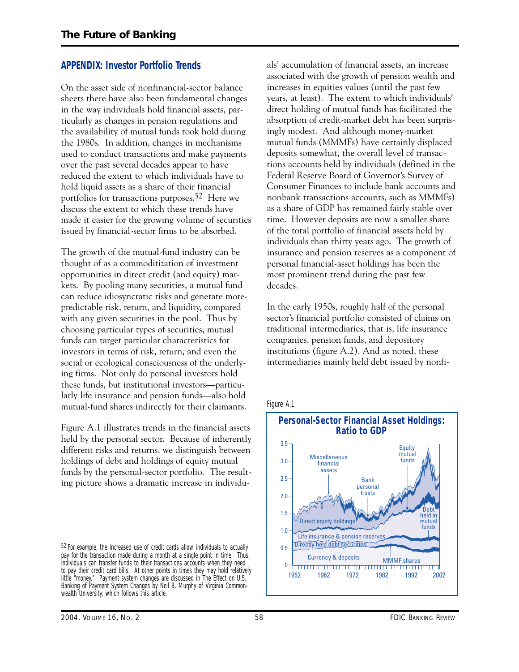#### **APPENDIX: Investor Portfolio Trends**

On the asset side of nonfinancial-sector balance sheets there have also been fundamental changes in the way individuals hold financial assets, particularly as changes in pension regulations and the availability of mutual funds took hold during the 1980s. In addition, changes in mechanisms used to conduct transactions and make payments over the past several decades appear to have reduced the extent to which individuals have to hold liquid assets as a share of their financial portfolios for transactions purposes.52 Here we discuss the extent to which these trends have made it easier for the growing volume of securities issued by financial-sector firms to be absorbed.

The growth of the mutual-fund industry can be thought of as a commoditization of investment opportunities in direct credit (and equity) markets. By pooling many securities, a mutual fund can reduce idiosyncratic risks and generate morepredictable risk, return, and liquidity, compared with any given securities in the pool. Thus by choosing particular types of securities, mutual funds can target particular characteristics for investors in terms of risk, return, and even the social or ecological consciousness of the underlying firms. Not only do personal investors hold these funds, but institutional investors—particularly life insurance and pension funds—also hold mutual-fund shares indirectly for their claimants.

Figure A.1 illustrates trends in the financial assets held by the personal sector. Because of inherently different risks and returns, we distinguish between holdings of debt and holdings of equity mutual funds by the personal-sector portfolio. The resulting picture shows a dramatic increase in individuals' accumulation of financial assets, an increase associated with the growth of pension wealth and increases in equities values (until the past few years, at least). The extent to which individuals' direct holding of mutual funds has facilitated the absorption of credit-market debt has been surprisingly modest. And although money-market mutual funds (MMMFs) have certainly displaced deposits somewhat, the overall level of transactions accounts held by individuals (defined in the Federal Reserve Board of Governor's Survey of Consumer Finances to include bank accounts and nonbank transactions accounts, such as MMMFs) as a share of GDP has remained fairly stable over time. However deposits are now a smaller share of the total portfolio of financial assets held by individuals than thirty years ago. The growth of insurance and pension reserves as a component of personal financial-asset holdings has been the most prominent trend during the past few decades.

In the early 1950s, roughly half of the personal sector's financial portfolio consisted of claims on traditional intermediaries, that is, life insurance companies, pension funds, and depository institutions (figure A.2). And as noted, these intermediaries mainly held debt issued by nonfi-

#### Figure A.1



 little "money." Payment system changes are discussed in *The Effect on U.S.*  52 For example, the increased use of credit cards allow individuals to actually pay for the transaction made during a month at a single point in time. Thus, individuals can transfer funds to their transactions accounts when they need to pay their credit card bills. At other points in times they may hold relatively *Banking of Payment System Changes* by Neil B. Murphy of Virginia Commonwealth University, which follows this article.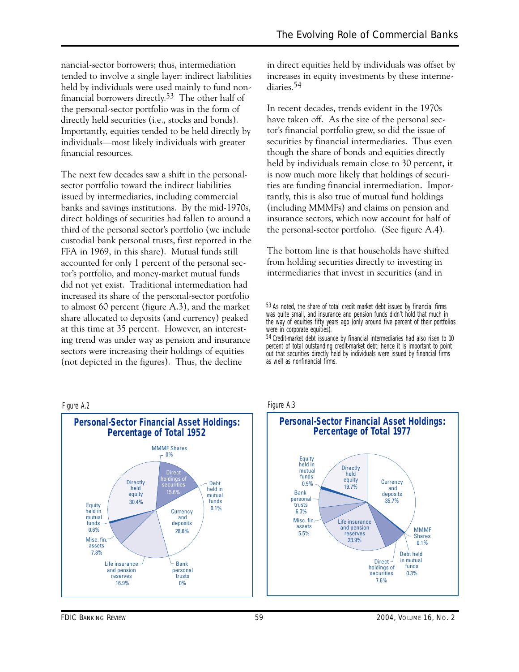nancial-sector borrowers; thus, intermediation tended to involve a single layer: indirect liabilities held by individuals were used mainly to fund nonfinancial borrowers directly.53 The other half of the personal-sector portfolio was in the form of directly held securities (i.e., stocks and bonds). Importantly, equities tended to be held directly by individuals—most likely individuals with greater financial resources.

The next few decades saw a shift in the personalsector portfolio toward the indirect liabilities issued by intermediaries, including commercial banks and savings institutions. By the mid-1970s, direct holdings of securities had fallen to around a third of the personal sector's portfolio (we include custodial bank personal trusts, first reported in the FFA in 1969, in this share). Mutual funds still accounted for only 1 percent of the personal sector's portfolio, and money-market mutual funds did not yet exist. Traditional intermediation had increased its share of the personal-sector portfolio to almost 60 percent (figure A.3), and the market share allocated to deposits (and currency) peaked at this time at 35 percent. However, an interesting trend was under way as pension and insurance sectors were increasing their holdings of equities (not depicted in the figures). Thus, the decline

Figure A.2



in direct equities held by individuals was offset by increases in equity investments by these intermediaries.54

In recent decades, trends evident in the 1970s have taken off. As the size of the personal sector's financial portfolio grew, so did the issue of securities by financial intermediaries. Thus even though the share of bonds and equities directly held by individuals remain close to 30 percent, it is now much more likely that holdings of securities are funding financial intermediation. Importantly, this is also true of mutual fund holdings (including MMMFs) and claims on pension and insurance sectors, which now account for half of the personal-sector portfolio. (See figure A.4).

The bottom line is that households have shifted from holding securities directly to investing in intermediaries that invest in securities (and in

54 Credit-market debt issuance by financial intermediaries had also risen to 10 percent of total outstanding credit-market debt; hence it is important to point out that securities directly held by individuals were issued by financial firms as well as nonfinancial firms.

#### Figure A.3



<sup>53</sup> As noted, the share of total credit market debt issued by financial firms was quite small, and insurance and pension funds didn't hold that much in the way of equities fifty years ago (only around five percent of their portfolios were in corporate equities).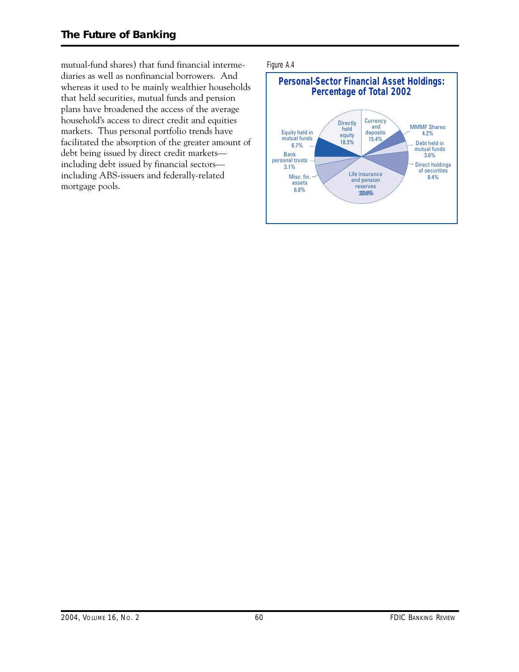mutual-fund shares) that fund financial interme- Figure A.4 diaries as well as nonfinancial borrowers. And whereas it used to be mainly wealthier households that held securities, mutual funds and pension plans have broadened the access of the average household's access to direct credit and equities markets. Thus personal portfolio trends have facilitated the absorption of the greater amount of debt being issued by direct credit markets including debt issued by financial sectors including ABS-issuers and federally-related mortgage pools.

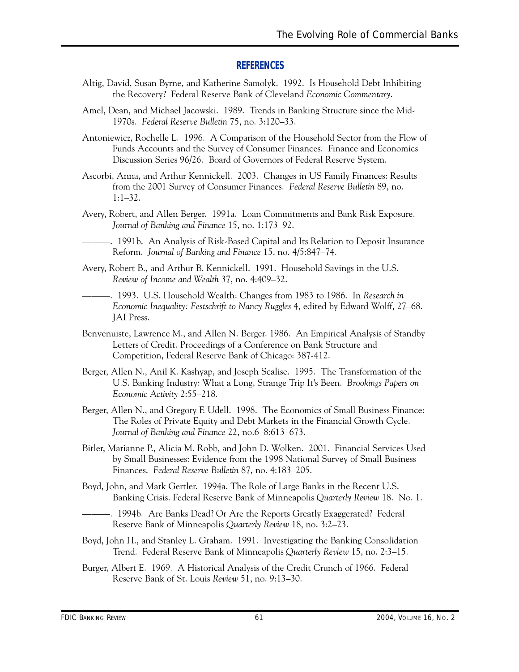#### **REFERENCES**

- Altig, David, Susan Byrne, and Katherine Samolyk. 1992. Is Household Debt Inhibiting the Recovery? Federal Reserve Bank of Cleveland *Economic Commentary*.
- Amel, Dean, and Michael Jacowski. 1989. Trends in Banking Structure since the Mid-1970s. *Federal Reserve Bulletin* 75, no. 3:120–33.

 Antoniewicz, Rochelle L. 1996. A Comparison of the Household Sector from the Flow of Funds Accounts and the Survey of Consumer Finances. Finance and Economics Discussion Series 96/26. Board of Governors of Federal Reserve System.

- Ascorbi, Anna, and Arthur Kennickell. 2003. Changes in US Family Finances: Results from the 2001 Survey of Consumer Finances. *Federal Reserve Bulletin* 89, no. 1:1–32.
- Avery, Robert, and Allen Berger. 1991a. Loan Commitments and Bank Risk Exposure. *Journal of Banking and Finance* 15, no. 1:173–92.

 ———. 1991b. An Analysis of Risk-Based Capital and Its Relation to Deposit Insurance Reform. *Journal of Banking and Finance* 15, no. 4/5:847–74.

 Avery, Robert B., and Arthur B. Kennickell. 1991. Household Savings in the U.S. *Review of Income and Wealth* 37, no. 4:409–32.

 ———. 1993. U.S. Household Wealth: Changes from 1983 to 1986. In *Research in Economic Inequality: Festschrift to Nancy Ruggles* 4, edited by Edward Wolff, 27–68. JAI Press.

- Benvenuiste, Lawrence M., and Allen N. Berger. 1986. An Empirical Analysis of Standby Letters of Credit. Proceedings of a Conference on Bank Structure and Competition, Federal Reserve Bank of Chicago: 387-412.
- Berger, Allen N., Anil K. Kashyap, and Joseph Scalise. 1995. The Transformation of the U.S. Banking Industry: What a Long, Strange Trip It's Been. *Brookings Papers on Economic Activity* 2:55–218.
- Berger, Allen N., and Gregory F. Udell. 1998. The Economics of Small Business Finance: The Roles of Private Equity and Debt Markets in the Financial Growth Cycle. *Journal of Banking and Finance* 22, no.6–8:613–673.
- Bitler, Marianne P., Alicia M. Robb, and John D. Wolken. 2001. Financial Services Used by Small Businesses: Evidence from the 1998 National Survey of Small Business Finances. *Federal Reserve Bulletin* 87, no. 4:183–205.
- Boyd, John, and Mark Gertler. 1994a. The Role of Large Banks in the Recent U.S. Banking Crisis. Federal Reserve Bank of Minneapolis *Quarterly Review* 18. No. 1.
- ———. 1994b. Are Banks Dead? Or Are the Reports Greatly Exaggerated? Federal Reserve Bank of Minneapolis *Quarterly Review* 18, no. 3:2–23.
- Boyd, John H., and Stanley L. Graham. 1991. Investigating the Banking Consolidation Trend. Federal Reserve Bank of Minneapolis *Quarterly Review* 15, no. 2:3–15.
- Burger, Albert E. 1969. A Historical Analysis of the Credit Crunch of 1966. Federal Reserve Bank of St. Louis *Review* 51, no. 9:13–30.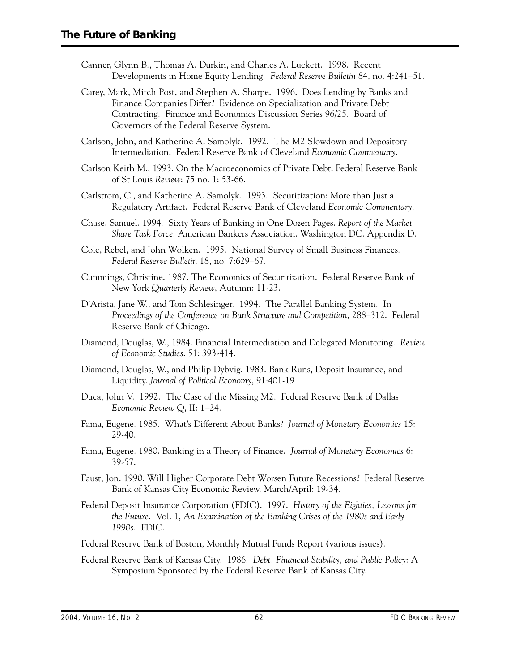- Canner, Glynn B., Thomas A. Durkin, and Charles A. Luckett. 1998. Recent Developments in Home Equity Lending. *Federal Reserve Bulletin* 84, no. 4:241–51.
- Carey, Mark, Mitch Post, and Stephen A. Sharpe. 1996. Does Lending by Banks and Finance Companies Differ? Evidence on Specialization and Private Debt Contracting. Finance and Economics Discussion Series 96/25. Board of Governors of the Federal Reserve System.
- Carlson, John, and Katherine A. Samolyk. 1992. The M2 Slowdown and Depository Intermediation. Federal Reserve Bank of Cleveland *Economic Commentary*.
- Carlson Keith M., 1993. On the Macroeconomics of Private Debt. Federal Reserve Bank of St Louis *Review*: 75 no. 1: 53-66.
- Carlstrom, C., and Katherine A. Samolyk. 1993. Securitization: More than Just a Regulatory Artifact. Federal Reserve Bank of Cleveland *Economic Commentary*.
- Chase, Samuel. 1994. Sixty Years of Banking in One Dozen Pages. *Report of the Market Share Task Force*. American Bankers Association. Washington DC. Appendix D.
- Cole, Rebel, and John Wolken. 1995. National Survey of Small Business Finances. *Federal Reserve Bulletin* 18, no. 7:629–67.
- Cummings, Christine. 1987. The Economics of Securitization. Federal Reserve Bank of New York *Quarterly Review*, Autumn: 11-23.
- D'Arista, Jane W., and Tom Schlesinger. 1994. The Parallel Banking System. In *Proceedings of the Conference on Bank Structure and Competition*, 288–312. Federal Reserve Bank of Chicago.
- Diamond, Douglas, W., 1984. Financial Intermediation and Delegated Monitoring. *Review of Economic Studies*. 51: 393-414.
- Diamond, Douglas, W., and Philip Dybvig. 1983. Bank Runs, Deposit Insurance, and Liquidity. *Journal of Political Economy*, 91:401-19
- Duca, John V. 1992. The Case of the Missing M2. Federal Reserve Bank of Dallas *Economic Review* Q, II: 1–24.
- Fama, Eugene. 1985. What's Different About Banks? *Journal of Monetary Economics* 15: 29-40.
- Fama, Eugene. 1980. Banking in a Theory of Finance. *Journal of Monetary Economics* 6: 39-57.
- Faust, Jon. 1990. Will Higher Corporate Debt Worsen Future Recessions? Federal Reserve Bank of Kansas City Economic Review. March/April: 19-34.
- Federal Deposit Insurance Corporation (FDIC). 1997. *History of the Eighties, Lessons for the Future*. Vol. 1, *An Examination of the Banking Crises of the 1980s and Early 1990s*. FDIC.
- Federal Reserve Bank of Boston, Monthly Mutual Funds Report (various issues).
- Federal Reserve Bank of Kansas City. 1986. *Debt, Financial Stability, and Public Policy*: A Symposium Sponsored by the Federal Reserve Bank of Kansas City.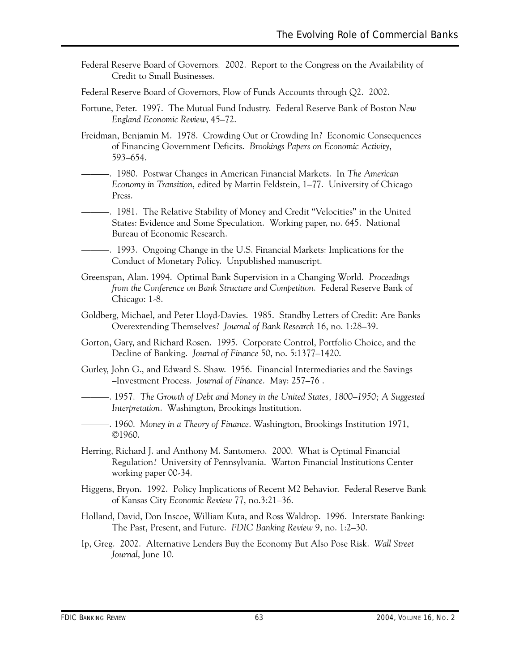- Federal Reserve Board of Governors. 2002. Report to the Congress on the Availability of Credit to Small Businesses.
- Federal Reserve Board of Governors, Flow of Funds Accounts through Q2. 2002.
- Fortune, Peter. 1997. The Mutual Fund Industry. Federal Reserve Bank of Boston *New England Economic Review*, 45–72.
- Freidman, Benjamin M. 1978. Crowding Out or Crowding In? Economic Consequences of Financing Government Deficits. *Brookings Papers on Economic Activity*, 593–654.
- ———. 1980. Postwar Changes in American Financial Markets. In *The American Economy in Transition*, edited by Martin Feldstein, 1–77. University of Chicago Press.
- ———. 1981. The Relative Stability of Money and Credit "Velocities" in the United States: Evidence and Some Speculation. Working paper, no. 645. National Bureau of Economic Research.
- ———. 1993. Ongoing Change in the U.S. Financial Markets: Implications for the Conduct of Monetary Policy. Unpublished manuscript.
- Greenspan, Alan. 1994. Optimal Bank Supervision in a Changing World. *Proceedings from the Conference on Bank Structure and Competition*. Federal Reserve Bank of Chicago: 1-8.
- Goldberg, Michael, and Peter Lloyd-Davies. 1985. Standby Letters of Credit: Are Banks Overextending Themselves? *Journal of Bank Research* 16, no. 1:28–39.
- Gorton, Gary, and Richard Rosen. 1995. Corporate Control, Portfolio Choice, and the Decline of Banking. *Journal of Finance* 50, no. 5:1377–1420.
- Gurley, John G., and Edward S. Shaw. 1956. Financial Intermediaries and the Savings –Investment Process. *Journal of Finance*. May: 257–76 .
- ———. 1957. *The Growth of Debt and Money in the United States, 1800–1950; A Suggested Interpretation*. Washington, Brookings Institution.
- ———. 1960. *Money in a Theory of Finance*. Washington, Brookings Institution 1971, ©1960.
- Herring, Richard J. and Anthony M. Santomero. 2000. What is Optimal Financial Regulation? University of Pennsylvania. Warton Financial Institutions Center working paper 00-34.
- Higgens, Bryon. 1992. Policy Implications of Recent M2 Behavior. Federal Reserve Bank of Kansas City *Economic Review* 77, no.3:21–36.
- Holland, David, Don Inscoe, William Kuta, and Ross Waldrop. 1996. Interstate Banking: The Past, Present, and Future. *FDIC Banking Review* 9, no. 1:2–30.
- Ip, Greg. 2002. Alternative Lenders Buy the Economy But Also Pose Risk. *Wall Street Journal*, June 10.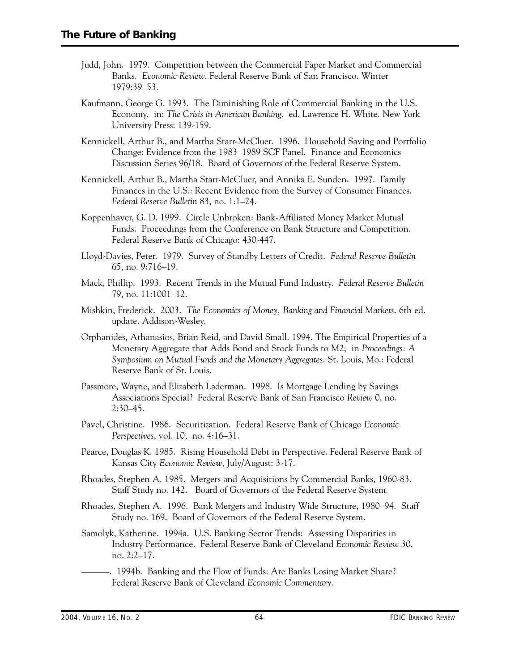- Judd, John. 1979. Competition between the Commercial Paper Market and Commercial Banks. *Economic Review*. Federal Reserve Bank of San Francisco. Winter 1979:39–53.
- Kaufmann, George G. 1993. The Diminishing Role of Commercial Banking in the U.S. Economy. in: *The Crisis in American Banking*. ed. Lawrence H. White. New York University Press: 139-159.
- Kennickell, Arthur B., and Martha Starr-McCluer. 1996. Household Saving and Portfolio Change: Evidence from the 1983–1989 SCF Panel. Finance and Economics Discussion Series 96/18. Board of Governors of the Federal Reserve System.
- Kennickell, Arthur B., Martha Starr-McCluer, and Annika E. Sunden. 1997. Family Finances in the U.S.: Recent Evidence from the Survey of Consumer Finances. *Federal Reserve Bulletin* 83, no. 1:1–24.
- Koppenhaver, G. D. 1999. Circle Unbroken: Bank-Affiliated Money Market Mutual Funds. Proceedings from the Conference on Bank Structure and Competition. Federal Reserve Bank of Chicago: 430-447.
- Lloyd-Davies, Peter. 1979. Survey of Standby Letters of Credit. *Federal Reserve Bulletin*  65, no. 9:716–19.
- Mack, Phillip. 1993. Recent Trends in the Mutual Fund Industry. *Federal Reserve Bulletin*  79, no. 11:1001–12.
- Mishkin, Frederick. 2003. *The Economics of Money, Banking and Financial Markets*. 6th ed. update. Addison-Wesley.
- Orphanides, Athanasios, Brian Reid, and David Small. 1994. The Empirical Properties of a Monetary Aggregate that Adds Bond and Stock Funds to M2; in *Proceedings: A Symposium on Mutual Funds and the Monetary Aggregates*. St. Louis, Mo.: Federal Reserve Bank of St. Louis.
- Passmore, Wayne, and Elizabeth Laderman. 1998. Is Mortgage Lending by Savings Associations Special? Federal Reserve Bank of San Francisco *Review* 0, no. 2:30–45.
- Pavel, Christine. 1986. Securitization. Federal Reserve Bank of Chicago *Economic Perspectives*, vol. 10, no. 4:16–31.
- Pearce, Douglas K. 1985. Rising Household Debt in Perspective. Federal Reserve Bank of Kansas City *Economic Review*, July/August: 3-17.
- Staff Study no. 142. Board of Governors of the Federal Reserve System. Rhoades, Stephen A. 1985. Mergers and Acquisitions by Commercial Banks, 1960-83.
- Rhoades, Stephen A. 1996. Bank Mergers and Industry Wide Structure, 1980–94. Staff Study no. 169. Board of Governors of the Federal Reserve System.
- Samolyk, Katherine. 1994a. U.S. Banking Sector Trends: Assessing Disparities in Industry Performance. Federal Reserve Bank of Cleveland *Economic Review* 30, no. 2:2–17.
- ———. 1994b. Banking and the Flow of Funds: Are Banks Losing Market Share? Federal Reserve Bank of Cleveland *Economic Commentary*.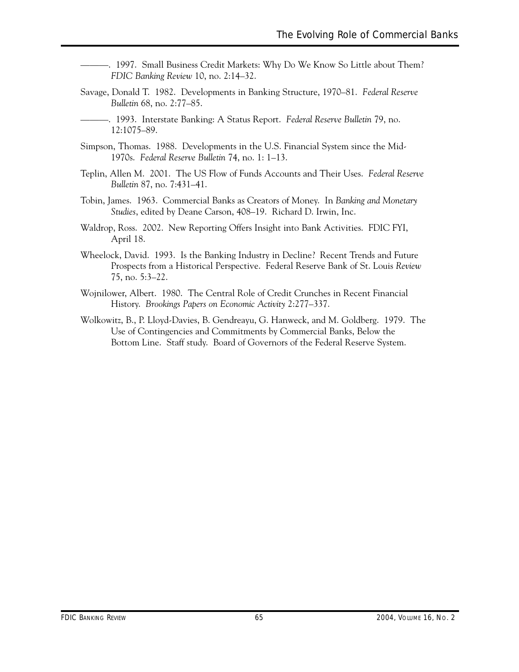- ———. 1997. Small Business Credit Markets: Why Do We Know So Little about Them? *FDIC Banking Review* 10, no. 2:14–32.
- Savage, Donald T. 1982. Developments in Banking Structure, 1970–81. *Federal Reserve Bulletin* 68, no. 2:77–85.
- ———. 1993. Interstate Banking: A Status Report. *Federal Reserve Bulletin* 79, no. 12:1075–89.
- Simpson, Thomas. 1988. Developments in the U.S. Financial System since the Mid-1970s. *Federal Reserve Bulletin* 74, no. 1: 1–13.
- Teplin, Allen M. 2001. The US Flow of Funds Accounts and Their Uses. *Federal Reserve Bulletin* 87, no. 7:431–41.
- Tobin, James. 1963. Commercial Banks as Creators of Money. In *Banking and Monetary Studies*, edited by Deane Carson, 408–19. Richard D. Irwin, Inc.
- Waldrop, Ross. 2002. New Reporting Offers Insight into Bank Activities. FDIC FYI, April 18.
- Wheelock, David. 1993. Is the Banking Industry in Decline? Recent Trends and Future Prospects from a Historical Perspective. Federal Reserve Bank of St. Louis *Review*  75, no. 5:3–22.
- Wojnilower, Albert. 1980. The Central Role of Credit Crunches in Recent Financial History. *Brookings Papers on Economic Activity* 2:277–337.
- Wolkowitz, B., P. Lloyd-Davies, B. Gendreayu, G. Hanweck, and M. Goldberg. 1979. The Bottom Line. Staff study. Board of Governors of the Federal Reserve System. Use of Contingencies and Commitments by Commercial Banks, Below the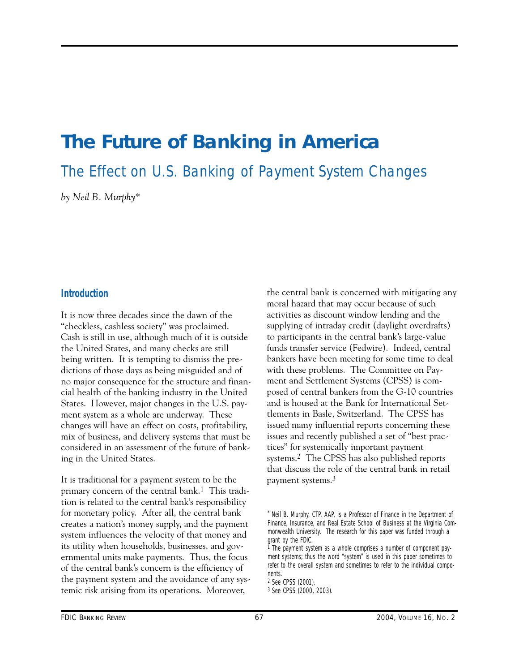# **The Future of Banking in America**

*The Effect on U.S. Banking of Payment System Changes* 

*by Neil B. Murphy\** 

#### **Introduction**

It is now three decades since the dawn of the "checkless, cashless society" was proclaimed. Cash is still in use, although much of it is outside the United States, and many checks are still being written. It is tempting to dismiss the predictions of those days as being misguided and of no major consequence for the structure and financial health of the banking industry in the United States. However, major changes in the U.S. payment system as a whole are underway. These changes will have an effect on costs, profitability, mix of business, and delivery systems that must be considered in an assessment of the future of banking in the United States.

It is traditional for a payment system to be the primary concern of the central bank.1 This tradition is related to the central bank's responsibility for monetary policy. After all, the central bank creates a nation's money supply, and the payment system influences the velocity of that money and its utility when households, businesses, and governmental units make payments. Thus, the focus of the central bank's concern is the efficiency of the payment system and the avoidance of any systemic risk arising from its operations. Moreover,

the central bank is concerned with mitigating any moral hazard that may occur because of such activities as discount window lending and the supplying of intraday credit (daylight overdrafts) to participants in the central bank's large-value funds transfer service (Fedwire). Indeed, central bankers have been meeting for some time to deal with these problems. The Committee on Payment and Settlement Systems (CPSS) is composed of central bankers from the G-10 countries and is housed at the Bank for International Settlements in Basle, Switzerland. The CPSS has issued many influential reports concerning these issues and recently published a set of "best practices" for systemically important payment systems.2 The CPSS has also published reports that discuss the role of the central bank in retail payment systems.3

<sup>\*</sup> Neil B. Murphy, CTP, AAP, is a Professor of Finance in the Department of Finance, Insurance, and Real Estate School of Business at the Virginia Commonwealth University. The research for this paper was funded through a grant by the FDIC.

 $1$  The payment system as a whole comprises a number of component payment systems; thus the word "system" is used in this paper sometimes to refer to the overall system and sometimes to refer to the individual components.

<sup>2</sup> See CPSS (2001).

<sup>3</sup> See CPSS (2000, 2003).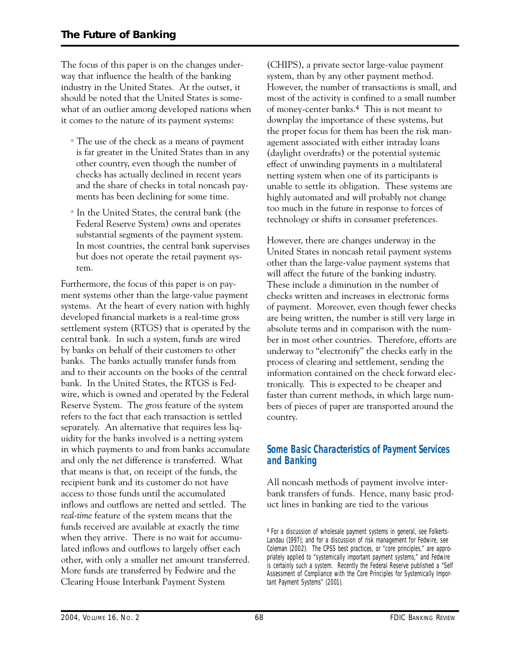The focus of this paper is on the changes underway that influence the health of the banking industry in the United States. At the outset, it should be noted that the United States is somewhat of an outlier among developed nations when it comes to the nature of its payment systems:

- � The use of the check as a means of payment is far greater in the United States than in any other country, even though the number of checks has actually declined in recent years and the share of checks in total noncash payments has been declining for some time.
- � In the United States, the central bank (the Federal Reserve System) owns and operates substantial segments of the payment system. In most countries, the central bank supervises but does not operate the retail payment system.

Furthermore, the focus of this paper is on payment systems other than the large-value payment systems. At the heart of every nation with highly developed financial markets is a real-time gross settlement system (RTGS) that is operated by the central bank. In such a system, funds are wired by banks on behalf of their customers to other banks. The banks actually transfer funds from and to their accounts on the books of the central bank. In the United States, the RTGS is Fedwire, which is owned and operated by the Federal Reserve System. The *gross* feature of the system refers to the fact that each transaction is settled separately. An alternative that requires less liquidity for the banks involved is a netting system in which payments to and from banks accumulate and only the *net* difference is transferred. What that means is that, on receipt of the funds, the recipient bank and its customer do not have access to those funds until the accumulated inflows and outflows are netted and settled. The *real-time* feature of the system means that the funds received are available at exactly the time when they arrive. There is no wait for accumulated inflows and outflows to largely offset each other, with only a smaller net amount transferred. More funds are transferred by Fedwire and the Clearing House Interbank Payment System

(CHIPS), a private sector large-value payment system, than by any other payment method. However, the number of transactions is small, and most of the activity is confined to a small number of money-center banks.4 This is not meant to downplay the importance of these systems, but the proper focus for them has been the risk management associated with either intraday loans (daylight overdrafts) or the potential systemic effect of unwinding payments in a multilateral netting system when one of its participants is unable to settle its obligation. These systems are highly automated and will probably not change too much in the future in response to forces of technology or shifts in consumer preferences.

However, there are changes underway in the United States in noncash retail payment systems other than the large-value payment systems that will affect the future of the banking industry. These include a diminution in the number of checks written and increases in electronic forms of payment. Moreover, even though fewer checks are being written, the number is still very large in absolute terms and in comparison with the number in most other countries. Therefore, efforts are underway to "electronify" the checks early in the process of clearing and settlement, sending the information contained on the check forward electronically. This is expected to be cheaper and faster than current methods, in which large numbers of pieces of paper are transported around the country.

# **Some Basic Characteristics of Payment Services and Banking**

All noncash methods of payment involve interbank transfers of funds. Hence, many basic product lines in banking are tied to the various

4 For a discussion of wholesale payment systems in general, see Folkerts-Landau (1997); and for a discussion of risk management for Fedwire, see Coleman (2002). The CPSS best practices, or "core principles," are appropriately applied to "systemically important payment systems," and Fedwire is certainly such a system. Recently the Federal Reserve published a "Self Assessment of Compliance with the Core Principles for Systemically Important Payment Systems" (2001).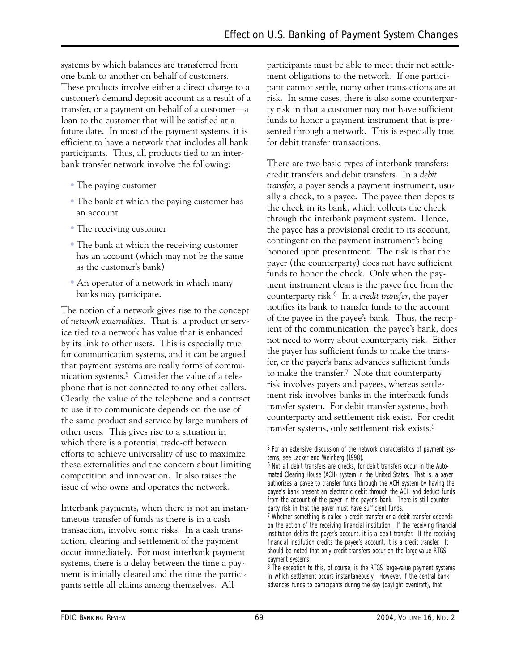systems by which balances are transferred from one bank to another on behalf of customers. These products involve either a direct charge to a customer's demand deposit account as a result of a transfer, or a payment on behalf of a customer—a loan to the customer that will be satisfied at a future date. In most of the payment systems, it is efficient to have a network that includes all bank participants. Thus, all products tied to an interbank transfer network involve the following:

- The paying customer
- The bank at which the paying customer has an account
- The receiving customer
- The bank at which the receiving customer has an account (which may not be the same as the customer's bank)
- � An operator of a network in which many banks may participate.

The notion of a network gives rise to the concept of *network externalities*. That is, a product or service tied to a network has value that is enhanced by its link to other users. This is especially true for communication systems, and it can be argued that payment systems are really forms of communication systems.5 Consider the value of a telephone that is not connected to any other callers. Clearly, the value of the telephone and a contract to use it to communicate depends on the use of the same product and service by large numbers of other users. This gives rise to a situation in which there is a potential trade-off between efforts to achieve universality of use to maximize these externalities and the concern about limiting competition and innovation. It also raises the issue of who owns and operates the network.

Interbank payments, when there is not an instantaneous transfer of funds as there is in a cash transaction, involve some risks. In a cash transaction, clearing and settlement of the payment occur immediately. For most interbank payment systems, there is a delay between the time a payment is initially cleared and the time the participants settle all claims among themselves. All

participants must be able to meet their net settlement obligations to the network. If one participant cannot settle, many other transactions are at risk. In some cases, there is also some counterparty risk in that a customer may not have sufficient funds to honor a payment instrument that is presented through a network. This is especially true for debit transfer transactions.

There are two basic types of interbank transfers: credit transfers and debit transfers. In a *debit transfer*, a payer sends a payment instrument, usually a check, to a payee. The payee then deposits the check in its bank, which collects the check through the interbank payment system. Hence, the payee has a provisional credit to its account, contingent on the payment instrument's being honored upon presentment. The risk is that the payer (the counterparty) does not have sufficient funds to honor the check. Only when the payment instrument clears is the payee free from the counterparty risk.6 In a *credit transfer*, the payer notifies its bank to transfer funds to the account of the payee in the payee's bank. Thus, the recipient of the communication, the payee's bank, does not need to worry about counterparty risk. Either the payer has sufficient funds to make the transfer, or the payer's bank advances sufficient funds to make the transfer.7 Note that counterparty risk involves payers and payees, whereas settlement risk involves banks in the interbank funds transfer system. For debit transfer systems, both counterparty and settlement risk exist. For credit transfer systems, only settlement risk exists.8

<sup>5</sup> For an extensive discussion of the network characteristics of payment systems, see Lacker and Weinberg (1998).

<sup>6</sup> Not all debit transfers are checks, for debit transfers occur in the Automated Clearing House (ACH) system in the United States. That is, a payer authorizes a payee to transfer funds through the ACH system by having the payee's bank present an electronic debit through the ACH and deduct funds from the account of the payer in the payer's bank. There is still counterparty risk in that the payer must have sufficient funds.

 financial institution credits the payee's account, it is a credit transfer. It 7 Whether something is called a credit transfer or a debit transfer depends on the action of the receiving financial institution. If the receiving financial institution debits the payer's account, it is a debit transfer. If the receiving should be noted that *only* credit transfers occur on the large-value RTGS payment systems.

<sup>8</sup> The exception to this, of course, is the RTGS large-value payment systems in which settlement occurs instantaneously. However, if the central bank advances funds to participants during the day (daylight overdraft), that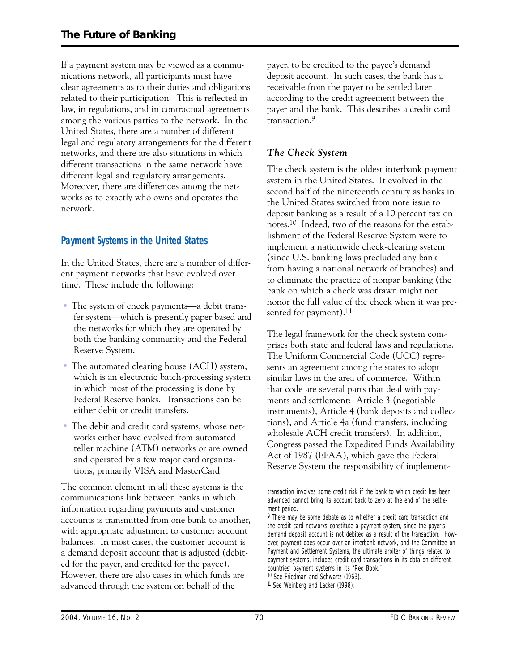If a payment system may be viewed as a communications network, all participants must have clear agreements as to their duties and obligations related to their participation. This is reflected in law, in regulations, and in contractual agreements among the various parties to the network. In the United States, there are a number of different legal and regulatory arrangements for the different networks, and there are also situations in which different transactions in the same network have different legal and regulatory arrangements. Moreover, there are differences among the networks as to exactly who owns and operates the network.

# **Payment Systems in the United States**

In the United States, there are a number of different payment networks that have evolved over time. These include the following:

- The system of check payments—a debit transfer system—which is presently paper based and the networks for which they are operated by both the banking community and the Federal Reserve System.
- The automated clearing house (ACH) system, which is an electronic batch-processing system in which most of the processing is done by Federal Reserve Banks. Transactions can be either debit or credit transfers.
- � The debit and credit card systems, whose networks either have evolved from automated teller machine (ATM) networks or are owned and operated by a few major card organizations, primarily VISA and MasterCard.

The common element in all these systems is the communications link between banks in which information regarding payments and customer accounts is transmitted from one bank to another, with appropriate adjustment to customer account balances. In most cases, the customer account is a demand deposit account that is adjusted (debited for the payer, and credited for the payee). However, there are also cases in which funds are advanced through the system on behalf of the

payer, to be credited to the payee's demand deposit account. In such cases, the bank has a receivable from the payer to be settled later according to the credit agreement between the payer and the bank. This describes a credit card transaction.9

# *The Check System*

The check system is the oldest interbank payment system in the United States. It evolved in the second half of the nineteenth century as banks in the United States switched from note issue to deposit banking as a result of a 10 percent tax on notes.10 Indeed, two of the reasons for the establishment of the Federal Reserve System were to implement a nationwide check-clearing system (since U.S. banking laws precluded any bank from having a national network of branches) and to eliminate the practice of nonpar banking (the bank on which a check was drawn might not honor the full value of the check when it was presented for payment).<sup>11</sup>

The legal framework for the check system comprises both state and federal laws and regulations. The Uniform Commercial Code (UCC) represents an agreement among the states to adopt similar laws in the area of commerce. Within that code are several parts that deal with payments and settlement: Article 3 (negotiable instruments), Article 4 (bank deposits and collections), and Article 4a (fund transfers, including wholesale ACH credit transfers). In addition, Congress passed the Expedited Funds Availability Act of 1987 (EFAA), which gave the Federal Reserve System the responsibility of implement-

10 See Friedman and Schwartz (1963).

11 See Weinberg and Lacker (1998).

transaction involves some credit risk if the bank to which credit has been advanced cannot bring its account back to zero at the end of the settlement period.

<sup>&</sup>lt;sup>9</sup> There may be some debate as to whether a credit card transaction and the credit card networks constitute a payment system, since the payer's demand deposit account is not debited as a result of the transaction. However, payment does occur over an interbank network, and the Committee on Payment and Settlement Systems, the ultimate arbiter of things related to payment systems, includes credit card transactions in its data on different countries' payment systems in its "Red Book."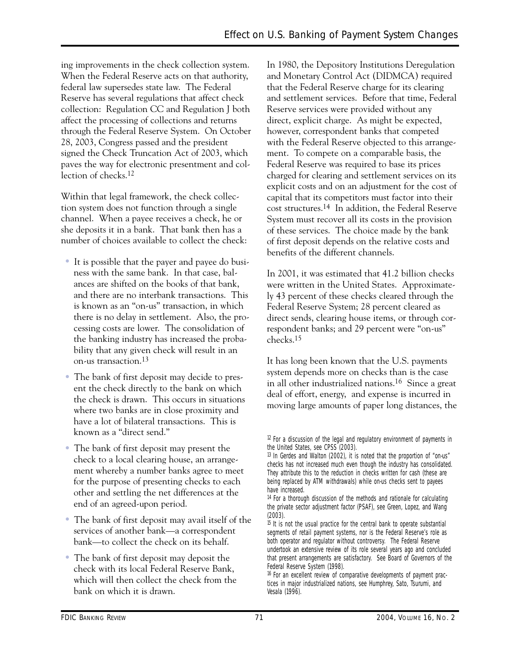ing improvements in the check collection system. When the Federal Reserve acts on that authority, federal law supersedes state law. The Federal Reserve has several regulations that affect check collection: Regulation CC and Regulation J both affect the processing of collections and returns through the Federal Reserve System. On October 28, 2003, Congress passed and the president signed the Check Truncation Act of 2003, which paves the way for electronic presentment and collection of checks.12

Within that legal framework, the check collection system does not function through a single channel. When a payee receives a check, he or she deposits it in a bank. That bank then has a number of choices available to collect the check:

- � It is possible that the payer and payee do business with the same bank. In that case, balances are shifted on the books of that bank, and there are no interbank transactions. This is known as an "on-us" transaction, in which there is no delay in settlement. Also, the processing costs are lower. The consolidation of the banking industry has increased the probability that any given check will result in an on-us transaction.13
- The bank of first deposit may decide to present the check directly to the bank on which the check is drawn. This occurs in situations where two banks are in close proximity and have a lot of bilateral transactions. This is known as a "direct send."
- � The bank of first deposit may present the check to a local clearing house, an arrangement whereby a number banks agree to meet for the purpose of presenting checks to each other and settling the net differences at the end of an agreed-upon period.
- The bank of first deposit may avail itself of the services of another bank—a correspondent bank—to collect the check on its behalf.
- � The bank of first deposit may deposit the check with its local Federal Reserve Bank, which will then collect the check from the bank on which it is drawn.

In 1980, the Depository Institutions Deregulation and Monetary Control Act (DIDMCA) required that the Federal Reserve charge for its clearing and settlement services. Before that time, Federal Reserve services were provided without any direct, explicit charge. As might be expected, however, correspondent banks that competed with the Federal Reserve objected to this arrangement. To compete on a comparable basis, the Federal Reserve was required to base its prices charged for clearing and settlement services on its explicit costs and on an adjustment for the cost of capital that its competitors must factor into their cost structures.14 In addition, the Federal Reserve System must recover all its costs in the provision of these services. The choice made by the bank of first deposit depends on the relative costs and benefits of the different channels.

In 2001, it was estimated that 41.2 billion checks were written in the United States. Approximately 43 percent of these checks cleared through the Federal Reserve System; 28 percent cleared as direct sends, clearing house items, or through correspondent banks; and 29 percent were "on-us" checks.15

It has long been known that the U.S. payments system depends more on checks than is the case in all other industrialized nations.16 Since a great deal of effort, energy, and expense is incurred in moving large amounts of paper long distances, the

 $12$  For a discussion of the legal and regulatory environment of payments in the United States, see CPSS (2003).

<sup>13</sup> In Gerdes and Walton (2002), it is noted that the proportion of "on-us" checks has not increased much even though the industry has consolidated. They attribute this to the reduction in checks written for cash (these are being replaced by ATM withdrawals) while on-us checks sent to payees have increased.

<sup>&</sup>lt;sup>14</sup> For a thorough discussion of the methods and rationale for calculating the private sector adjustment factor (PSAF), see Green, Lopez, and Wang (2003).

<sup>15</sup> It is not the usual practice for the central bank to *operate* substantial segments of retail payment systems, nor is the Federal Reserve's role as both operator and regulator without controversy. The Federal Reserve undertook an extensive review of its role several years ago and concluded that present arrangements are satisfactory. See Board of Governors of the Federal Reserve System (1998).

<sup>&</sup>lt;sup>16</sup> For an excellent review of comparative developments of payment practices in major industrialized nations, see Humphrey, Sato, Tsurumi, and Vesala (1996).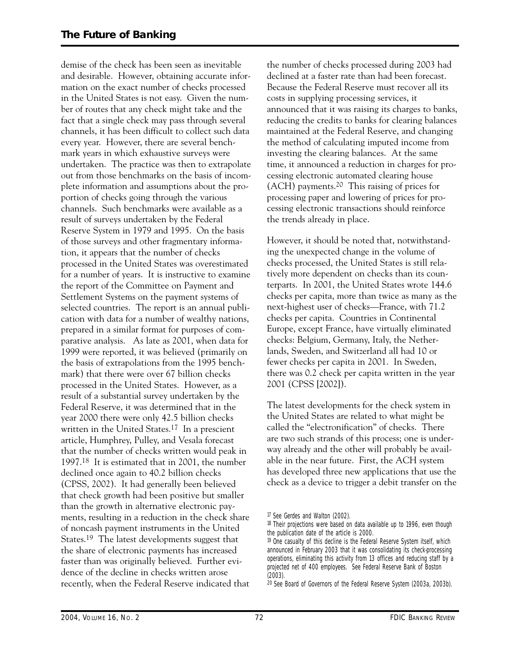parative analysis. As late as 2001, when data for demise of the check has been seen as inevitable and desirable. However, obtaining accurate information on the exact number of checks processed in the United States is not easy. Given the number of routes that any check might take and the fact that a single check may pass through several channels, it has been difficult to collect such data every year. However, there are several benchmark years in which exhaustive surveys were undertaken. The practice was then to extrapolate out from those benchmarks on the basis of incomplete information and assumptions about the proportion of checks going through the various channels. Such benchmarks were available as a result of surveys undertaken by the Federal Reserve System in 1979 and 1995. On the basis of those surveys and other fragmentary information, it appears that the number of checks processed in the United States was overestimated for a number of years. It is instructive to examine the report of the Committee on Payment and Settlement Systems on the payment systems of selected countries. The report is an annual publication with data for a number of wealthy nations, prepared in a similar format for purposes of com-1999 were reported, it was believed (primarily on the basis of extrapolations from the 1995 benchmark) that there were over 67 billion checks processed in the United States. However, as a result of a substantial survey undertaken by the Federal Reserve, it was determined that in the year 2000 there were only 42.5 billion checks written in the United States.<sup>17</sup> In a prescient article, Humphrey, Pulley, and Vesala forecast that the number of checks written would peak in 1997.18 It is estimated that in 2001, the number declined once again to 40.2 billion checks (CPSS, 2002). It had generally been believed that check growth had been positive but smaller than the growth in alternative electronic payments, resulting in a reduction in the check share of noncash payment instruments in the United States.19 The latest developments suggest that the share of electronic payments has increased faster than was originally believed. Further evidence of the decline in checks written arose recently, when the Federal Reserve indicated that

the number of checks processed during 2003 had declined at a faster rate than had been forecast. Because the Federal Reserve must recover all its costs in supplying processing services, it announced that it was raising its charges to banks, reducing the credits to banks for clearing balances maintained at the Federal Reserve, and changing the method of calculating imputed income from investing the clearing balances. At the same time, it announced a reduction in charges for processing electronic automated clearing house (ACH) payments.20 This raising of prices for processing paper and lowering of prices for processing electronic transactions should reinforce the trends already in place.

However, it should be noted that, notwithstanding the unexpected change in the volume of checks processed, the United States is still relatively more dependent on checks than its counterparts. In 2001, the United States wrote 144.6 checks per capita, more than twice as many as the next-highest user of checks—France, with 71.2 checks per capita. Countries in Continental Europe, except France, have virtually eliminated checks: Belgium, Germany, Italy, the Netherlands, Sweden, and Switzerland all had 10 or fewer checks per capita in 2001. In Sweden, there was 0.2 check per capita written in the year 2001 (CPSS [2002]).

The latest developments for the check system in the United States are related to what might be called the "electronification" of checks. There are two such strands of this process; one is underway already and the other will probably be available in the near future. First, the ACH system has developed three new applications that use the check as a device to trigger a debit transfer on the

<sup>17</sup> See Gerdes and Walton (2002).

<sup>&</sup>lt;sup>18</sup> Their projections were based on data available up to 1996, even though the publication date of the article is 2000.

<sup>&</sup>lt;sup>19</sup> One casualty of this decline is the Federal Reserve System itself, which announced in February 2003 that it was consolidating its check-processing operations, eliminating this activity from 13 offices and reducing staff by a projected net of 400 employees. See Federal Reserve Bank of Boston (2003).

<sup>20</sup> See Board of Governors of the Federal Reserve System (2003a, 2003b).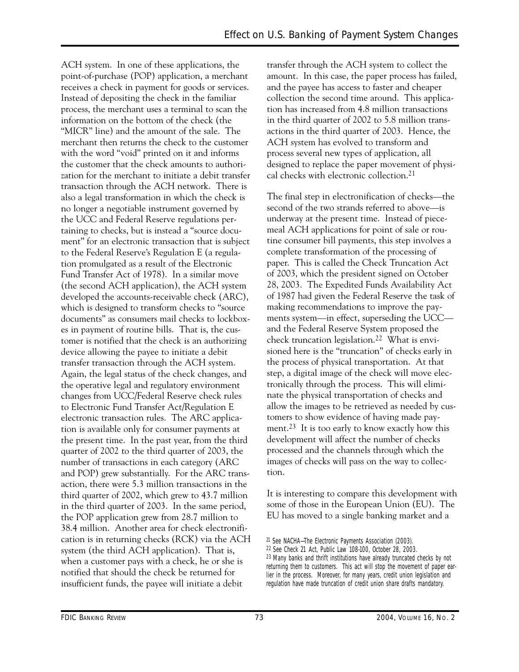ACH system. In one of these applications, the point-of-purchase (POP) application, a merchant receives a check in payment for goods or services. Instead of depositing the check in the familiar process, the merchant uses a terminal to scan the information on the bottom of the check (the "MICR" line) and the amount of the sale. The merchant then returns the check to the customer with the word "void" printed on it and informs the customer that the check amounts to authorization for the merchant to initiate a debit transfer transaction through the ACH network. There is also a legal transformation in which the check is no longer a negotiable instrument governed by the UCC and Federal Reserve regulations pertaining to checks, but is instead a "source document" for an electronic transaction that is subject to the Federal Reserve's Regulation E (a regulation promulgated as a result of the Electronic Fund Transfer Act of 1978). In a similar move (the second ACH application), the ACH system developed the accounts-receivable check (ARC), which is designed to transform checks to "source documents" as consumers mail checks to lockboxes in payment of routine bills. That is, the customer is notified that the check is an authorizing device allowing the payee to initiate a debit transfer transaction through the ACH system. Again, the legal status of the check changes, and the operative legal and regulatory environment changes from UCC/Federal Reserve check rules to Electronic Fund Transfer Act/Regulation E electronic transaction rules. The ARC application is available only for consumer payments at the present time. In the past year, from the third quarter of 2002 to the third quarter of 2003, the number of transactions in each category (ARC and POP) grew substantially. For the ARC transaction, there were 5.3 million transactions in the third quarter of 2002, which grew to 43.7 million in the third quarter of 2003. In the same period, the POP application grew from 28.7 million to 38.4 million. Another area for check electronification is in returning checks (RCK) via the ACH system (the third ACH application). That is, when a customer pays with a check, he or she is notified that should the check be returned for insufficient funds, the payee will initiate a debit

transfer through the ACH system to collect the amount. In this case, the paper process has failed, and the payee has access to faster and cheaper collection the second time around. This application has increased from 4.8 million transactions in the third quarter of 2002 to 5.8 million transactions in the third quarter of 2003. Hence, the ACH system has evolved to transform and process several new types of application, all designed to replace the paper movement of physical checks with electronic collection.21

The final step in electronification of checks—the second of the two strands referred to above—is underway at the present time. Instead of piecemeal ACH applications for point of sale or routine consumer bill payments, this step involves a complete transformation of the processing of paper. This is called the Check Truncation Act of 2003, which the president signed on October 28, 2003. The Expedited Funds Availability Act of 1987 had given the Federal Reserve the task of making recommendations to improve the payments system—in effect, superseding the UCC and the Federal Reserve System proposed the check truncation legislation.22 What is envisioned here is the "truncation" of checks early in the process of physical transportation. At that step, a digital image of the check will move electronically through the process. This will eliminate the physical transportation of checks and allow the images to be retrieved as needed by customers to show evidence of having made payment.<sup>23</sup> It is too early to know exactly how this development will affect the number of checks processed and the channels through which the images of checks will pass on the way to collection.

It is interesting to compare this development with some of those in the European Union (EU). The EU has moved to a single banking market and a

<sup>21</sup> See NACHA—The Electronic Payments Association (2003).

<sup>22</sup> See Check 21 Act, Public Law 108-100, October 28, 2003.

<sup>23</sup> Many banks and thrift institutions have already truncated checks by not returning them to customers. This act will stop the movement of paper earlier in the process. Moreover, for many years, credit union legislation and regulation have made truncation of credit union share drafts mandatory.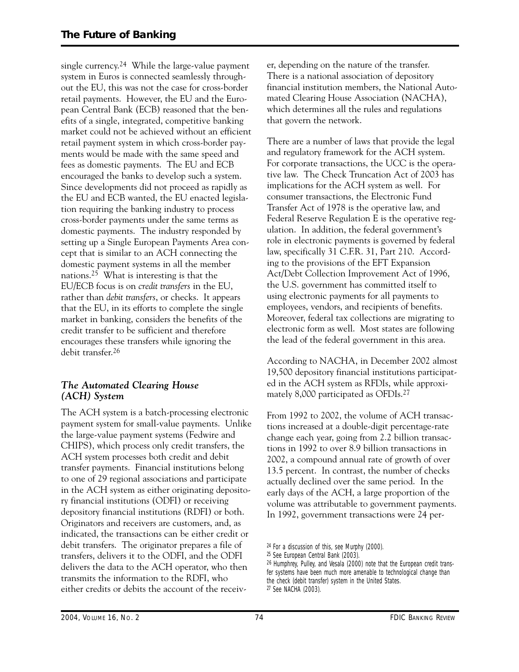single currency.24 While the large-value payment system in Euros is connected seamlessly throughout the EU, this was not the case for cross-border retail payments. However, the EU and the European Central Bank (ECB) reasoned that the benefits of a single, integrated, competitive banking market could not be achieved without an efficient retail payment system in which cross-border payments would be made with the same speed and fees as domestic payments. The EU and ECB encouraged the banks to develop such a system. Since developments did not proceed as rapidly as the EU and ECB wanted, the EU enacted legislation requiring the banking industry to process cross-border payments under the same terms as domestic payments. The industry responded by setting up a Single European Payments Area concept that is similar to an ACH connecting the domestic payment systems in all the member nations.25 What is interesting is that the EU/ECB focus is on *credit transfers* in the EU, rather than *debit transfers*, or checks. It appears that the EU, in its efforts to complete the single market in banking, considers the benefits of the credit transfer to be sufficient and therefore encourages these transfers while ignoring the debit transfer.26

#### *The Automated Clearing House (ACH) System*

The ACH system is a batch-processing electronic payment system for small-value payments. Unlike the large-value payment systems (Fedwire and CHIPS), which process only credit transfers, the ACH system processes both credit and debit transfer payments. Financial institutions belong to one of 29 regional associations and participate in the ACH system as either originating depository financial institutions (ODFI) or receiving depository financial institutions (RDFI) or both. Originators and receivers are customers, and, as indicated, the transactions can be either credit or debit transfers. The originator prepares a file of transfers, delivers it to the ODFI, and the ODFI delivers the data to the ACH operator, who then transmits the information to the RDFI, who either credits or debits the account of the receiver, depending on the nature of the transfer. There is a national association of depository financial institution members, the National Automated Clearing House Association (NACHA), which determines all the rules and regulations that govern the network.

There are a number of laws that provide the legal and regulatory framework for the ACH system. For corporate transactions, the UCC is the operative law. The Check Truncation Act of 2003 has implications for the ACH system as well. For consumer transactions, the Electronic Fund Transfer Act of 1978 is the operative law, and Federal Reserve Regulation E is the operative regulation. In addition, the federal government's role in electronic payments is governed by federal law, specifically 31 C.F.R. 31, Part 210. According to the provisions of the EFT Expansion Act/Debt Collection Improvement Act of 1996, the U.S. government has committed itself to using electronic payments for all payments to employees, vendors, and recipients of benefits. Moreover, federal tax collections are migrating to electronic form as well. Most states are following the lead of the federal government in this area.

According to NACHA, in December 2002 almost 19,500 depository financial institutions participated in the ACH system as RFDIs, while approximately 8,000 participated as OFDIs.27

From 1992 to 2002, the volume of ACH transactions increased at a double-digit percentage-rate change each year, going from 2.2 billion transactions in 1992 to over 8.9 billion transactions in 2002, a compound annual rate of growth of over 13.5 percent. In contrast, the number of checks actually declined over the same period. In the early days of the ACH, a large proportion of the volume was attributable to government payments. In 1992, government transactions were 24 per-

<sup>24</sup> For a discussion of this, see Murphy (2000).

<sup>25</sup> See European Central Bank (2003).

<sup>&</sup>lt;sup>26</sup> Humphrey, Pulley, and Vesala (2000) note that the European credit transfer systems have been much more amenable to technological change than the check (debit transfer) system in the United States. 27 See NACHA (2003).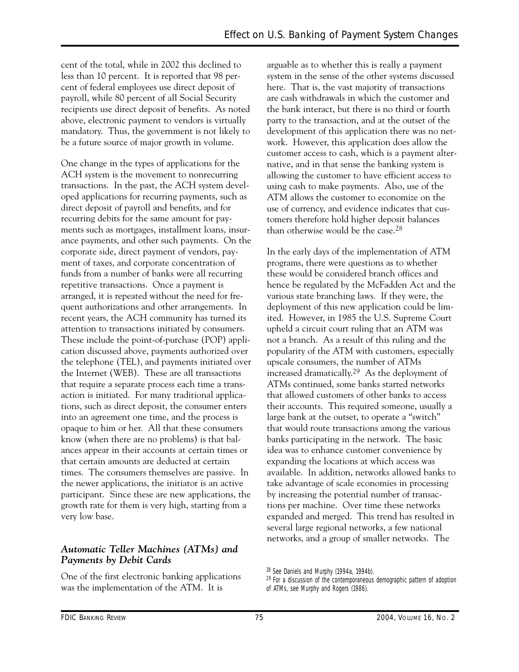cent of the total, while in 2002 this declined to less than 10 percent. It is reported that 98 percent of federal employees use direct deposit of payroll, while 80 percent of all Social Security recipients use direct deposit of benefits. As noted above, electronic payment to vendors is virtually mandatory. Thus, the government is not likely to be a future source of major growth in volume.

One change in the types of applications for the ACH system is the movement to nonrecurring transactions. In the past, the ACH system developed applications for recurring payments, such as direct deposit of payroll and benefits, and for recurring debits for the same amount for payments such as mortgages, installment loans, insurance payments, and other such payments. On the corporate side, direct payment of vendors, payment of taxes, and corporate concentration of funds from a number of banks were all recurring repetitive transactions. Once a payment is arranged, it is repeated without the need for frequent authorizations and other arrangements. In recent years, the ACH community has turned its attention to transactions initiated by consumers. These include the point-of-purchase (POP) application discussed above, payments authorized over the telephone (TEL), and payments initiated over the Internet (WEB). These are all transactions that require a separate process each time a transaction is initiated. For many traditional applications, such as direct deposit, the consumer enters into an agreement one time, and the process is opaque to him or her. All that these consumers know (when there are no problems) is that balances appear in their accounts at certain times or that certain amounts are deducted at certain times. The consumers themselves are passive. In the newer applications, the initiator is an active participant. Since these are new applications, the growth rate for them is very high, starting from a very low base.

#### *Automatic Teller Machines (ATMs) and Payments by Debit Cards*

One of the first electronic banking applications was the implementation of the ATM. It is

arguable as to whether this is really a payment system in the sense of the other systems discussed here. That is, the vast majority of transactions are cash withdrawals in which the customer and the bank interact, but there is no third or fourth party to the transaction, and at the outset of the development of this application there was no network. However, this application does allow the customer access to cash, which is a payment alternative, and in that sense the banking system is allowing the customer to have efficient access to using cash to make payments. Also, use of the ATM allows the customer to economize on the use of currency, and evidence indicates that customers therefore hold higher deposit balances than otherwise would be the case.28

In the early days of the implementation of ATM programs, there were questions as to whether these would be considered branch offices and hence be regulated by the McFadden Act and the various state branching laws. If they were, the deployment of this new application could be limited. However, in 1985 the U.S. Supreme Court upheld a circuit court ruling that an ATM was not a branch. As a result of this ruling and the popularity of the ATM with customers, especially upscale consumers, the number of ATMs increased dramatically.29 As the deployment of ATMs continued, some banks started networks that allowed customers of other banks to access their accounts. This required someone, usually a large bank at the outset, to operate a "switch" that would route transactions among the various banks participating in the network. The basic idea was to enhance customer convenience by expanding the locations at which access was available. In addition, networks allowed banks to take advantage of scale economies in processing by increasing the potential number of transactions per machine. Over time these networks expanded and merged. This trend has resulted in several large regional networks, a few national networks, and a group of smaller networks. The

28 See Daniels and Murphy (1994a, 1994b).

<sup>&</sup>lt;sup>29</sup> For a discussion of the contemporaneous demographic pattern of adoption of ATMs, see Murphy and Rogers (1986).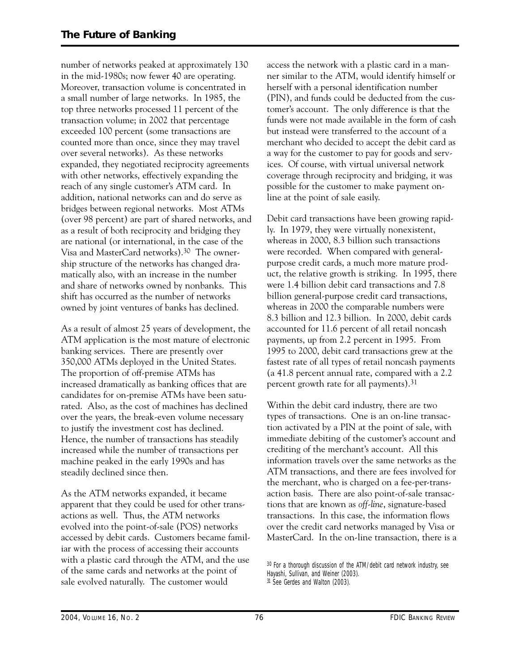number of networks peaked at approximately 130 in the mid-1980s; now fewer 40 are operating. Moreover, transaction volume is concentrated in a small number of large networks. In 1985, the top three networks processed 11 percent of the transaction volume; in 2002 that percentage exceeded 100 percent (some transactions are counted more than once, since they may travel over several networks). As these networks expanded, they negotiated reciprocity agreements with other networks, effectively expanding the reach of any single customer's ATM card. In addition, national networks can and do serve as bridges between regional networks. Most ATMs (over 98 percent) are part of shared networks, and as a result of both reciprocity and bridging they are national (or international, in the case of the Visa and MasterCard networks).30 The ownership structure of the networks has changed dramatically also, with an increase in the number and share of networks owned by nonbanks. This shift has occurred as the number of networks owned by joint ventures of banks has declined.

As a result of almost 25 years of development, the ATM application is the most mature of electronic banking services. There are presently over 350,000 ATMs deployed in the United States. The proportion of off-premise ATMs has increased dramatically as banking offices that are candidates for on-premise ATMs have been saturated. Also, as the cost of machines has declined over the years, the break-even volume necessary to justify the investment cost has declined. Hence, the number of transactions has steadily increased while the number of transactions per machine peaked in the early 1990s and has steadily declined since then.

As the ATM networks expanded, it became apparent that they could be used for other transactions as well. Thus, the ATM networks evolved into the point-of-sale (POS) networks accessed by debit cards. Customers became familiar with the process of accessing their accounts with a plastic card through the ATM, and the use of the same cards and networks at the point of sale evolved naturally. The customer would

access the network with a plastic card in a manner similar to the ATM, would identify himself or herself with a personal identification number (PIN), and funds could be deducted from the customer's account. The only difference is that the funds were not made available in the form of cash but instead were transferred to the account of a merchant who decided to accept the debit card as a way for the customer to pay for goods and services. Of course, with virtual universal network coverage through reciprocity and bridging, it was possible for the customer to make payment online at the point of sale easily.

Debit card transactions have been growing rapidly. In 1979, they were virtually nonexistent, whereas in 2000, 8.3 billion such transactions were recorded. When compared with generalpurpose credit cards, a much more mature product, the relative growth is striking. In 1995, there were 1.4 billion debit card transactions and 7.8 billion general-purpose credit card transactions, whereas in 2000 the comparable numbers were 8.3 billion and 12.3 billion. In 2000, debit cards accounted for 11.6 percent of all retail noncash payments, up from 2.2 percent in 1995. From 1995 to 2000, debit card transactions grew at the fastest rate of all types of retail noncash payments (a 41.8 percent annual rate, compared with a 2.2 percent growth rate for all payments).31

Within the debit card industry, there are two types of transactions. One is an on-line transaction activated by a PIN at the point of sale, with immediate debiting of the customer's account and crediting of the merchant's account. All this information travels over the same networks as the ATM transactions, and there are fees involved for the merchant, who is charged on a fee-per-transaction basis. There are also point-of-sale transactions that are known as *off-line*, signature-based transactions. In this case, the information flows over the credit card networks managed by Visa or MasterCard. In the on-line transaction, there is a

<sup>30</sup> For a thorough discussion of the ATM/debit card network industry, see Hayashi, Sullivan, and Weiner (2003). 31 See Gerdes and Walton (2003).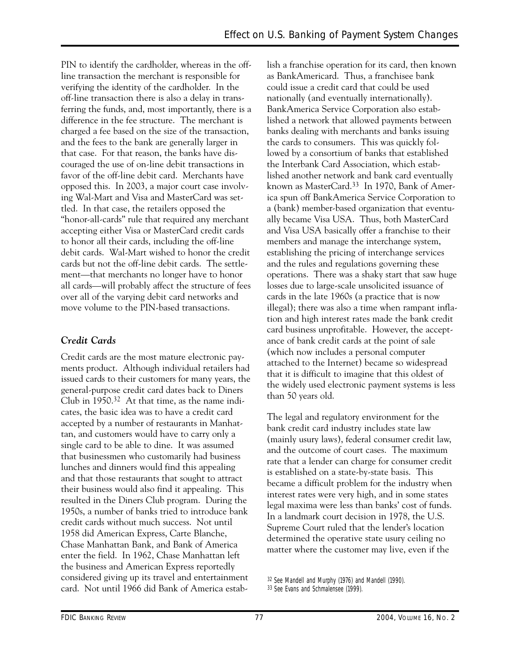PIN to identify the cardholder, whereas in the offline transaction the merchant is responsible for verifying the identity of the cardholder. In the off-line transaction there is also a delay in transferring the funds, and, most importantly, there is a difference in the fee structure. The merchant is charged a fee based on the size of the transaction, and the fees to the bank are generally larger in that case. For that reason, the banks have discouraged the use of on-line debit transactions in favor of the off-line debit card. Merchants have opposed this. In 2003, a major court case involving Wal-Mart and Visa and MasterCard was settled. In that case, the retailers opposed the "honor-all-cards" rule that required any merchant accepting either Visa or MasterCard credit cards to honor all their cards, including the off-line debit cards. Wal-Mart wished to honor the credit cards but not the off-line debit cards. The settlement—that merchants no longer have to honor all cards—will probably affect the structure of fees over all of the varying debit card networks and move volume to the PIN-based transactions.

### *Credit Cards*

Credit cards are the most mature electronic payments product. Although individual retailers had issued cards to their customers for many years, the general-purpose credit card dates back to Diners Club in 1950.32 At that time, as the name indicates, the basic idea was to have a credit card accepted by a number of restaurants in Manhattan, and customers would have to carry only a single card to be able to dine. It was assumed that businessmen who customarily had business lunches and dinners would find this appealing and that those restaurants that sought to attract their business would also find it appealing. This resulted in the Diners Club program. During the 1950s, a number of banks tried to introduce bank credit cards without much success. Not until 1958 did American Express, Carte Blanche, Chase Manhattan Bank, and Bank of America enter the field. In 1962, Chase Manhattan left the business and American Express reportedly considered giving up its travel and entertainment card. Not until 1966 did Bank of America establish a franchise operation for its card, then known as BankAmericard. Thus, a franchisee bank could issue a credit card that could be used nationally (and eventually internationally). BankAmerica Service Corporation also established a network that allowed payments between banks dealing with merchants and banks issuing the cards to consumers. This was quickly followed by a consortium of banks that established the Interbank Card Association, which established another network and bank card eventually known as MasterCard.33 In 1970, Bank of America spun off BankAmerica Service Corporation to a (bank) member-based organization that eventually became Visa USA. Thus, both MasterCard and Visa USA basically offer a franchise to their members and manage the interchange system, establishing the pricing of interchange services and the rules and regulations governing these operations. There was a shaky start that saw huge losses due to large-scale unsolicited issuance of cards in the late 1960s (a practice that is now illegal); there was also a time when rampant inflation and high interest rates made the bank credit card business unprofitable. However, the acceptance of bank credit cards at the point of sale (which now includes a personal computer attached to the Internet) became so widespread that it is difficult to imagine that this oldest of the widely used electronic payment systems is less than 50 years old.

The legal and regulatory environment for the bank credit card industry includes state law (mainly usury laws), federal consumer credit law, and the outcome of court cases. The maximum rate that a lender can charge for consumer credit is established on a state-by-state basis. This became a difficult problem for the industry when interest rates were very high, and in some states legal maxima were less than banks' cost of funds. In a landmark court decision in 1978, the U.S. Supreme Court ruled that the lender's location determined the operative state usury ceiling no matter where the customer may live, even if the

<sup>32</sup> See Mandell and Murphy (1976) and Mandell (1990).

<sup>33</sup> See Evans and Schmalensee (1999).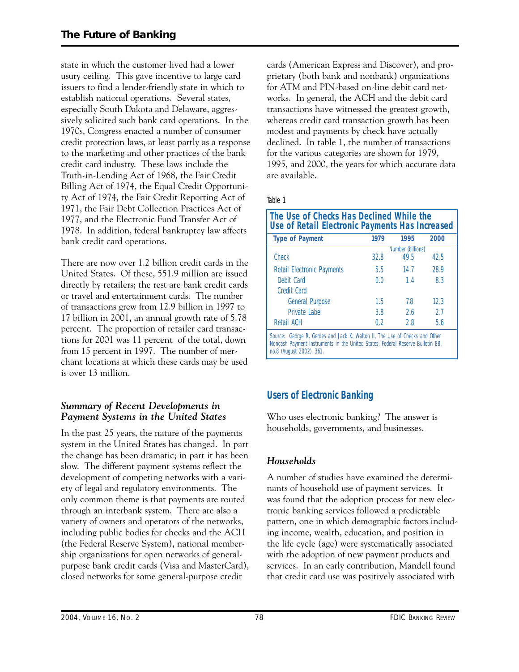state in which the customer lived had a lower usury ceiling. This gave incentive to large card issuers to find a lender-friendly state in which to establish national operations. Several states, especially South Dakota and Delaware, aggressively solicited such bank card operations. In the 1970s, Congress enacted a number of consumer credit protection laws, at least partly as a response to the marketing and other practices of the bank credit card industry. These laws include the Truth-in-Lending Act of 1968, the Fair Credit Billing Act of 1974, the Equal Credit Opportunity Act of 1974, the Fair Credit Reporting Act of 1971, the Fair Debt Collection Practices Act of 1977, and the Electronic Fund Transfer Act of 1978. In addition, federal bankruptcy law affects bank credit card operations.

There are now over 1.2 billion credit cards in the United States. Of these, 551.9 million are issued directly by retailers; the rest are bank credit cards or travel and entertainment cards. The number of transactions grew from 12.9 billion in 1997 to 17 billion in 2001, an annual growth rate of 5.78 percent. The proportion of retailer card transactions for 2001 was 11 percent of the total, down from 15 percent in 1997. The number of merchant locations at which these cards may be used is over 13 million.

#### *Summary of Recent Developments in Payment Systems in the United States*

In the past 25 years, the nature of the payments system in the United States has changed. In part the change has been dramatic; in part it has been slow. The different payment systems reflect the development of competing networks with a variety of legal and regulatory environments. The only common theme is that payments are routed through an interbank system. There are also a variety of owners and operators of the networks, including public bodies for checks and the ACH (the Federal Reserve System), national membership organizations for open networks of generalpurpose bank credit cards (Visa and MasterCard), closed networks for some general-purpose credit

cards (American Express and Discover), and proprietary (both bank and nonbank) organizations for ATM and PIN-based on-line debit card networks. In general, the ACH and the debit card transactions have witnessed the greatest growth, whereas credit card transaction growth has been modest and payments by check have actually declined. In table 1, the number of transactions for the various categories are shown for 1979, 1995, and 2000, the years for which accurate data are available.

Table 1

| The Use of Checks Has Declined While the<br>Use of Retail Electronic Payments Has Increased                                                                                               |                                           |      |      |
|-------------------------------------------------------------------------------------------------------------------------------------------------------------------------------------------|-------------------------------------------|------|------|
| <b>Type of Payment</b>                                                                                                                                                                    | 1979                                      | 1995 | 2000 |
| Check                                                                                                                                                                                     | Number (billions)<br>49.5<br>42.5<br>32.8 |      |      |
| Retail Electronic Payments                                                                                                                                                                | 5.5                                       | 14.7 | 28.9 |
| Debit Card                                                                                                                                                                                | 0.0                                       | 1.4  | 8.3  |
| Credit Card                                                                                                                                                                               |                                           |      |      |
| <b>General Purpose</b>                                                                                                                                                                    | 1.5                                       | 7.8  | 12.3 |
| Private Label                                                                                                                                                                             | 3.8                                       | 2.6  | 2.7  |
| Retail ACH                                                                                                                                                                                | 0.2                                       | 2.8  | 5.6  |
| Source: George R. Gerdes and Jack K. Walton II, The Use of Checks and Other<br>Noncash Payment Instruments in the United States, Federal Reserve Bulletin 88,<br>no.8 (August 2002), 361. |                                           |      |      |

# **Users of Electronic Banking**

Who uses electronic banking? The answer is households, governments, and businesses.

# *Households*

A number of studies have examined the determinants of household use of payment services. It was found that the adoption process for new electronic banking services followed a predictable pattern, one in which demographic factors including income, wealth, education, and position in the life cycle (age) were systematically associated with the adoption of new payment products and services. In an early contribution, Mandell found that credit card use was positively associated with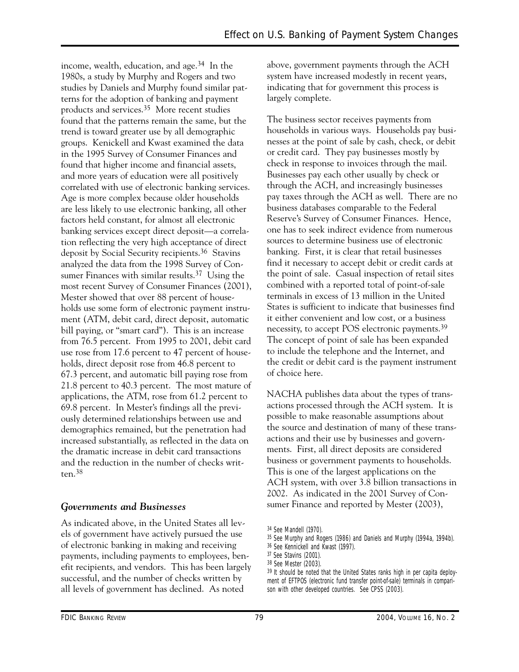income, wealth, education, and age.34 In the 1980s, a study by Murphy and Rogers and two studies by Daniels and Murphy found similar patterns for the adoption of banking and payment products and services.35 More recent studies found that the patterns remain the same, but the trend is toward greater use by all demographic groups. Kenickell and Kwast examined the data in the 1995 Survey of Consumer Finances and found that higher income and financial assets, and more years of education were all positively correlated with use of electronic banking services. Age is more complex because older households are less likely to use electronic banking, all other factors held constant, for almost all electronic banking services except direct deposit—a correlation reflecting the very high acceptance of direct deposit by Social Security recipients.36 Stavins analyzed the data from the 1998 Survey of Consumer Finances with similar results.37 Using the most recent Survey of Consumer Finances (2001), Mester showed that over 88 percent of households use some form of electronic payment instrument (ATM, debit card, direct deposit, automatic bill paying, or "smart card"). This is an increase from 76.5 percent. From 1995 to 2001, debit card use rose from 17.6 percent to 47 percent of households, direct deposit rose from 46.8 percent to 67.3 percent, and automatic bill paying rose from 21.8 percent to 40.3 percent. The most mature of applications, the ATM, rose from 61.2 percent to 69.8 percent. In Mester's findings all the previously determined relationships between use and demographics remained, but the penetration had increased substantially, as reflected in the data on the dramatic increase in debit card transactions and the reduction in the number of checks written.38

### *Governments and Businesses*

As indicated above, in the United States all levels of government have actively pursued the use of electronic banking in making and receiving payments, including payments to employees, benefit recipients, and vendors. This has been largely successful, and the number of checks written by all levels of government has declined. As noted

above, government payments through the ACH system have increased modestly in recent years, indicating that for government this process is largely complete.

The business sector receives payments from households in various ways. Households pay businesses at the point of sale by cash, check, or debit or credit card. They pay businesses mostly by check in response to invoices through the mail. Businesses pay each other usually by check or through the ACH, and increasingly businesses pay taxes through the ACH as well. There are no business databases comparable to the Federal Reserve's Survey of Consumer Finances. Hence, one has to seek indirect evidence from numerous sources to determine business use of electronic banking. First, it is clear that retail businesses find it necessary to accept debit or credit cards at the point of sale. Casual inspection of retail sites combined with a reported total of point-of-sale terminals in excess of 13 million in the United States is sufficient to indicate that businesses find it either convenient and low cost, or a business necessity, to accept POS electronic payments.39 The concept of point of sale has been expanded to include the telephone and the Internet, and the credit or debit card is the payment instrument of choice here.

NACHA publishes data about the types of transactions processed through the ACH system. It is possible to make reasonable assumptions about the source and destination of many of these transactions and their use by businesses and governments. First, all direct deposits are considered business or government payments to households. This is one of the largest applications on the ACH system, with over 3.8 billion transactions in 2002. As indicated in the 2001 Survey of Consumer Finance and reported by Mester (2003),

<sup>34</sup> See Mandell (1970).

<sup>35</sup> See Murphy and Rogers (1986) and Daniels and Murphy (1994a, 1994b).

<sup>36</sup> See Kennickell and Kwast (1997).

<sup>37</sup> See Stavins (2001).

<sup>38</sup> See Mester (2003).

<sup>&</sup>lt;sup>39</sup> It should be noted that the United States ranks high in per capita deployment of EFTPOS (electronic fund transfer point-of-sale) terminals in comparison with other developed countries. See CPSS (2003).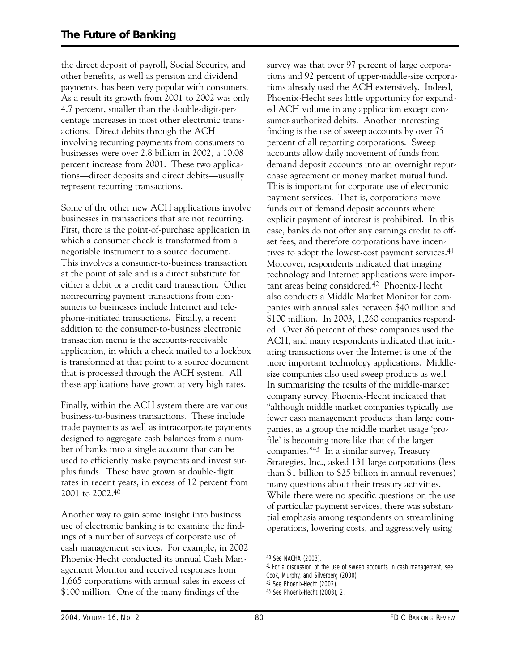the direct deposit of payroll, Social Security, and other benefits, as well as pension and dividend payments, has been very popular with consumers. As a result its growth from 2001 to 2002 was only 4.7 percent, smaller than the double-digit-percentage increases in most other electronic transactions. Direct debits through the ACH involving recurring payments from consumers to businesses were over 2.8 billion in 2002, a 10.08 percent increase from 2001. These two applications—direct deposits and direct debits—usually represent recurring transactions.

Some of the other new ACH applications involve businesses in transactions that are not recurring. First, there is the point-of-purchase application in which a consumer check is transformed from a negotiable instrument to a source document. This involves a consumer-to-business transaction at the point of sale and is a direct substitute for either a debit or a credit card transaction. Other nonrecurring payment transactions from consumers to businesses include Internet and telephone-initiated transactions. Finally, a recent addition to the consumer-to-business electronic transaction menu is the accounts-receivable application, in which a check mailed to a lockbox is transformed at that point to a source document that is processed through the ACH system. All these applications have grown at very high rates.

Finally, within the ACH system there are various business-to-business transactions. These include trade payments as well as intracorporate payments designed to aggregate cash balances from a number of banks into a single account that can be used to efficiently make payments and invest surplus funds. These have grown at double-digit rates in recent years, in excess of 12 percent from 2001 to 2002.40

Another way to gain some insight into business use of electronic banking is to examine the findings of a number of surveys of corporate use of cash management services. For example, in 2002 Phoenix-Hecht conducted its annual Cash Management Monitor and received responses from 1,665 corporations with annual sales in excess of \$100 million. One of the many findings of the

survey was that over 97 percent of large corporations and 92 percent of upper-middle-size corporations already used the ACH extensively. Indeed, Phoenix-Hecht sees little opportunity for expanded ACH volume in any application except consumer-authorized debits. Another interesting finding is the use of sweep accounts by over 75 percent of all reporting corporations. Sweep accounts allow daily movement of funds from demand deposit accounts into an overnight repurchase agreement or money market mutual fund. This is important for corporate use of electronic payment services. That is, corporations move funds out of demand deposit accounts where explicit payment of interest is prohibited. In this case, banks do not offer any earnings credit to offset fees, and therefore corporations have incentives to adopt the lowest-cost payment services.41 Moreover, respondents indicated that imaging technology and Internet applications were important areas being considered.42 Phoenix-Hecht also conducts a Middle Market Monitor for companies with annual sales between \$40 million and \$100 million. In 2003, 1,260 companies responded. Over 86 percent of these companies used the ACH, and many respondents indicated that initiating transactions over the Internet is one of the more important technology applications. Middlesize companies also used sweep products as well. In summarizing the results of the middle-market company survey, Phoenix-Hecht indicated that "although middle market companies typically use fewer cash management products than large companies, as a group the middle market usage 'profile' is becoming more like that of the larger companies."43 In a similar survey, Treasury Strategies, Inc., asked 131 large corporations (less than \$1 billion to \$25 billion in annual revenues) many questions about their treasury activities. While there were no specific questions on the use of particular payment services, there was substantial emphasis among respondents on streamlining operations, lowering costs, and aggressively using

<sup>40</sup> See NACHA (2003).

<sup>41</sup> For a discussion of the use of sweep accounts in cash management, see Cook, Murphy, and Silverberg (2000).

<sup>42</sup> See Phoenix-Hecht (2002).

<sup>43</sup> See Phoenix-Hecht (2003), 2.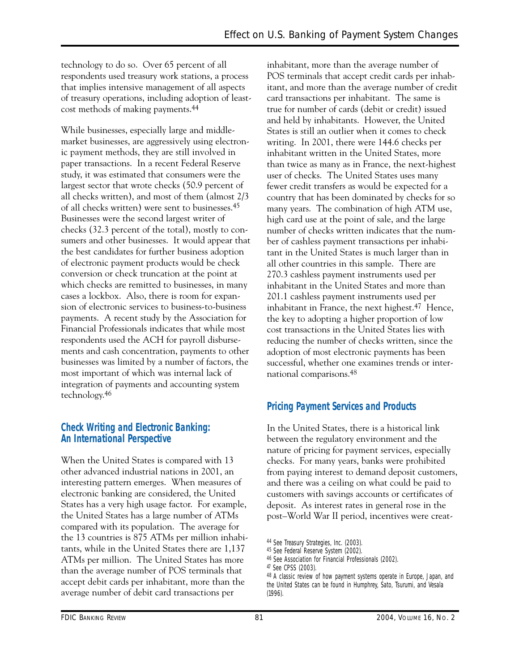technology to do so. Over 65 percent of all respondents used treasury work stations, a process that implies intensive management of all aspects of treasury operations, including adoption of leastcost methods of making payments.44

 payments. A recent study by the Association for While businesses, especially large and middlemarket businesses, are aggressively using electronic payment methods, they are still involved in paper transactions. In a recent Federal Reserve study, it was estimated that consumers were the largest sector that wrote checks (50.9 percent of all checks written), and most of them (almost 2/3 of all checks written) were sent to businesses.45 Businesses were the second largest writer of checks (32.3 percent of the total), mostly to consumers and other businesses. It would appear that the best candidates for further business adoption of electronic payment products would be check conversion or check truncation at the point at which checks are remitted to businesses, in many cases a lockbox. Also, there is room for expansion of electronic services to business-to-business Financial Professionals indicates that while most respondents used the ACH for payroll disbursements and cash concentration, payments to other businesses was limited by a number of factors, the most important of which was internal lack of integration of payments and accounting system technology.46

### **Check Writing and Electronic Banking: An International Perspective**

When the United States is compared with 13 other advanced industrial nations in 2001, an interesting pattern emerges. When measures of electronic banking are considered, the United States has a very high usage factor. For example, the United States has a large number of ATMs compared with its population. The average for the 13 countries is 875 ATMs per million inhabitants, while in the United States there are 1,137 ATMs per million. The United States has more than the average number of POS terminals that accept debit cards per inhabitant, more than the average number of debit card transactions per

inhabitant, more than the average number of POS terminals that accept credit cards per inhabitant, and more than the average number of credit card transactions per inhabitant. The same is true for number of cards (debit or credit) issued and held by inhabitants. However, the United States is still an outlier when it comes to check writing. In 2001, there were 144.6 checks per inhabitant written in the United States, more than twice as many as in France, the next-highest user of checks. The United States uses many fewer credit transfers as would be expected for a country that has been dominated by checks for so many years. The combination of high ATM use, high card use at the point of sale, and the large number of checks written indicates that the number of cashless payment transactions per inhabitant in the United States is much larger than in all other countries in this sample. There are 270.3 cashless payment instruments used per inhabitant in the United States and more than 201.1 cashless payment instruments used per inhabitant in France, the next highest.47 Hence, the key to adopting a higher proportion of low cost transactions in the United States lies with reducing the number of checks written, since the adoption of most electronic payments has been successful, whether one examines trends or international comparisons.48

# **Pricing Payment Services and Products**

In the United States, there is a historical link between the regulatory environment and the nature of pricing for payment services, especially checks. For many years, banks were prohibited from paying interest to demand deposit customers, and there was a ceiling on what could be paid to customers with savings accounts or certificates of deposit. As interest rates in general rose in the post–World War II period, incentives were creat-

- 45 See Federal Reserve System (2002).
- 46 See Association for Financial Professionals (2002).

<sup>44</sup> See Treasury Strategies, Inc. (2003).

<sup>47</sup> See CPSS (2003).

<sup>48</sup> A classic review of how payment systems operate in Europe, Japan, and the United States can be found in Humphrey, Sato, Tsurumi, and Vesala (1996).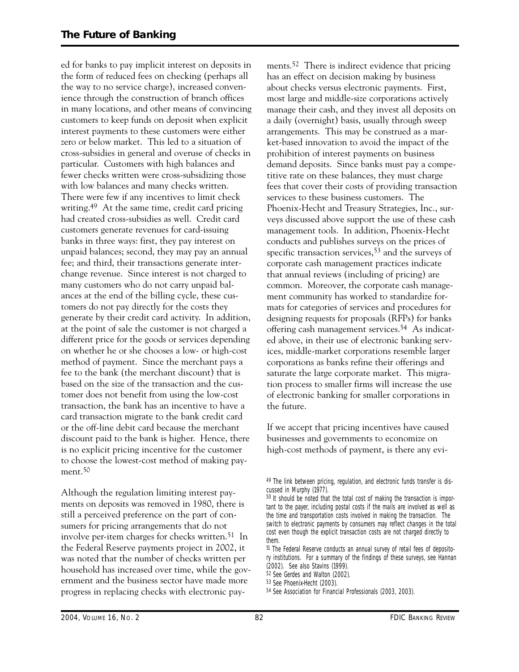ed for banks to pay implicit interest on deposits in the form of reduced fees on checking (perhaps all the way to no service charge), increased convenience through the construction of branch offices in many locations, and other means of convincing customers to keep funds on deposit when explicit interest payments to these customers were either zero or below market. This led to a situation of cross-subsidies in general and overuse of checks in particular. Customers with high balances and fewer checks written were cross-subsidizing those with low balances and many checks written. There were few if any incentives to limit check writing.<sup>49</sup> At the same time, credit card pricing had created cross-subsidies as well. Credit card customers generate revenues for card-issuing banks in three ways: first, they pay interest on unpaid balances; second, they may pay an annual fee; and third, their transactions generate interchange revenue. Since interest is not charged to many customers who do not carry unpaid balances at the end of the billing cycle, these customers do not pay directly for the costs they generate by their credit card activity. In addition, at the point of sale the customer is not charged a different price for the goods or services depending on whether he or she chooses a low- or high-cost method of payment. Since the merchant pays a fee to the bank (the merchant discount) that is based on the size of the transaction and the customer does not benefit from using the low-cost transaction, the bank has an incentive to have a card transaction migrate to the bank credit card or the off-line debit card because the merchant discount paid to the bank is higher. Hence, there is no explicit pricing incentive for the customer to choose the lowest-cost method of making payment.50

Although the regulation limiting interest payments on deposits was removed in 1980, there is still a perceived preference on the part of consumers for pricing arrangements that do not involve per-item charges for checks written.51 In the Federal Reserve payments project in 2002, it was noted that the number of checks written per household has increased over time, while the government and the business sector have made more progress in replacing checks with electronic payments.52 There is indirect evidence that pricing has an effect on decision making by business about checks versus electronic payments. First, most large and middle-size corporations actively manage their cash, and they invest all deposits on a daily (overnight) basis, usually through sweep arrangements. This may be construed as a market-based innovation to avoid the impact of the prohibition of interest payments on business demand deposits. Since banks must pay a competitive rate on these balances, they must charge fees that cover their costs of providing transaction services to these business customers. The Phoenix-Hecht and Treasury Strategies, Inc., surveys discussed above support the use of these cash management tools. In addition, Phoenix-Hecht conducts and publishes surveys on the prices of specific transaction services,<sup>53</sup> and the surveys of corporate cash management practices indicate that annual reviews (including of pricing) are common. Moreover, the corporate cash management community has worked to standardize formats for categories of services and procedures for designing requests for proposals (RFPs) for banks offering cash management services.54 As indicated above, in their use of electronic banking services, middle-market corporations resemble larger corporations as banks refine their offerings and saturate the large corporate market. This migration process to smaller firms will increase the use of electronic banking for smaller corporations in the future.

If we accept that pricing incentives have caused businesses and governments to economize on high-cost methods of payment, is there any evi-

<sup>49</sup> The link between pricing, regulation, and electronic funds transfer is discussed in Murphy (1977).

<sup>50</sup> It should be noted that the *total* cost of making the transaction is important to the payer, including postal costs if the mails are involved as well as the time and transportation costs involved in making the transaction. The switch to electronic payments by consumers may reflect changes in the total cost even though the explicit transaction costs are not charged directly to them.

<sup>51</sup> The Federal Reserve conducts an annual survey of retail fees of depository institutions. For a summary of the findings of these surveys, see Hannan (2002). See also Stavins (1999).

<sup>52</sup> See Gerdes and Walton (2002).

<sup>53</sup> See Phoenix-Hecht (2003).

<sup>54</sup> See Association for Financial Professionals (2003, 2003).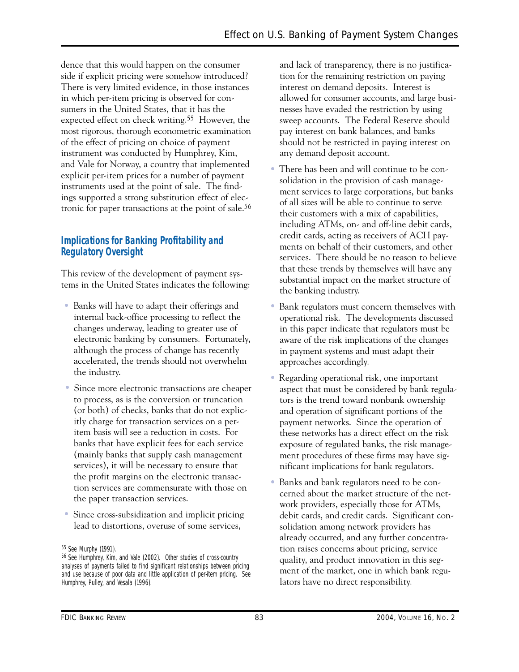dence that this would happen on the consumer side if explicit pricing were somehow introduced? There is very limited evidence, in those instances in which per-item pricing is observed for consumers in the United States, that it has the expected effect on check writing.55 However, the most rigorous, thorough econometric examination of the effect of pricing on choice of payment instrument was conducted by Humphrey, Kim, and Vale for Norway, a country that implemented explicit per-item prices for a number of payment instruments used at the point of sale. The findings supported a strong substitution effect of electronic for paper transactions at the point of sale.<sup>56</sup>

### **Implications for Banking Profitability and Regulatory Oversight**

This review of the development of payment systems in the United States indicates the following:

- � Banks will have to adapt their offerings and internal back-office processing to reflect the changes underway, leading to greater use of electronic banking by consumers. Fortunately, although the process of change has recently accelerated, the trends should not overwhelm the industry.
- Since more electronic transactions are cheaper to process, as is the conversion or truncation (or both) of checks, banks that do not explicitly charge for transaction services on a peritem basis will see a reduction in costs. For banks that have explicit fees for each service (mainly banks that supply cash management services), it will be necessary to ensure that the profit margins on the electronic transaction services are commensurate with those on the paper transaction services.
- Since cross-subsidization and implicit pricing lead to distortions, overuse of some services,

55 See Murphy (1991).

and lack of transparency, there is no justification for the remaining restriction on paying interest on demand deposits. Interest is allowed for consumer accounts, and large businesses have evaded the restriction by using sweep accounts. The Federal Reserve should pay interest on bank balances, and banks should not be restricted in paying interest on any demand deposit account.

- There has been and will continue to be consolidation in the provision of cash management services to large corporations, but banks of all sizes will be able to continue to serve their customers with a mix of capabilities, including ATMs, on- and off-line debit cards, credit cards, acting as receivers of ACH payments on behalf of their customers, and other services. There should be no reason to believe that these trends by themselves will have any substantial impact on the market structure of the banking industry.
- � Bank regulators must concern themselves with operational risk. The developments discussed in this paper indicate that regulators must be aware of the risk implications of the changes in payment systems and must adapt their approaches accordingly.
- Regarding operational risk, one important aspect that must be considered by bank regulators is the trend toward nonbank ownership and operation of significant portions of the payment networks. Since the operation of these networks has a direct effect on the risk exposure of regulated banks, the risk management procedures of these firms may have significant implications for bank regulators.
- Banks and bank regulators need to be concerned about the market structure of the network providers, especially those for ATMs, debit cards, and credit cards. Significant consolidation among network providers has already occurred, and any further concentration raises concerns about pricing, service quality, and product innovation in this segment of the market, one in which bank regulators have no direct responsibility.

<sup>56</sup> See Humphrey, Kim, and Vale (2002). Other studies of cross-country analyses of payments failed to find significant relationships between pricing and use because of poor data and little application of per-item pricing. See Humphrey, Pulley, and Vesala (1996).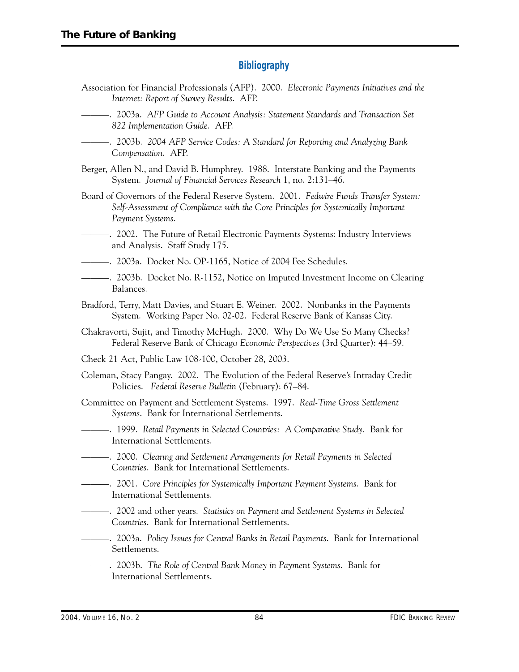### **Bibliography**

- Association for Financial Professionals (AFP). 2000. *Electronic Payments Initiatives and the Internet: Report of Survey Results*. AFP.
- ———. 2003a. *AFP Guide to Account Analysis: Statement Standards and Transaction Set 822 Implementation Guide*. AFP.
- ———. 2003b. *2004 AFP Service Codes: A Standard for Reporting and Analyzing Bank Compensation*. AFP.
- Berger, Allen N., and David B. Humphrey. 1988. Interstate Banking and the Payments System. *Journal of Financial Services Research* 1, no. 2:131–46.
- Board of Governors of the Federal Reserve System. 2001. *Fedwire Funds Transfer System: Self-Assessment of Compliance with the Core Principles for Systemically Important Payment Systems*.
- ———. 2002. The Future of Retail Electronic Payments Systems: Industry Interviews and Analysis. Staff Study 175.
- ———. 2003a. Docket No. OP-1165, Notice of 2004 Fee Schedules.
- ———. 2003b. Docket No. R-1152, Notice on Imputed Investment Income on Clearing Balances.
- Bradford, Terry, Matt Davies, and Stuart E. Weiner. 2002. Nonbanks in the Payments System. Working Paper No. 02-02. Federal Reserve Bank of Kansas City.
- Chakravorti, Sujit, and Timothy McHugh. 2000. Why Do We Use So Many Checks? Federal Reserve Bank of Chicago *Economic Perspectives* (3rd Quarter): 44–59.
- Check 21 Act, Public Law 108-100, October 28, 2003.
- Coleman, Stacy Pangay. 2002. The Evolution of the Federal Reserve's Intraday Credit Policies. *Federal Reserve Bulletin* (February): 67–84.
- Committee on Payment and Settlement Systems. 1997. *Real-Time Gross Settlement Systems*. Bank for International Settlements.
- ———. 1999. *Retail Payments in Selected Countries: A Comparative Study*. Bank for International Settlements.
- ———. 2000. *Clearing and Settlement Arrangements for Retail Payments in Selected Countries*. Bank for International Settlements.
- ———. 2001. *Core Principles for Systemically Important Payment Systems*. Bank for International Settlements.
- ———. 2002 and other years. *Statistics on Payment and Settlement Systems in Selected Countries*. Bank for International Settlements.
- ———. 2003a. *Policy Issues for Central Banks in Retail Payments*. Bank for International Settlements.
- ———. 2003b. *The Role of Central Bank Money in Payment Systems*. Bank for International Settlements.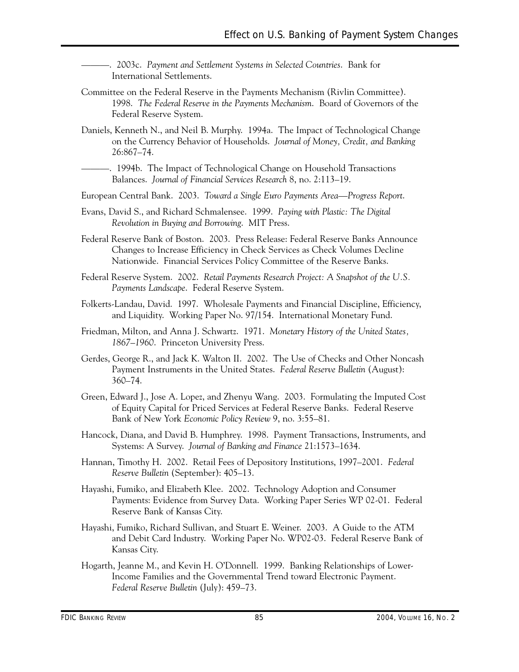———. 2003c. *Payment and Settlement Systems in Selected Countries*. Bank for International Settlements.

- Committee on the Federal Reserve in the Payments Mechanism (Rivlin Committee). 1998. *The Federal Reserve in the Payments Mechanism*. Board of Governors of the Federal Reserve System.
- Daniels, Kenneth N., and Neil B. Murphy. 1994a. The Impact of Technological Change on the Currency Behavior of Households. *Journal of Money, Credit, and Banking*  26:867–74.
- ———. 1994b. The Impact of Technological Change on Household Transactions Balances. *Journal of Financial Services Research* 8, no. 2:113–19.

European Central Bank. 2003. *Toward a Single Euro Payments Area—Progress Report*.

- Evans, David S., and Richard Schmalensee. 1999. *Paying with Plastic: The Digital Revolution in Buying and Borrowing*. MIT Press.
- Federal Reserve Bank of Boston. 2003. Press Release: Federal Reserve Banks Announce Changes to Increase Efficiency in Check Services as Check Volumes Decline Nationwide. Financial Services Policy Committee of the Reserve Banks.
- Federal Reserve System. 2002. *Retail Payments Research Project: A Snapshot of the U.S. Payments Landscape*. Federal Reserve System.
- Folkerts-Landau, David. 1997. Wholesale Payments and Financial Discipline, Efficiency, and Liquidity. Working Paper No. 97/154. International Monetary Fund.
- Friedman, Milton, and Anna J. Schwartz. 1971. *Monetary History of the United States, 1867–1960*. Princeton University Press.
- Gerdes, George R., and Jack K. Walton II. 2002. The Use of Checks and Other Noncash Payment Instruments in the United States. *Federal Reserve Bulletin* (August): 360–74.
- Green, Edward J., Jose A. Lopez, and Zhenyu Wang. 2003. Formulating the Imputed Cost of Equity Capital for Priced Services at Federal Reserve Banks. Federal Reserve Bank of New York *Economic Policy Review* 9, no. 3:55–81.
- Hancock, Diana, and David B. Humphrey. 1998. Payment Transactions, Instruments, and Systems: A Survey. *Journal of Banking and Finance* 21:1573–1634.
- Hannan, Timothy H. 2002. Retail Fees of Depository Institutions, 1997–2001. *Federal Reserve Bulletin* (September): 405–13.
- Hayashi, Fumiko, and Elizabeth Klee. 2002. Technology Adoption and Consumer Payments: Evidence from Survey Data. Working Paper Series WP 02-01. Federal Reserve Bank of Kansas City.
- Hayashi, Fumiko, Richard Sullivan, and Stuart E. Weiner. 2003. A Guide to the ATM and Debit Card Industry. Working Paper No. WP02-03. Federal Reserve Bank of Kansas City.
- Hogarth, Jeanne M., and Kevin H. O'Donnell. 1999. Banking Relationships of Lower-Income Families and the Governmental Trend toward Electronic Payment. *Federal Reserve Bulletin* (July): 459–73.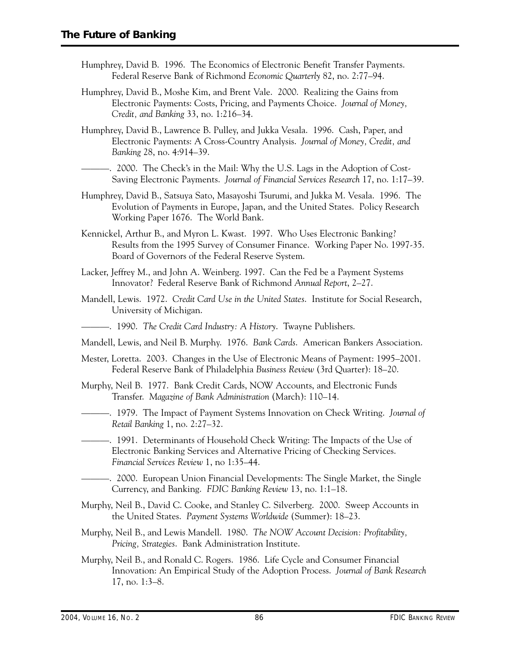- Humphrey, David B. 1996. The Economics of Electronic Benefit Transfer Payments. Federal Reserve Bank of Richmond *Economic Quarterly* 82, no. 2:77–94.
- Humphrey, David B., Moshe Kim, and Brent Vale. 2000. Realizing the Gains from Electronic Payments: Costs, Pricing, and Payments Choice. *Journal of Money, Credit, and Banking* 33, no. 1:216–34.
- Humphrey, David B., Lawrence B. Pulley, and Jukka Vesala. 1996. Cash, Paper, and Electronic Payments: A Cross-Country Analysis. *Journal of Money, Credit, and Banking* 28, no. 4:914–39.
- ———. 2000. The Check's in the Mail: Why the U.S. Lags in the Adoption of Cost-Saving Electronic Payments. *Journal of Financial Services Research* 17, no. 1:17–39.
- Humphrey, David B., Satsuya Sato, Masayoshi Tsurumi, and Jukka M. Vesala. 1996. The Evolution of Payments in Europe, Japan, and the United States. Policy Research Working Paper 1676. The World Bank.
- Kennickel, Arthur B., and Myron L. Kwast. 1997. Who Uses Electronic Banking? Results from the 1995 Survey of Consumer Finance. Working Paper No. 1997-35. Board of Governors of the Federal Reserve System.
- Lacker, Jeffrey M., and John A. Weinberg. 1997. Can the Fed be a Payment Systems Innovator? Federal Reserve Bank of Richmond *Annual Report*, 2–27.
- Mandell, Lewis. 1972. *Credit Card Use in the United States*. Institute for Social Research, University of Michigan.
- ———. 1990. *The Credit Card Industry: A History*. Twayne Publishers.
- Mandell, Lewis, and Neil B. Murphy. 1976. *Bank Cards*. American Bankers Association.
- Mester, Loretta. 2003. Changes in the Use of Electronic Means of Payment: 1995–2001. Federal Reserve Bank of Philadelphia *Business Review* (3rd Quarter): 18–20.
- Murphy, Neil B. 1977. Bank Credit Cards, NOW Accounts, and Electronic Funds Transfer. *Magazine of Bank Administration* (March): 110–14.
- ———. 1979. The Impact of Payment Systems Innovation on Check Writing. *Journal of Retail Banking* 1, no. 2:27–32.
- ———. 1991. Determinants of Household Check Writing: The Impacts of the Use of Electronic Banking Services and Alternative Pricing of Checking Services. *Financial Services Review* 1, no 1:35–44.
- ———. 2000. European Union Financial Developments: The Single Market, the Single Currency, and Banking. *FDIC Banking Review* 13, no. 1:1–18.
- Murphy, Neil B., David C. Cooke, and Stanley C. Silverberg. 2000. Sweep Accounts in the United States. *Payment Systems Worldwide* (Summer): 18–23.
- Murphy, Neil B., and Lewis Mandell. 1980. *The NOW Account Decision: Profitability, Pricing, Strategies*. Bank Administration Institute.
- Murphy, Neil B., and Ronald C. Rogers. 1986. Life Cycle and Consumer Financial Innovation: An Empirical Study of the Adoption Process. *Journal of Bank Research*  17, no. 1:3–8.